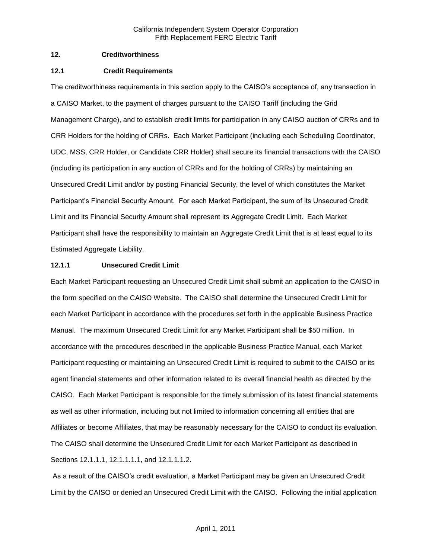### **12. Creditworthiness**

### **12.1 Credit Requirements**

The creditworthiness requirements in this section apply to the CAISO's acceptance of, any transaction in a CAISO Market, to the payment of charges pursuant to the CAISO Tariff (including the Grid Management Charge), and to establish credit limits for participation in any CAISO auction of CRRs and to CRR Holders for the holding of CRRs. Each Market Participant (including each Scheduling Coordinator, UDC, MSS, CRR Holder, or Candidate CRR Holder) shall secure its financial transactions with the CAISO (including its participation in any auction of CRRs and for the holding of CRRs) by maintaining an Unsecured Credit Limit and/or by posting Financial Security, the level of which constitutes the Market Participant's Financial Security Amount. For each Market Participant, the sum of its Unsecured Credit Limit and its Financial Security Amount shall represent its Aggregate Credit Limit. Each Market Participant shall have the responsibility to maintain an Aggregate Credit Limit that is at least equal to its Estimated Aggregate Liability.

# **12.1.1 Unsecured Credit Limit**

Each Market Participant requesting an Unsecured Credit Limit shall submit an application to the CAISO in the form specified on the CAISO Website. The CAISO shall determine the Unsecured Credit Limit for each Market Participant in accordance with the procedures set forth in the applicable Business Practice Manual. The maximum Unsecured Credit Limit for any Market Participant shall be \$50 million. In accordance with the procedures described in the applicable Business Practice Manual, each Market Participant requesting or maintaining an Unsecured Credit Limit is required to submit to the CAISO or its agent financial statements and other information related to its overall financial health as directed by the CAISO. Each Market Participant is responsible for the timely submission of its latest financial statements as well as other information, including but not limited to information concerning all entities that are Affiliates or become Affiliates, that may be reasonably necessary for the CAISO to conduct its evaluation. The CAISO shall determine the Unsecured Credit Limit for each Market Participant as described in Sections 12.1.1.1, 12.1.1.1.1, and 12.1.1.1.2.

As a result of the CAISO's credit evaluation, a Market Participant may be given an Unsecured Credit Limit by the CAISO or denied an Unsecured Credit Limit with the CAISO. Following the initial application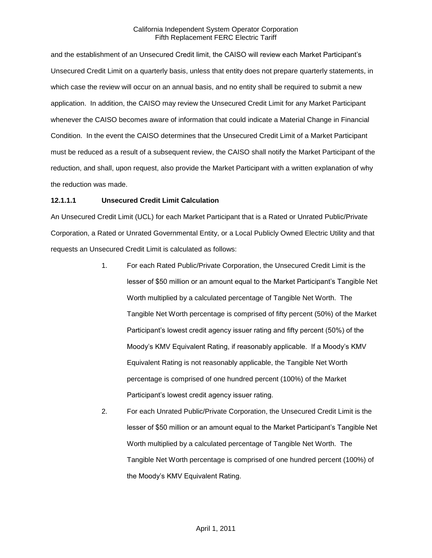and the establishment of an Unsecured Credit limit, the CAISO will review each Market Participant's Unsecured Credit Limit on a quarterly basis, unless that entity does not prepare quarterly statements, in which case the review will occur on an annual basis, and no entity shall be required to submit a new application. In addition, the CAISO may review the Unsecured Credit Limit for any Market Participant whenever the CAISO becomes aware of information that could indicate a Material Change in Financial Condition. In the event the CAISO determines that the Unsecured Credit Limit of a Market Participant must be reduced as a result of a subsequent review, the CAISO shall notify the Market Participant of the reduction, and shall, upon request, also provide the Market Participant with a written explanation of why the reduction was made.

### **12.1.1.1 Unsecured Credit Limit Calculation**

An Unsecured Credit Limit (UCL) for each Market Participant that is a Rated or Unrated Public/Private Corporation, a Rated or Unrated Governmental Entity, or a Local Publicly Owned Electric Utility and that requests an Unsecured Credit Limit is calculated as follows:

- 1. For each Rated Public/Private Corporation, the Unsecured Credit Limit is the lesser of \$50 million or an amount equal to the Market Participant's Tangible Net Worth multiplied by a calculated percentage of Tangible Net Worth. The Tangible Net Worth percentage is comprised of fifty percent (50%) of the Market Participant's lowest credit agency issuer rating and fifty percent (50%) of the Moody's KMV Equivalent Rating, if reasonably applicable. If a Moody's KMV Equivalent Rating is not reasonably applicable, the Tangible Net Worth percentage is comprised of one hundred percent (100%) of the Market Participant's lowest credit agency issuer rating.
- 2. For each Unrated Public/Private Corporation, the Unsecured Credit Limit is the lesser of \$50 million or an amount equal to the Market Participant's Tangible Net Worth multiplied by a calculated percentage of Tangible Net Worth. The Tangible Net Worth percentage is comprised of one hundred percent (100%) of the Moody's KMV Equivalent Rating.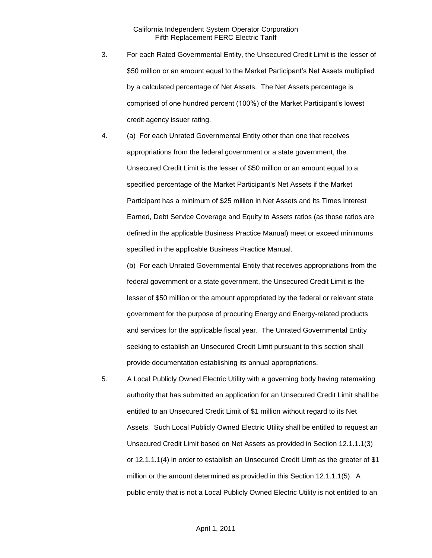- 3. For each Rated Governmental Entity, the Unsecured Credit Limit is the lesser of \$50 million or an amount equal to the Market Participant's Net Assets multiplied by a calculated percentage of Net Assets. The Net Assets percentage is comprised of one hundred percent (100%) of the Market Participant's lowest credit agency issuer rating.
- 4. (a) For each Unrated Governmental Entity other than one that receives appropriations from the federal government or a state government, the Unsecured Credit Limit is the lesser of \$50 million or an amount equal to a specified percentage of the Market Participant's Net Assets if the Market Participant has a minimum of \$25 million in Net Assets and its Times Interest Earned, Debt Service Coverage and Equity to Assets ratios (as those ratios are defined in the applicable Business Practice Manual) meet or exceed minimums specified in the applicable Business Practice Manual.

(b) For each Unrated Governmental Entity that receives appropriations from the federal government or a state government, the Unsecured Credit Limit is the lesser of \$50 million or the amount appropriated by the federal or relevant state government for the purpose of procuring Energy and Energy-related products and services for the applicable fiscal year. The Unrated Governmental Entity seeking to establish an Unsecured Credit Limit pursuant to this section shall provide documentation establishing its annual appropriations.

5. A Local Publicly Owned Electric Utility with a governing body having ratemaking authority that has submitted an application for an Unsecured Credit Limit shall be entitled to an Unsecured Credit Limit of \$1 million without regard to its Net Assets. Such Local Publicly Owned Electric Utility shall be entitled to request an Unsecured Credit Limit based on Net Assets as provided in Section 12.1.1.1(3) or 12.1.1.1(4) in order to establish an Unsecured Credit Limit as the greater of \$1 million or the amount determined as provided in this Section 12.1.1.1(5). A public entity that is not a Local Publicly Owned Electric Utility is not entitled to an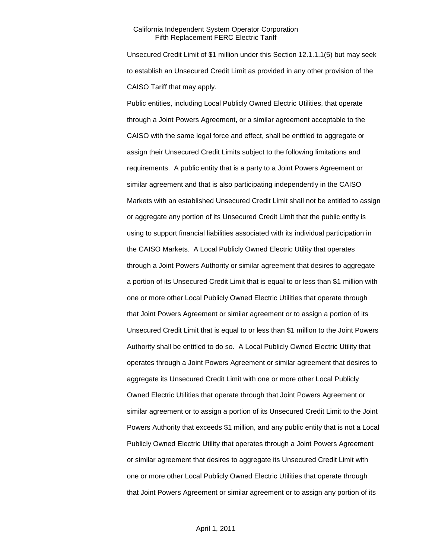Unsecured Credit Limit of \$1 million under this Section 12.1.1.1(5) but may seek to establish an Unsecured Credit Limit as provided in any other provision of the CAISO Tariff that may apply.

Public entities, including Local Publicly Owned Electric Utilities, that operate through a Joint Powers Agreement, or a similar agreement acceptable to the CAISO with the same legal force and effect, shall be entitled to aggregate or assign their Unsecured Credit Limits subject to the following limitations and requirements. A public entity that is a party to a Joint Powers Agreement or similar agreement and that is also participating independently in the CAISO Markets with an established Unsecured Credit Limit shall not be entitled to assign or aggregate any portion of its Unsecured Credit Limit that the public entity is using to support financial liabilities associated with its individual participation in the CAISO Markets. A Local Publicly Owned Electric Utility that operates through a Joint Powers Authority or similar agreement that desires to aggregate a portion of its Unsecured Credit Limit that is equal to or less than \$1 million with one or more other Local Publicly Owned Electric Utilities that operate through that Joint Powers Agreement or similar agreement or to assign a portion of its Unsecured Credit Limit that is equal to or less than \$1 million to the Joint Powers Authority shall be entitled to do so. A Local Publicly Owned Electric Utility that operates through a Joint Powers Agreement or similar agreement that desires to aggregate its Unsecured Credit Limit with one or more other Local Publicly Owned Electric Utilities that operate through that Joint Powers Agreement or similar agreement or to assign a portion of its Unsecured Credit Limit to the Joint Powers Authority that exceeds \$1 million, and any public entity that is not a Local Publicly Owned Electric Utility that operates through a Joint Powers Agreement or similar agreement that desires to aggregate its Unsecured Credit Limit with one or more other Local Publicly Owned Electric Utilities that operate through that Joint Powers Agreement or similar agreement or to assign any portion of its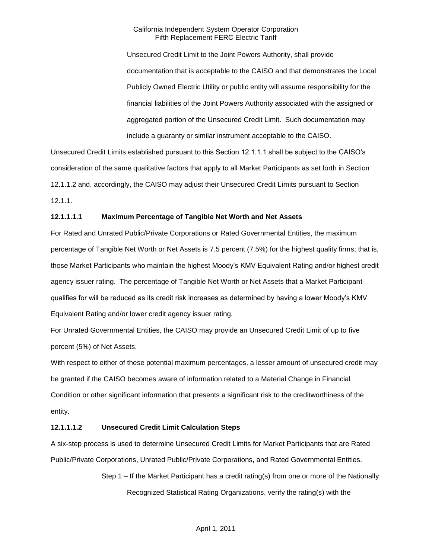Unsecured Credit Limit to the Joint Powers Authority, shall provide documentation that is acceptable to the CAISO and that demonstrates the Local Publicly Owned Electric Utility or public entity will assume responsibility for the financial liabilities of the Joint Powers Authority associated with the assigned or aggregated portion of the Unsecured Credit Limit. Such documentation may include a guaranty or similar instrument acceptable to the CAISO.

Unsecured Credit Limits established pursuant to this Section 12.1.1.1 shall be subject to the CAISO's consideration of the same qualitative factors that apply to all Market Participants as set forth in Section 12.1.1.2 and, accordingly, the CAISO may adjust their Unsecured Credit Limits pursuant to Section 12.1.1.

### **12.1.1.1.1 Maximum Percentage of Tangible Net Worth and Net Assets**

For Rated and Unrated Public/Private Corporations or Rated Governmental Entities, the maximum percentage of Tangible Net Worth or Net Assets is 7.5 percent (7.5%) for the highest quality firms; that is, those Market Participants who maintain the highest Moody's KMV Equivalent Rating and/or highest credit agency issuer rating. The percentage of Tangible Net Worth or Net Assets that a Market Participant qualifies for will be reduced as its credit risk increases as determined by having a lower Moody's KMV Equivalent Rating and/or lower credit agency issuer rating.

For Unrated Governmental Entities, the CAISO may provide an Unsecured Credit Limit of up to five percent (5%) of Net Assets.

With respect to either of these potential maximum percentages, a lesser amount of unsecured credit may be granted if the CAISO becomes aware of information related to a Material Change in Financial Condition or other significant information that presents a significant risk to the creditworthiness of the entity.

# **12.1.1.1.2 Unsecured Credit Limit Calculation Steps**

A six-step process is used to determine Unsecured Credit Limits for Market Participants that are Rated Public/Private Corporations, Unrated Public/Private Corporations, and Rated Governmental Entities.

> Step 1 – If the Market Participant has a credit rating(s) from one or more of the Nationally Recognized Statistical Rating Organizations, verify the rating(s) with the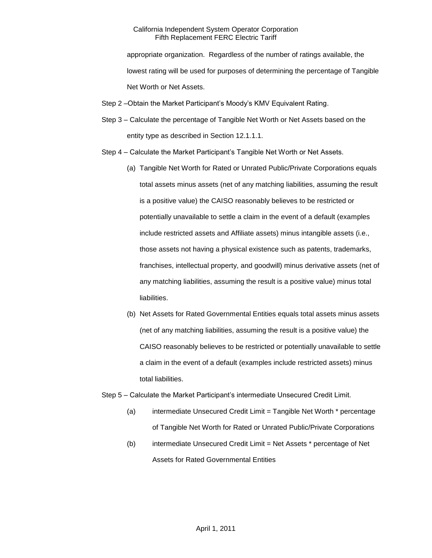appropriate organization. Regardless of the number of ratings available, the lowest rating will be used for purposes of determining the percentage of Tangible Net Worth or Net Assets.

- Step 2 –Obtain the Market Participant's Moody's KMV Equivalent Rating.
- Step 3 Calculate the percentage of Tangible Net Worth or Net Assets based on the entity type as described in Section 12.1.1.1.
- Step 4 Calculate the Market Participant's Tangible Net Worth or Net Assets.
	- (a) Tangible Net Worth for Rated or Unrated Public/Private Corporations equals total assets minus assets (net of any matching liabilities, assuming the result is a positive value) the CAISO reasonably believes to be restricted or potentially unavailable to settle a claim in the event of a default (examples include restricted assets and Affiliate assets) minus intangible assets (i.e., those assets not having a physical existence such as patents, trademarks, franchises, intellectual property, and goodwill) minus derivative assets (net of any matching liabilities, assuming the result is a positive value) minus total liabilities.
	- (b) Net Assets for Rated Governmental Entities equals total assets minus assets (net of any matching liabilities, assuming the result is a positive value) the CAISO reasonably believes to be restricted or potentially unavailable to settle a claim in the event of a default (examples include restricted assets) minus total liabilities.
- Step 5 Calculate the Market Participant's intermediate Unsecured Credit Limit.
	- (a) intermediate Unsecured Credit Limit = Tangible Net Worth \* percentage of Tangible Net Worth for Rated or Unrated Public/Private Corporations
	- (b) intermediate Unsecured Credit Limit = Net Assets \* percentage of Net Assets for Rated Governmental Entities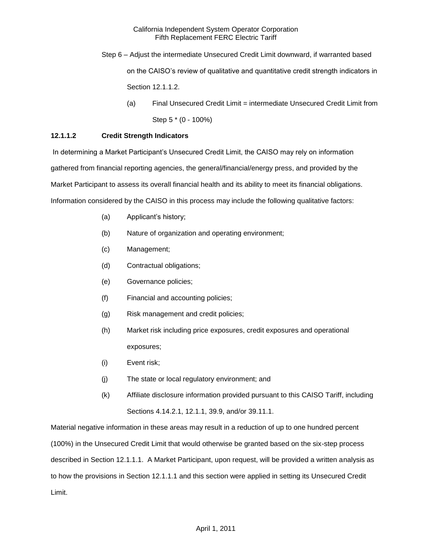- Step 6 Adjust the intermediate Unsecured Credit Limit downward, if warranted based on the CAISO's review of qualitative and quantitative credit strength indicators in Section 12.1.1.2.
	- (a) Final Unsecured Credit Limit = intermediate Unsecured Credit Limit from Step 5 \* (0 - 100%)

# **12.1.1.2 Credit Strength Indicators**

In determining a Market Participant's Unsecured Credit Limit, the CAISO may rely on information gathered from financial reporting agencies, the general/financial/energy press, and provided by the Market Participant to assess its overall financial health and its ability to meet its financial obligations. Information considered by the CAISO in this process may include the following qualitative factors:

- (a) Applicant's history;
- (b) Nature of organization and operating environment;
- (c) Management;
- (d) Contractual obligations;
- (e) Governance policies;
- (f) Financial and accounting policies;
- (g) Risk management and credit policies;
- (h) Market risk including price exposures, credit exposures and operational exposures;
- (i) Event risk;
- (j) The state or local regulatory environment; and
- (k) Affiliate disclosure information provided pursuant to this CAISO Tariff, including Sections 4.14.2.1, 12.1.1, 39.9, and/or 39.11.1.

Material negative information in these areas may result in a reduction of up to one hundred percent (100%) in the Unsecured Credit Limit that would otherwise be granted based on the six-step process described in Section 12.1.1.1. A Market Participant, upon request, will be provided a written analysis as to how the provisions in Section 12.1.1.1 and this section were applied in setting its Unsecured Credit Limit.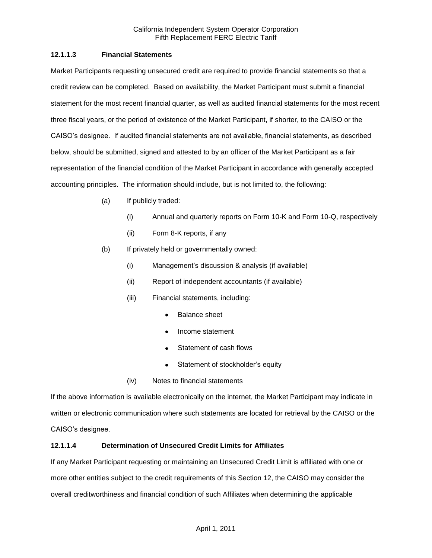# **12.1.1.3 Financial Statements**

Market Participants requesting unsecured credit are required to provide financial statements so that a credit review can be completed. Based on availability, the Market Participant must submit a financial statement for the most recent financial quarter, as well as audited financial statements for the most recent three fiscal years, or the period of existence of the Market Participant, if shorter, to the CAISO or the CAISO's designee. If audited financial statements are not available, financial statements, as described below, should be submitted, signed and attested to by an officer of the Market Participant as a fair representation of the financial condition of the Market Participant in accordance with generally accepted accounting principles. The information should include, but is not limited to, the following:

- (a) If publicly traded:
	- (i) Annual and quarterly reports on Form 10-K and Form 10-Q, respectively
	- (ii) Form 8-K reports, if any
- (b) If privately held or governmentally owned:
	- (i) Management's discussion & analysis (if available)
	- (ii) Report of independent accountants (if available)
	- (iii) Financial statements, including:
		- Balance sheet
		- Income statement
		- Statement of cash flows  $\bullet$
		- Statement of stockholder's equity
	- (iv) Notes to financial statements

If the above information is available electronically on the internet, the Market Participant may indicate in written or electronic communication where such statements are located for retrieval by the CAISO or the CAISO's designee.

# **12.1.1.4 Determination of Unsecured Credit Limits for Affiliates**

If any Market Participant requesting or maintaining an Unsecured Credit Limit is affiliated with one or more other entities subject to the credit requirements of this Section 12, the CAISO may consider the overall creditworthiness and financial condition of such Affiliates when determining the applicable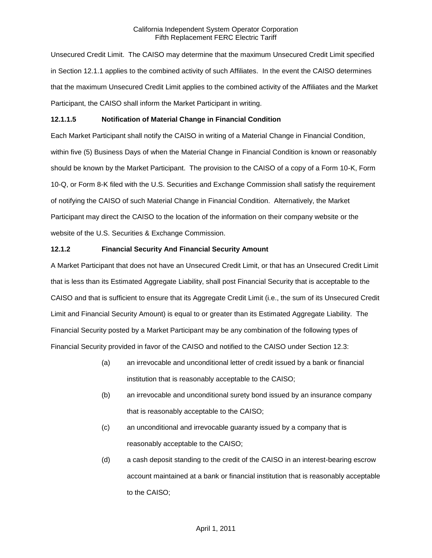Unsecured Credit Limit. The CAISO may determine that the maximum Unsecured Credit Limit specified in Section 12.1.1 applies to the combined activity of such Affiliates. In the event the CAISO determines that the maximum Unsecured Credit Limit applies to the combined activity of the Affiliates and the Market Participant, the CAISO shall inform the Market Participant in writing.

### **12.1.1.5 Notification of Material Change in Financial Condition**

Each Market Participant shall notify the CAISO in writing of a Material Change in Financial Condition, within five (5) Business Days of when the Material Change in Financial Condition is known or reasonably should be known by the Market Participant. The provision to the CAISO of a copy of a Form 10-K, Form 10-Q, or Form 8-K filed with the U.S. Securities and Exchange Commission shall satisfy the requirement of notifying the CAISO of such Material Change in Financial Condition. Alternatively, the Market Participant may direct the CAISO to the location of the information on their company website or the website of the U.S. Securities & Exchange Commission.

### **12.1.2 Financial Security And Financial Security Amount**

A Market Participant that does not have an Unsecured Credit Limit, or that has an Unsecured Credit Limit that is less than its Estimated Aggregate Liability, shall post Financial Security that is acceptable to the CAISO and that is sufficient to ensure that its Aggregate Credit Limit (i.e., the sum of its Unsecured Credit Limit and Financial Security Amount) is equal to or greater than its Estimated Aggregate Liability. The Financial Security posted by a Market Participant may be any combination of the following types of Financial Security provided in favor of the CAISO and notified to the CAISO under Section 12.3:

- (a) an irrevocable and unconditional letter of credit issued by a bank or financial institution that is reasonably acceptable to the CAISO;
- (b) an irrevocable and unconditional surety bond issued by an insurance company that is reasonably acceptable to the CAISO;
- (c) an unconditional and irrevocable guaranty issued by a company that is reasonably acceptable to the CAISO;
- (d) a cash deposit standing to the credit of the CAISO in an interest-bearing escrow account maintained at a bank or financial institution that is reasonably acceptable to the CAISO;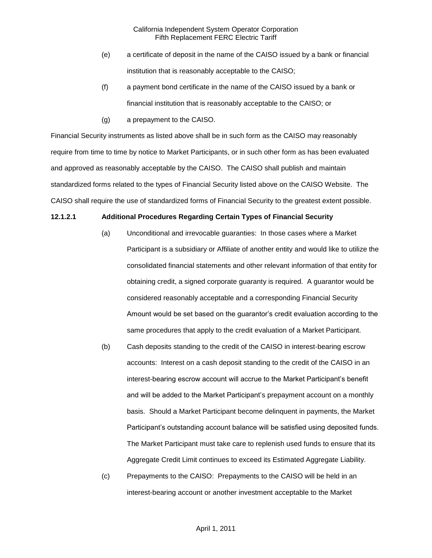- (e) a certificate of deposit in the name of the CAISO issued by a bank or financial institution that is reasonably acceptable to the CAISO;
- (f) a payment bond certificate in the name of the CAISO issued by a bank or financial institution that is reasonably acceptable to the CAISO; or
- (g) a prepayment to the CAISO.

Financial Security instruments as listed above shall be in such form as the CAISO may reasonably require from time to time by notice to Market Participants, or in such other form as has been evaluated and approved as reasonably acceptable by the CAISO. The CAISO shall publish and maintain standardized forms related to the types of Financial Security listed above on the CAISO Website. The CAISO shall require the use of standardized forms of Financial Security to the greatest extent possible.

### **12.1.2.1 Additional Procedures Regarding Certain Types of Financial Security**

- (a) Unconditional and irrevocable guaranties: In those cases where a Market Participant is a subsidiary or Affiliate of another entity and would like to utilize the consolidated financial statements and other relevant information of that entity for obtaining credit, a signed corporate guaranty is required. A guarantor would be considered reasonably acceptable and a corresponding Financial Security Amount would be set based on the guarantor's credit evaluation according to the same procedures that apply to the credit evaluation of a Market Participant.
- (b) Cash deposits standing to the credit of the CAISO in interest-bearing escrow accounts: Interest on a cash deposit standing to the credit of the CAISO in an interest-bearing escrow account will accrue to the Market Participant's benefit and will be added to the Market Participant's prepayment account on a monthly basis. Should a Market Participant become delinquent in payments, the Market Participant's outstanding account balance will be satisfied using deposited funds. The Market Participant must take care to replenish used funds to ensure that its Aggregate Credit Limit continues to exceed its Estimated Aggregate Liability.
- (c) Prepayments to the CAISO: Prepayments to the CAISO will be held in an interest-bearing account or another investment acceptable to the Market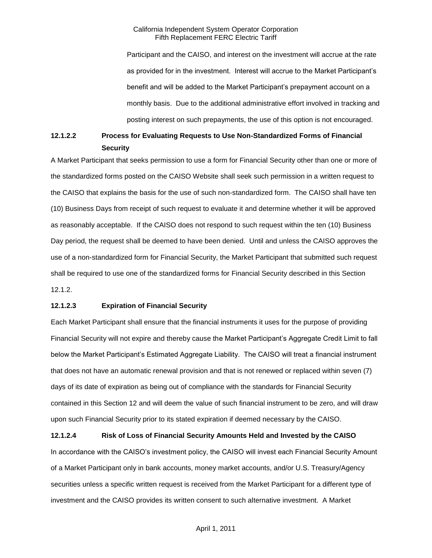Participant and the CAISO, and interest on the investment will accrue at the rate as provided for in the investment. Interest will accrue to the Market Participant's benefit and will be added to the Market Participant's prepayment account on a monthly basis. Due to the additional administrative effort involved in tracking and posting interest on such prepayments, the use of this option is not encouraged.

# **12.1.2.2 Process for Evaluating Requests to Use Non-Standardized Forms of Financial Security**

A Market Participant that seeks permission to use a form for Financial Security other than one or more of the standardized forms posted on the CAISO Website shall seek such permission in a written request to the CAISO that explains the basis for the use of such non-standardized form. The CAISO shall have ten (10) Business Days from receipt of such request to evaluate it and determine whether it will be approved as reasonably acceptable. If the CAISO does not respond to such request within the ten (10) Business Day period, the request shall be deemed to have been denied. Until and unless the CAISO approves the use of a non-standardized form for Financial Security, the Market Participant that submitted such request shall be required to use one of the standardized forms for Financial Security described in this Section 12.1.2.

### **12.1.2.3 Expiration of Financial Security**

Each Market Participant shall ensure that the financial instruments it uses for the purpose of providing Financial Security will not expire and thereby cause the Market Participant's Aggregate Credit Limit to fall below the Market Participant's Estimated Aggregate Liability. The CAISO will treat a financial instrument that does not have an automatic renewal provision and that is not renewed or replaced within seven (7) days of its date of expiration as being out of compliance with the standards for Financial Security contained in this Section 12 and will deem the value of such financial instrument to be zero, and will draw upon such Financial Security prior to its stated expiration if deemed necessary by the CAISO.

**12.1.2.4 Risk of Loss of Financial Security Amounts Held and Invested by the CAISO** In accordance with the CAISO's investment policy, the CAISO will invest each Financial Security Amount of a Market Participant only in bank accounts, money market accounts, and/or U.S. Treasury/Agency securities unless a specific written request is received from the Market Participant for a different type of investment and the CAISO provides its written consent to such alternative investment. A Market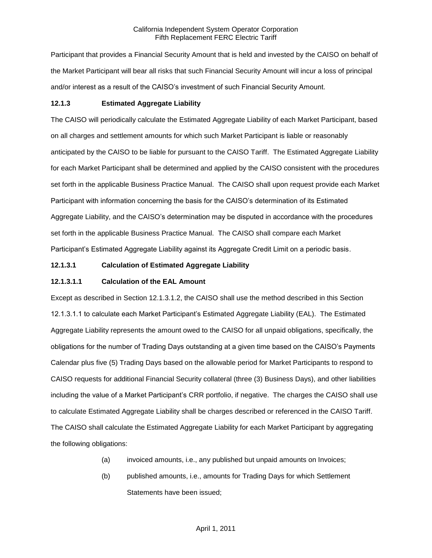Participant that provides a Financial Security Amount that is held and invested by the CAISO on behalf of the Market Participant will bear all risks that such Financial Security Amount will incur a loss of principal and/or interest as a result of the CAISO's investment of such Financial Security Amount.

# **12.1.3 Estimated Aggregate Liability**

The CAISO will periodically calculate the Estimated Aggregate Liability of each Market Participant, based on all charges and settlement amounts for which such Market Participant is liable or reasonably anticipated by the CAISO to be liable for pursuant to the CAISO Tariff. The Estimated Aggregate Liability for each Market Participant shall be determined and applied by the CAISO consistent with the procedures set forth in the applicable Business Practice Manual. The CAISO shall upon request provide each Market Participant with information concerning the basis for the CAISO's determination of its Estimated Aggregate Liability, and the CAISO's determination may be disputed in accordance with the procedures set forth in the applicable Business Practice Manual. The CAISO shall compare each Market Participant's Estimated Aggregate Liability against its Aggregate Credit Limit on a periodic basis.

# **12.1.3.1 Calculation of Estimated Aggregate Liability**

# **12.1.3.1.1 Calculation of the EAL Amount**

Except as described in Section 12.1.3.1.2, the CAISO shall use the method described in this Section 12.1.3.1.1 to calculate each Market Participant's Estimated Aggregate Liability (EAL). The Estimated Aggregate Liability represents the amount owed to the CAISO for all unpaid obligations, specifically, the obligations for the number of Trading Days outstanding at a given time based on the CAISO's Payments Calendar plus five (5) Trading Days based on the allowable period for Market Participants to respond to CAISO requests for additional Financial Security collateral (three (3) Business Days), and other liabilities including the value of a Market Participant's CRR portfolio, if negative. The charges the CAISO shall use to calculate Estimated Aggregate Liability shall be charges described or referenced in the CAISO Tariff. The CAISO shall calculate the Estimated Aggregate Liability for each Market Participant by aggregating the following obligations:

- (a) invoiced amounts, i.e., any published but unpaid amounts on Invoices;
- (b) published amounts, i.e., amounts for Trading Days for which Settlement Statements have been issued;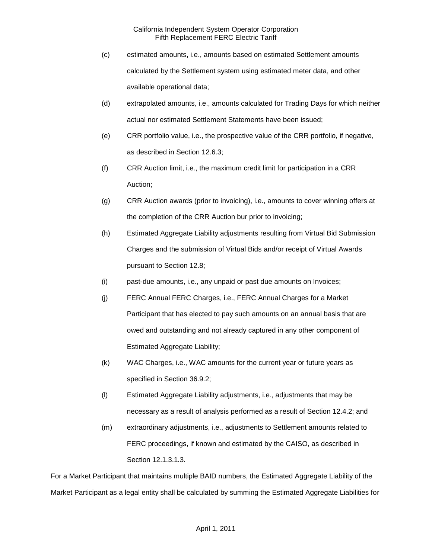- (c) estimated amounts, i.e., amounts based on estimated Settlement amounts calculated by the Settlement system using estimated meter data, and other available operational data;
- (d) extrapolated amounts, i.e., amounts calculated for Trading Days for which neither actual nor estimated Settlement Statements have been issued;
- (e) CRR portfolio value, i.e., the prospective value of the CRR portfolio, if negative, as described in Section 12.6.3;
- (f) CRR Auction limit, i.e., the maximum credit limit for participation in a CRR Auction;
- (g) CRR Auction awards (prior to invoicing), i.e., amounts to cover winning offers at the completion of the CRR Auction bur prior to invoicing;
- (h) Estimated Aggregate Liability adjustments resulting from Virtual Bid Submission Charges and the submission of Virtual Bids and/or receipt of Virtual Awards pursuant to Section 12.8;
- (i) past-due amounts, i.e., any unpaid or past due amounts on Invoices;
- (j) FERC Annual FERC Charges, i.e., FERC Annual Charges for a Market Participant that has elected to pay such amounts on an annual basis that are owed and outstanding and not already captured in any other component of Estimated Aggregate Liability;
- (k) WAC Charges, i.e., WAC amounts for the current year or future years as specified in Section 36.9.2;
- (l) Estimated Aggregate Liability adjustments, i.e., adjustments that may be necessary as a result of analysis performed as a result of Section 12.4.2; and
- (m) extraordinary adjustments, i.e., adjustments to Settlement amounts related to FERC proceedings, if known and estimated by the CAISO, as described in Section 12.1.3.1.3.

For a Market Participant that maintains multiple BAID numbers, the Estimated Aggregate Liability of the Market Participant as a legal entity shall be calculated by summing the Estimated Aggregate Liabilities for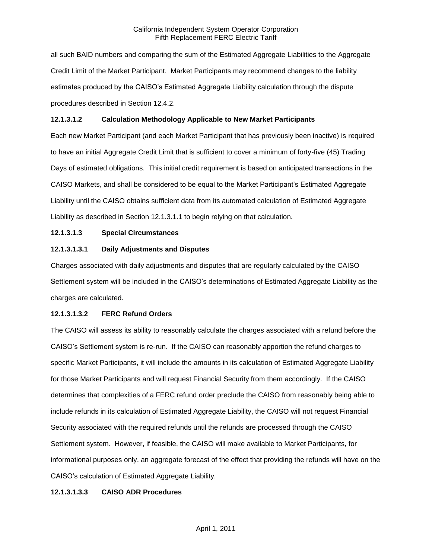all such BAID numbers and comparing the sum of the Estimated Aggregate Liabilities to the Aggregate Credit Limit of the Market Participant. Market Participants may recommend changes to the liability estimates produced by the CAISO's Estimated Aggregate Liability calculation through the dispute procedures described in Section 12.4.2.

### **12.1.3.1.2 Calculation Methodology Applicable to New Market Participants**

Each new Market Participant (and each Market Participant that has previously been inactive) is required to have an initial Aggregate Credit Limit that is sufficient to cover a minimum of forty-five (45) Trading Days of estimated obligations. This initial credit requirement is based on anticipated transactions in the CAISO Markets, and shall be considered to be equal to the Market Participant's Estimated Aggregate Liability until the CAISO obtains sufficient data from its automated calculation of Estimated Aggregate Liability as described in Section 12.1.3.1.1 to begin relying on that calculation.

# **12.1.3.1.3 Special Circumstances**

### **12.1.3.1.3.1 Daily Adjustments and Disputes**

Charges associated with daily adjustments and disputes that are regularly calculated by the CAISO Settlement system will be included in the CAISO's determinations of Estimated Aggregate Liability as the charges are calculated.

### **12.1.3.1.3.2 FERC Refund Orders**

The CAISO will assess its ability to reasonably calculate the charges associated with a refund before the CAISO's Settlement system is re-run. If the CAISO can reasonably apportion the refund charges to specific Market Participants, it will include the amounts in its calculation of Estimated Aggregate Liability for those Market Participants and will request Financial Security from them accordingly. If the CAISO determines that complexities of a FERC refund order preclude the CAISO from reasonably being able to include refunds in its calculation of Estimated Aggregate Liability, the CAISO will not request Financial Security associated with the required refunds until the refunds are processed through the CAISO Settlement system. However, if feasible, the CAISO will make available to Market Participants, for informational purposes only, an aggregate forecast of the effect that providing the refunds will have on the CAISO's calculation of Estimated Aggregate Liability.

### **12.1.3.1.3.3 CAISO ADR Procedures**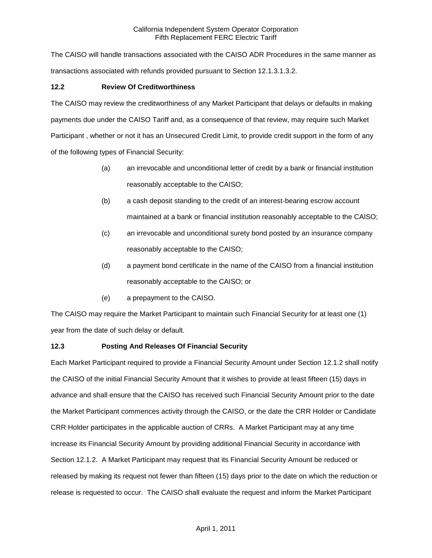The CAISO will handle transactions associated with the CAISO ADR Procedures in the same manner as transactions associated with refunds provided pursuant to Section 12.1.3.1.3.2.

# **12.2 Review Of Creditworthiness**

The CAISO may review the creditworthiness of any Market Participant that delays or defaults in making payments due under the CAISO Tariff and, as a consequence of that review, may require such Market Participant , whether or not it has an Unsecured Credit Limit, to provide credit support in the form of any of the following types of Financial Security:

- (a) an irrevocable and unconditional letter of credit by a bank or financial institution reasonably acceptable to the CAISO;
- (b) a cash deposit standing to the credit of an interest-bearing escrow account maintained at a bank or financial institution reasonably acceptable to the CAISO;
- (c) an irrevocable and unconditional surety bond posted by an insurance company reasonably acceptable to the CAISO;
- (d) a payment bond certificate in the name of the CAISO from a financial institution reasonably acceptable to the CAISO; or
- (e) a prepayment to the CAISO.

The CAISO may require the Market Participant to maintain such Financial Security for at least one (1) year from the date of such delay or default.

# **12.3 Posting And Releases Of Financial Security**

Each Market Participant required to provide a Financial Security Amount under Section 12.1.2 shall notify the CAISO of the initial Financial Security Amount that it wishes to provide at least fifteen (15) days in advance and shall ensure that the CAISO has received such Financial Security Amount prior to the date the Market Participant commences activity through the CAISO, or the date the CRR Holder or Candidate CRR Holder participates in the applicable auction of CRRs. A Market Participant may at any time increase its Financial Security Amount by providing additional Financial Security in accordance with Section 12.1.2. A Market Participant may request that its Financial Security Amount be reduced or released by making its request not fewer than fifteen (15) days prior to the date on which the reduction or release is requested to occur. The CAISO shall evaluate the request and inform the Market Participant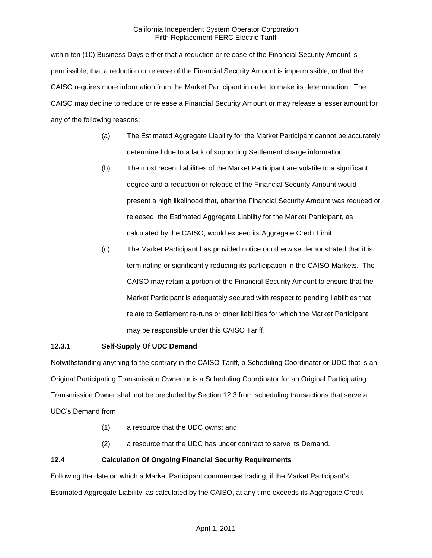within ten (10) Business Days either that a reduction or release of the Financial Security Amount is permissible, that a reduction or release of the Financial Security Amount is impermissible, or that the CAISO requires more information from the Market Participant in order to make its determination. The CAISO may decline to reduce or release a Financial Security Amount or may release a lesser amount for any of the following reasons:

- (a) The Estimated Aggregate Liability for the Market Participant cannot be accurately determined due to a lack of supporting Settlement charge information.
- (b) The most recent liabilities of the Market Participant are volatile to a significant degree and a reduction or release of the Financial Security Amount would present a high likelihood that, after the Financial Security Amount was reduced or released, the Estimated Aggregate Liability for the Market Participant, as calculated by the CAISO, would exceed its Aggregate Credit Limit.
- (c) The Market Participant has provided notice or otherwise demonstrated that it is terminating or significantly reducing its participation in the CAISO Markets. The CAISO may retain a portion of the Financial Security Amount to ensure that the Market Participant is adequately secured with respect to pending liabilities that relate to Settlement re-runs or other liabilities for which the Market Participant may be responsible under this CAISO Tariff.

# **12.3.1 Self-Supply Of UDC Demand**

Notwithstanding anything to the contrary in the CAISO Tariff, a Scheduling Coordinator or UDC that is an Original Participating Transmission Owner or is a Scheduling Coordinator for an Original Participating Transmission Owner shall not be precluded by Section 12.3 from scheduling transactions that serve a UDC's Demand from

- (1) a resource that the UDC owns; and
- (2) a resource that the UDC has under contract to serve its Demand.

# **12.4 Calculation Of Ongoing Financial Security Requirements**

Following the date on which a Market Participant commences trading, if the Market Participant's Estimated Aggregate Liability, as calculated by the CAISO, at any time exceeds its Aggregate Credit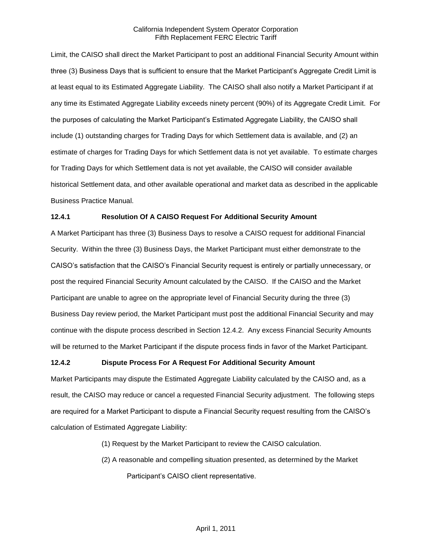Limit, the CAISO shall direct the Market Participant to post an additional Financial Security Amount within three (3) Business Days that is sufficient to ensure that the Market Participant's Aggregate Credit Limit is at least equal to its Estimated Aggregate Liability. The CAISO shall also notify a Market Participant if at any time its Estimated Aggregate Liability exceeds ninety percent (90%) of its Aggregate Credit Limit. For the purposes of calculating the Market Participant's Estimated Aggregate Liability, the CAISO shall include (1) outstanding charges for Trading Days for which Settlement data is available, and (2) an estimate of charges for Trading Days for which Settlement data is not yet available. To estimate charges for Trading Days for which Settlement data is not yet available, the CAISO will consider available historical Settlement data, and other available operational and market data as described in the applicable Business Practice Manual.

### **12.4.1 Resolution Of A CAISO Request For Additional Security Amount**

A Market Participant has three (3) Business Days to resolve a CAISO request for additional Financial Security. Within the three (3) Business Days, the Market Participant must either demonstrate to the CAISO's satisfaction that the CAISO's Financial Security request is entirely or partially unnecessary, or post the required Financial Security Amount calculated by the CAISO. If the CAISO and the Market Participant are unable to agree on the appropriate level of Financial Security during the three (3) Business Day review period, the Market Participant must post the additional Financial Security and may continue with the dispute process described in Section 12.4.2. Any excess Financial Security Amounts will be returned to the Market Participant if the dispute process finds in favor of the Market Participant.

### **12.4.2 Dispute Process For A Request For Additional Security Amount**

Market Participants may dispute the Estimated Aggregate Liability calculated by the CAISO and, as a result, the CAISO may reduce or cancel a requested Financial Security adjustment. The following steps are required for a Market Participant to dispute a Financial Security request resulting from the CAISO's calculation of Estimated Aggregate Liability:

- (1) Request by the Market Participant to review the CAISO calculation.
- (2) A reasonable and compelling situation presented, as determined by the Market Participant's CAISO client representative.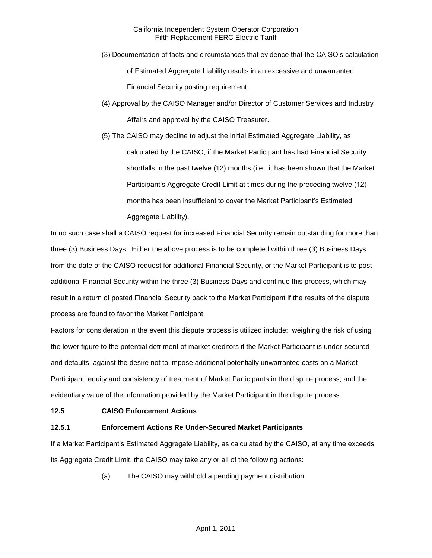- (3) Documentation of facts and circumstances that evidence that the CAISO's calculation of Estimated Aggregate Liability results in an excessive and unwarranted Financial Security posting requirement.
- (4) Approval by the CAISO Manager and/or Director of Customer Services and Industry Affairs and approval by the CAISO Treasurer.
- (5) The CAISO may decline to adjust the initial Estimated Aggregate Liability, as calculated by the CAISO, if the Market Participant has had Financial Security shortfalls in the past twelve (12) months (i.e., it has been shown that the Market Participant's Aggregate Credit Limit at times during the preceding twelve (12) months has been insufficient to cover the Market Participant's Estimated Aggregate Liability).

In no such case shall a CAISO request for increased Financial Security remain outstanding for more than three (3) Business Days. Either the above process is to be completed within three (3) Business Days from the date of the CAISO request for additional Financial Security, or the Market Participant is to post additional Financial Security within the three (3) Business Days and continue this process, which may result in a return of posted Financial Security back to the Market Participant if the results of the dispute process are found to favor the Market Participant.

Factors for consideration in the event this dispute process is utilized include: weighing the risk of using the lower figure to the potential detriment of market creditors if the Market Participant is under-secured and defaults, against the desire not to impose additional potentially unwarranted costs on a Market Participant; equity and consistency of treatment of Market Participants in the dispute process; and the evidentiary value of the information provided by the Market Participant in the dispute process.

# **12.5 CAISO Enforcement Actions**

# **12.5.1 Enforcement Actions Re Under-Secured Market Participants**

If a Market Participant's Estimated Aggregate Liability, as calculated by the CAISO, at any time exceeds its Aggregate Credit Limit, the CAISO may take any or all of the following actions:

(a) The CAISO may withhold a pending payment distribution.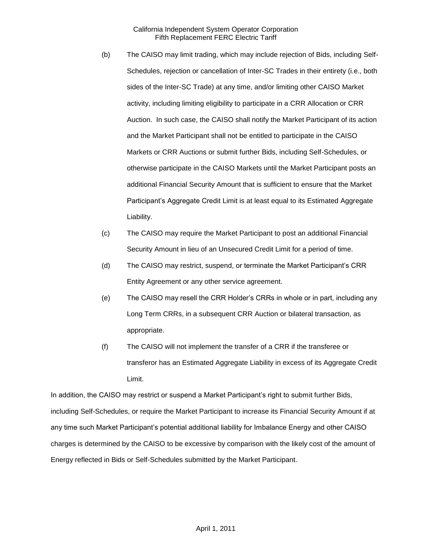- (b) The CAISO may limit trading, which may include rejection of Bids, including Self-Schedules, rejection or cancellation of Inter-SC Trades in their entirety (i.e., both sides of the Inter-SC Trade) at any time, and/or limiting other CAISO Market activity, including limiting eligibility to participate in a CRR Allocation or CRR Auction. In such case, the CAISO shall notify the Market Participant of its action and the Market Participant shall not be entitled to participate in the CAISO Markets or CRR Auctions or submit further Bids, including Self-Schedules, or otherwise participate in the CAISO Markets until the Market Participant posts an additional Financial Security Amount that is sufficient to ensure that the Market Participant's Aggregate Credit Limit is at least equal to its Estimated Aggregate Liability.
- (c) The CAISO may require the Market Participant to post an additional Financial Security Amount in lieu of an Unsecured Credit Limit for a period of time.
- (d) The CAISO may restrict, suspend, or terminate the Market Participant's CRR Entity Agreement or any other service agreement.
- (e) The CAISO may resell the CRR Holder's CRRs in whole or in part, including any Long Term CRRs, in a subsequent CRR Auction or bilateral transaction, as appropriate.
- (f) The CAISO will not implement the transfer of a CRR if the transferee or transferor has an Estimated Aggregate Liability in excess of its Aggregate Credit Limit.

In addition, the CAISO may restrict or suspend a Market Participant's right to submit further Bids, including Self-Schedules, or require the Market Participant to increase its Financial Security Amount if at any time such Market Participant's potential additional liability for Imbalance Energy and other CAISO charges is determined by the CAISO to be excessive by comparison with the likely cost of the amount of Energy reflected in Bids or Self-Schedules submitted by the Market Participant.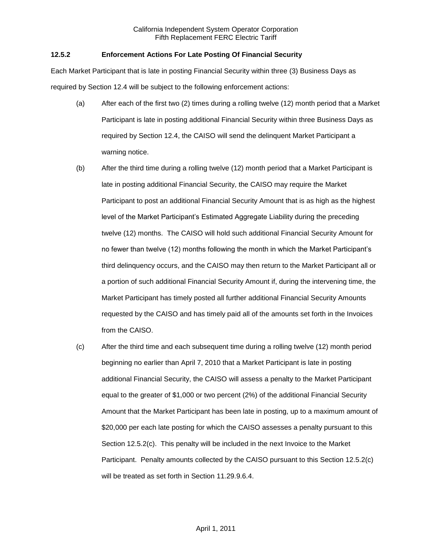### **12.5.2 Enforcement Actions For Late Posting Of Financial Security**

Each Market Participant that is late in posting Financial Security within three (3) Business Days as required by Section 12.4 will be subject to the following enforcement actions:

- (a) After each of the first two (2) times during a rolling twelve (12) month period that a Market Participant is late in posting additional Financial Security within three Business Days as required by Section 12.4, the CAISO will send the delinquent Market Participant a warning notice.
- (b) After the third time during a rolling twelve (12) month period that a Market Participant is late in posting additional Financial Security, the CAISO may require the Market Participant to post an additional Financial Security Amount that is as high as the highest level of the Market Participant's Estimated Aggregate Liability during the preceding twelve (12) months. The CAISO will hold such additional Financial Security Amount for no fewer than twelve (12) months following the month in which the Market Participant's third delinquency occurs, and the CAISO may then return to the Market Participant all or a portion of such additional Financial Security Amount if, during the intervening time, the Market Participant has timely posted all further additional Financial Security Amounts requested by the CAISO and has timely paid all of the amounts set forth in the Invoices from the CAISO.
- (c) After the third time and each subsequent time during a rolling twelve (12) month period beginning no earlier than April 7, 2010 that a Market Participant is late in posting additional Financial Security, the CAISO will assess a penalty to the Market Participant equal to the greater of \$1,000 or two percent (2%) of the additional Financial Security Amount that the Market Participant has been late in posting, up to a maximum amount of \$20,000 per each late posting for which the CAISO assesses a penalty pursuant to this Section 12.5.2(c). This penalty will be included in the next Invoice to the Market Participant. Penalty amounts collected by the CAISO pursuant to this Section 12.5.2(c) will be treated as set forth in Section 11.29.9.6.4.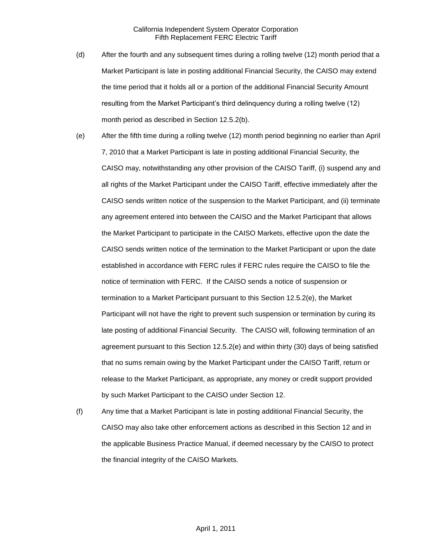- (d) After the fourth and any subsequent times during a rolling twelve (12) month period that a Market Participant is late in posting additional Financial Security, the CAISO may extend the time period that it holds all or a portion of the additional Financial Security Amount resulting from the Market Participant's third delinquency during a rolling twelve (12) month period as described in Section 12.5.2(b).
- (e) After the fifth time during a rolling twelve (12) month period beginning no earlier than April 7, 2010 that a Market Participant is late in posting additional Financial Security, the CAISO may, notwithstanding any other provision of the CAISO Tariff, (i) suspend any and all rights of the Market Participant under the CAISO Tariff, effective immediately after the CAISO sends written notice of the suspension to the Market Participant, and (ii) terminate any agreement entered into between the CAISO and the Market Participant that allows the Market Participant to participate in the CAISO Markets, effective upon the date the CAISO sends written notice of the termination to the Market Participant or upon the date established in accordance with FERC rules if FERC rules require the CAISO to file the notice of termination with FERC. If the CAISO sends a notice of suspension or termination to a Market Participant pursuant to this Section 12.5.2(e), the Market Participant will not have the right to prevent such suspension or termination by curing its late posting of additional Financial Security. The CAISO will, following termination of an agreement pursuant to this Section 12.5.2(e) and within thirty (30) days of being satisfied that no sums remain owing by the Market Participant under the CAISO Tariff, return or release to the Market Participant, as appropriate, any money or credit support provided by such Market Participant to the CAISO under Section 12.
- (f) Any time that a Market Participant is late in posting additional Financial Security, the CAISO may also take other enforcement actions as described in this Section 12 and in the applicable Business Practice Manual, if deemed necessary by the CAISO to protect the financial integrity of the CAISO Markets.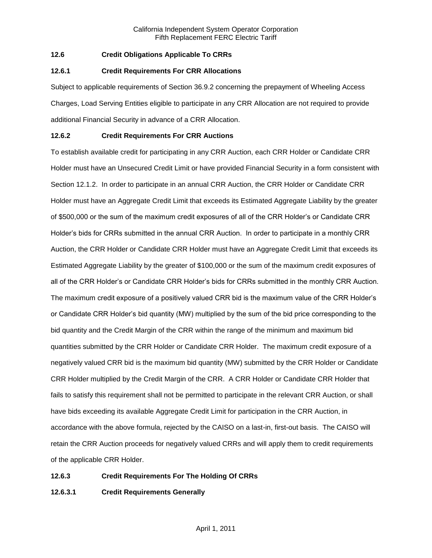# **12.6 Credit Obligations Applicable To CRRs**

### **12.6.1 Credit Requirements For CRR Allocations**

Subject to applicable requirements of Section 36.9.2 concerning the prepayment of Wheeling Access Charges, Load Serving Entities eligible to participate in any CRR Allocation are not required to provide additional Financial Security in advance of a CRR Allocation.

### **12.6.2 Credit Requirements For CRR Auctions**

To establish available credit for participating in any CRR Auction, each CRR Holder or Candidate CRR Holder must have an Unsecured Credit Limit or have provided Financial Security in a form consistent with Section 12.1.2. In order to participate in an annual CRR Auction, the CRR Holder or Candidate CRR Holder must have an Aggregate Credit Limit that exceeds its Estimated Aggregate Liability by the greater of \$500,000 or the sum of the maximum credit exposures of all of the CRR Holder's or Candidate CRR Holder's bids for CRRs submitted in the annual CRR Auction. In order to participate in a monthly CRR Auction, the CRR Holder or Candidate CRR Holder must have an Aggregate Credit Limit that exceeds its Estimated Aggregate Liability by the greater of \$100,000 or the sum of the maximum credit exposures of all of the CRR Holder's or Candidate CRR Holder's bids for CRRs submitted in the monthly CRR Auction. The maximum credit exposure of a positively valued CRR bid is the maximum value of the CRR Holder's or Candidate CRR Holder's bid quantity (MW) multiplied by the sum of the bid price corresponding to the bid quantity and the Credit Margin of the CRR within the range of the minimum and maximum bid quantities submitted by the CRR Holder or Candidate CRR Holder. The maximum credit exposure of a negatively valued CRR bid is the maximum bid quantity (MW) submitted by the CRR Holder or Candidate CRR Holder multiplied by the Credit Margin of the CRR. A CRR Holder or Candidate CRR Holder that fails to satisfy this requirement shall not be permitted to participate in the relevant CRR Auction, or shall have bids exceeding its available Aggregate Credit Limit for participation in the CRR Auction, in accordance with the above formula, rejected by the CAISO on a last-in, first-out basis. The CAISO will retain the CRR Auction proceeds for negatively valued CRRs and will apply them to credit requirements of the applicable CRR Holder.

### **12.6.3 Credit Requirements For The Holding Of CRRs**

# **12.6.3.1 Credit Requirements Generally**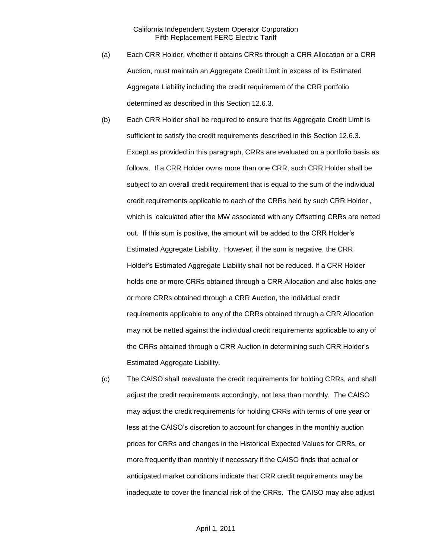- (a) Each CRR Holder, whether it obtains CRRs through a CRR Allocation or a CRR Auction, must maintain an Aggregate Credit Limit in excess of its Estimated Aggregate Liability including the credit requirement of the CRR portfolio determined as described in this Section 12.6.3.
- (b) Each CRR Holder shall be required to ensure that its Aggregate Credit Limit is sufficient to satisfy the credit requirements described in this Section 12.6.3. Except as provided in this paragraph, CRRs are evaluated on a portfolio basis as follows. If a CRR Holder owns more than one CRR, such CRR Holder shall be subject to an overall credit requirement that is equal to the sum of the individual credit requirements applicable to each of the CRRs held by such CRR Holder , which is calculated after the MW associated with any Offsetting CRRs are netted out. If this sum is positive, the amount will be added to the CRR Holder's Estimated Aggregate Liability. However, if the sum is negative, the CRR Holder's Estimated Aggregate Liability shall not be reduced. If a CRR Holder holds one or more CRRs obtained through a CRR Allocation and also holds one or more CRRs obtained through a CRR Auction, the individual credit requirements applicable to any of the CRRs obtained through a CRR Allocation may not be netted against the individual credit requirements applicable to any of the CRRs obtained through a CRR Auction in determining such CRR Holder's Estimated Aggregate Liability.
- (c) The CAISO shall reevaluate the credit requirements for holding CRRs, and shall adjust the credit requirements accordingly, not less than monthly. The CAISO may adjust the credit requirements for holding CRRs with terms of one year or less at the CAISO's discretion to account for changes in the monthly auction prices for CRRs and changes in the Historical Expected Values for CRRs, or more frequently than monthly if necessary if the CAISO finds that actual or anticipated market conditions indicate that CRR credit requirements may be inadequate to cover the financial risk of the CRRs. The CAISO may also adjust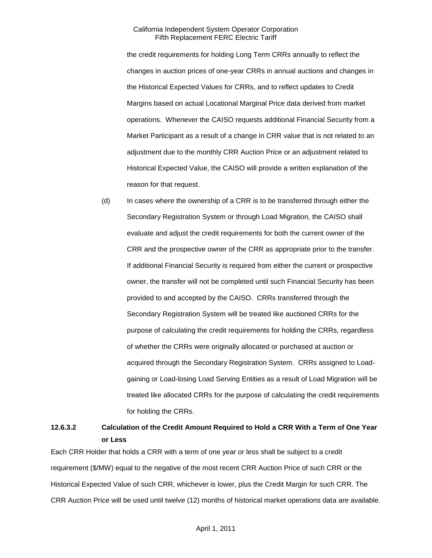the credit requirements for holding Long Term CRRs annually to reflect the changes in auction prices of one-year CRRs in annual auctions and changes in the Historical Expected Values for CRRs, and to reflect updates to Credit Margins based on actual Locational Marginal Price data derived from market operations. Whenever the CAISO requests additional Financial Security from a Market Participant as a result of a change in CRR value that is not related to an adjustment due to the monthly CRR Auction Price or an adjustment related to Historical Expected Value, the CAISO will provide a written explanation of the reason for that request.

(d) In cases where the ownership of a CRR is to be transferred through either the Secondary Registration System or through Load Migration, the CAISO shall evaluate and adjust the credit requirements for both the current owner of the CRR and the prospective owner of the CRR as appropriate prior to the transfer. If additional Financial Security is required from either the current or prospective owner, the transfer will not be completed until such Financial Security has been provided to and accepted by the CAISO. CRRs transferred through the Secondary Registration System will be treated like auctioned CRRs for the purpose of calculating the credit requirements for holding the CRRs, regardless of whether the CRRs were originally allocated or purchased at auction or acquired through the Secondary Registration System. CRRs assigned to Loadgaining or Load-losing Load Serving Entities as a result of Load Migration will be treated like allocated CRRs for the purpose of calculating the credit requirements for holding the CRRs.

# **12.6.3.2 Calculation of the Credit Amount Required to Hold a CRR With a Term of One Year or Less**

Each CRR Holder that holds a CRR with a term of one year or less shall be subject to a credit requirement (\$/MW) equal to the negative of the most recent CRR Auction Price of such CRR or the Historical Expected Value of such CRR, whichever is lower, plus the Credit Margin for such CRR. The CRR Auction Price will be used until twelve (12) months of historical market operations data are available.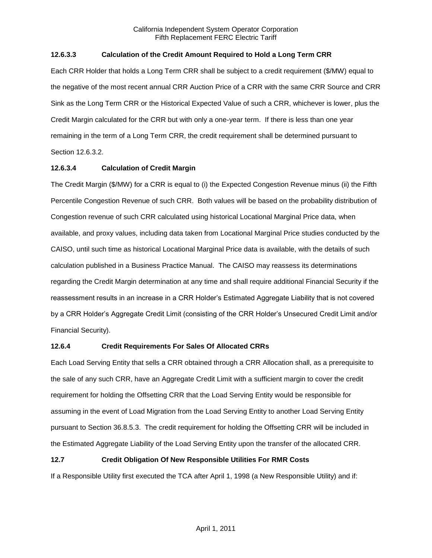# **12.6.3.3 Calculation of the Credit Amount Required to Hold a Long Term CRR**

Each CRR Holder that holds a Long Term CRR shall be subject to a credit requirement (\$/MW) equal to the negative of the most recent annual CRR Auction Price of a CRR with the same CRR Source and CRR Sink as the Long Term CRR or the Historical Expected Value of such a CRR, whichever is lower, plus the Credit Margin calculated for the CRR but with only a one-year term. If there is less than one year remaining in the term of a Long Term CRR, the credit requirement shall be determined pursuant to Section 12.6.3.2.

# **12.6.3.4 Calculation of Credit Margin**

The Credit Margin (\$/MW) for a CRR is equal to (i) the Expected Congestion Revenue minus (ii) the Fifth Percentile Congestion Revenue of such CRR. Both values will be based on the probability distribution of Congestion revenue of such CRR calculated using historical Locational Marginal Price data, when available, and proxy values, including data taken from Locational Marginal Price studies conducted by the CAISO, until such time as historical Locational Marginal Price data is available, with the details of such calculation published in a Business Practice Manual. The CAISO may reassess its determinations regarding the Credit Margin determination at any time and shall require additional Financial Security if the reassessment results in an increase in a CRR Holder's Estimated Aggregate Liability that is not covered by a CRR Holder's Aggregate Credit Limit (consisting of the CRR Holder's Unsecured Credit Limit and/or Financial Security).

# **12.6.4 Credit Requirements For Sales Of Allocated CRRs**

Each Load Serving Entity that sells a CRR obtained through a CRR Allocation shall, as a prerequisite to the sale of any such CRR, have an Aggregate Credit Limit with a sufficient margin to cover the credit requirement for holding the Offsetting CRR that the Load Serving Entity would be responsible for assuming in the event of Load Migration from the Load Serving Entity to another Load Serving Entity pursuant to Section 36.8.5.3. The credit requirement for holding the Offsetting CRR will be included in the Estimated Aggregate Liability of the Load Serving Entity upon the transfer of the allocated CRR.

# **12.7 Credit Obligation Of New Responsible Utilities For RMR Costs**

If a Responsible Utility first executed the TCA after April 1, 1998 (a New Responsible Utility) and if: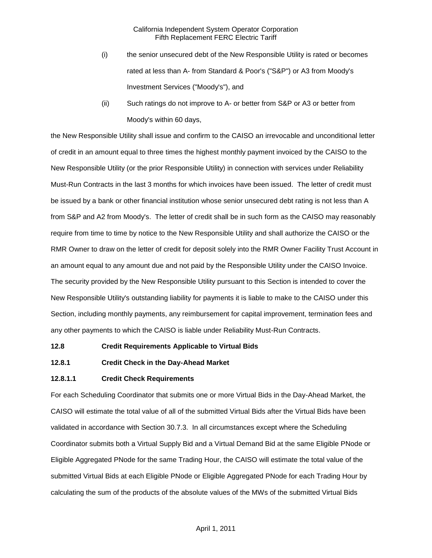- (i) the senior unsecured debt of the New Responsible Utility is rated or becomes rated at less than A- from Standard & Poor's ("S&P") or A3 from Moody's Investment Services ("Moody's"), and
- (ii) Such ratings do not improve to A- or better from S&P or A3 or better from Moody's within 60 days,

the New Responsible Utility shall issue and confirm to the CAISO an irrevocable and unconditional letter of credit in an amount equal to three times the highest monthly payment invoiced by the CAISO to the New Responsible Utility (or the prior Responsible Utility) in connection with services under Reliability Must-Run Contracts in the last 3 months for which invoices have been issued. The letter of credit must be issued by a bank or other financial institution whose senior unsecured debt rating is not less than A from S&P and A2 from Moody's. The letter of credit shall be in such form as the CAISO may reasonably require from time to time by notice to the New Responsible Utility and shall authorize the CAISO or the RMR Owner to draw on the letter of credit for deposit solely into the RMR Owner Facility Trust Account in an amount equal to any amount due and not paid by the Responsible Utility under the CAISO Invoice. The security provided by the New Responsible Utility pursuant to this Section is intended to cover the New Responsible Utility's outstanding liability for payments it is liable to make to the CAISO under this Section, including monthly payments, any reimbursement for capital improvement, termination fees and any other payments to which the CAISO is liable under Reliability Must-Run Contracts.

#### **12.8 Credit Requirements Applicable to Virtual Bids**

### **12.8.1 Credit Check in the Day-Ahead Market**

#### **12.8.1.1 Credit Check Requirements**

For each Scheduling Coordinator that submits one or more Virtual Bids in the Day-Ahead Market, the CAISO will estimate the total value of all of the submitted Virtual Bids after the Virtual Bids have been validated in accordance with Section 30.7.3. In all circumstances except where the Scheduling Coordinator submits both a Virtual Supply Bid and a Virtual Demand Bid at the same Eligible PNode or Eligible Aggregated PNode for the same Trading Hour, the CAISO will estimate the total value of the submitted Virtual Bids at each Eligible PNode or Eligible Aggregated PNode for each Trading Hour by calculating the sum of the products of the absolute values of the MWs of the submitted Virtual Bids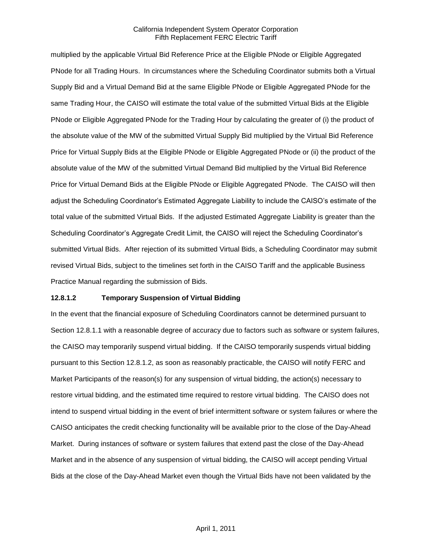multiplied by the applicable Virtual Bid Reference Price at the Eligible PNode or Eligible Aggregated PNode for all Trading Hours. In circumstances where the Scheduling Coordinator submits both a Virtual Supply Bid and a Virtual Demand Bid at the same Eligible PNode or Eligible Aggregated PNode for the same Trading Hour, the CAISO will estimate the total value of the submitted Virtual Bids at the Eligible PNode or Eligible Aggregated PNode for the Trading Hour by calculating the greater of (i) the product of the absolute value of the MW of the submitted Virtual Supply Bid multiplied by the Virtual Bid Reference Price for Virtual Supply Bids at the Eligible PNode or Eligible Aggregated PNode or (ii) the product of the absolute value of the MW of the submitted Virtual Demand Bid multiplied by the Virtual Bid Reference Price for Virtual Demand Bids at the Eligible PNode or Eligible Aggregated PNode. The CAISO will then adjust the Scheduling Coordinator's Estimated Aggregate Liability to include the CAISO's estimate of the total value of the submitted Virtual Bids. If the adjusted Estimated Aggregate Liability is greater than the Scheduling Coordinator's Aggregate Credit Limit, the CAISO will reject the Scheduling Coordinator's submitted Virtual Bids. After rejection of its submitted Virtual Bids, a Scheduling Coordinator may submit revised Virtual Bids, subject to the timelines set forth in the CAISO Tariff and the applicable Business Practice Manual regarding the submission of Bids.

### **12.8.1.2 Temporary Suspension of Virtual Bidding**

In the event that the financial exposure of Scheduling Coordinators cannot be determined pursuant to Section 12.8.1.1 with a reasonable degree of accuracy due to factors such as software or system failures, the CAISO may temporarily suspend virtual bidding. If the CAISO temporarily suspends virtual bidding pursuant to this Section 12.8.1.2, as soon as reasonably practicable, the CAISO will notify FERC and Market Participants of the reason(s) for any suspension of virtual bidding, the action(s) necessary to restore virtual bidding, and the estimated time required to restore virtual bidding. The CAISO does not intend to suspend virtual bidding in the event of brief intermittent software or system failures or where the CAISO anticipates the credit checking functionality will be available prior to the close of the Day-Ahead Market. During instances of software or system failures that extend past the close of the Day-Ahead Market and in the absence of any suspension of virtual bidding, the CAISO will accept pending Virtual Bids at the close of the Day-Ahead Market even though the Virtual Bids have not been validated by the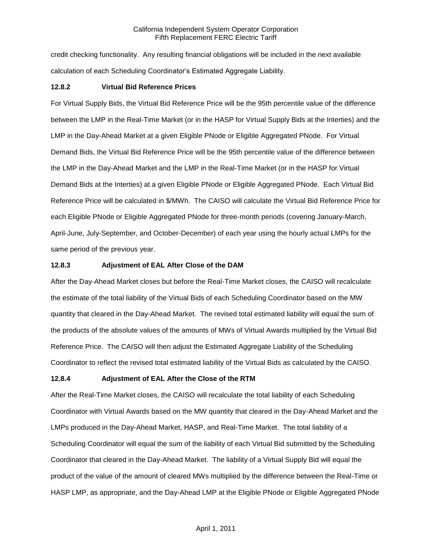credit checking functionality. Any resulting financial obligations will be included in the next available calculation of each Scheduling Coordinator's Estimated Aggregate Liability.

### **12.8.2 Virtual Bid Reference Prices**

For Virtual Supply Bids, the Virtual Bid Reference Price will be the 95th percentile value of the difference between the LMP in the Real-Time Market (or in the HASP for Virtual Supply Bids at the Interties) and the LMP in the Day-Ahead Market at a given Eligible PNode or Eligible Aggregated PNode. For Virtual Demand Bids, the Virtual Bid Reference Price will be the 95th percentile value of the difference between the LMP in the Day-Ahead Market and the LMP in the Real-Time Market (or in the HASP for Virtual Demand Bids at the Interties) at a given Eligible PNode or Eligible Aggregated PNode. Each Virtual Bid Reference Price will be calculated in \$/MWh. The CAISO will calculate the Virtual Bid Reference Price for each Eligible PNode or Eligible Aggregated PNode for three-month periods (covering January-March, April-June, July-September, and October-December) of each year using the hourly actual LMPs for the same period of the previous year.

### **12.8.3 Adjustment of EAL After Close of the DAM**

After the Day-Ahead Market closes but before the Real-Time Market closes, the CAISO will recalculate the estimate of the total liability of the Virtual Bids of each Scheduling Coordinator based on the MW quantity that cleared in the Day-Ahead Market. The revised total estimated liability will equal the sum of the products of the absolute values of the amounts of MWs of Virtual Awards multiplied by the Virtual Bid Reference Price. The CAISO will then adjust the Estimated Aggregate Liability of the Scheduling Coordinator to reflect the revised total estimated liability of the Virtual Bids as calculated by the CAISO.

### **12.8.4 Adjustment of EAL After the Close of the RTM**

After the Real-Time Market closes, the CAISO will recalculate the total liability of each Scheduling Coordinator with Virtual Awards based on the MW quantity that cleared in the Day-Ahead Market and the LMPs produced in the Day-Ahead Market, HASP, and Real-Time Market. The total liability of a Scheduling Coordinator will equal the sum of the liability of each Virtual Bid submitted by the Scheduling Coordinator that cleared in the Day-Ahead Market. The liability of a Virtual Supply Bid will equal the product of the value of the amount of cleared MWs multiplied by the difference between the Real-Time or HASP LMP, as appropriate, and the Day-Ahead LMP at the Eligible PNode or Eligible Aggregated PNode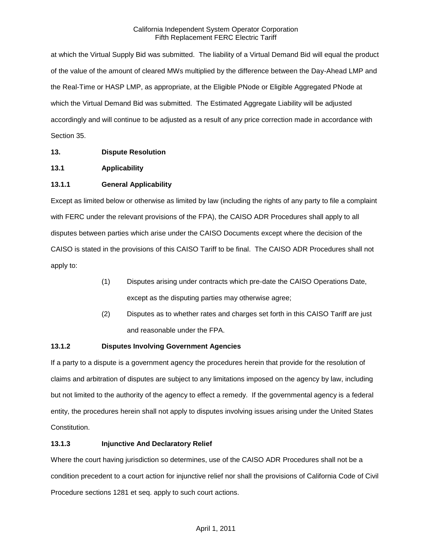at which the Virtual Supply Bid was submitted. The liability of a Virtual Demand Bid will equal the product of the value of the amount of cleared MWs multiplied by the difference between the Day-Ahead LMP and the Real-Time or HASP LMP, as appropriate, at the Eligible PNode or Eligible Aggregated PNode at which the Virtual Demand Bid was submitted. The Estimated Aggregate Liability will be adjusted accordingly and will continue to be adjusted as a result of any price correction made in accordance with Section 35.

# **13. Dispute Resolution**

# **13.1 Applicability**

# **13.1.1 General Applicability**

Except as limited below or otherwise as limited by law (including the rights of any party to file a complaint with FERC under the relevant provisions of the FPA), the CAISO ADR Procedures shall apply to all disputes between parties which arise under the CAISO Documents except where the decision of the CAISO is stated in the provisions of this CAISO Tariff to be final. The CAISO ADR Procedures shall not apply to:

- (1) Disputes arising under contracts which pre-date the CAISO Operations Date, except as the disputing parties may otherwise agree;
- (2) Disputes as to whether rates and charges set forth in this CAISO Tariff are just and reasonable under the FPA.

# **13.1.2 Disputes Involving Government Agencies**

If a party to a dispute is a government agency the procedures herein that provide for the resolution of claims and arbitration of disputes are subject to any limitations imposed on the agency by law, including but not limited to the authority of the agency to effect a remedy. If the governmental agency is a federal entity, the procedures herein shall not apply to disputes involving issues arising under the United States Constitution.

### **13.1.3 Injunctive And Declaratory Relief**

Where the court having jurisdiction so determines, use of the CAISO ADR Procedures shall not be a condition precedent to a court action for injunctive relief nor shall the provisions of California Code of Civil Procedure sections 1281 et seq. apply to such court actions.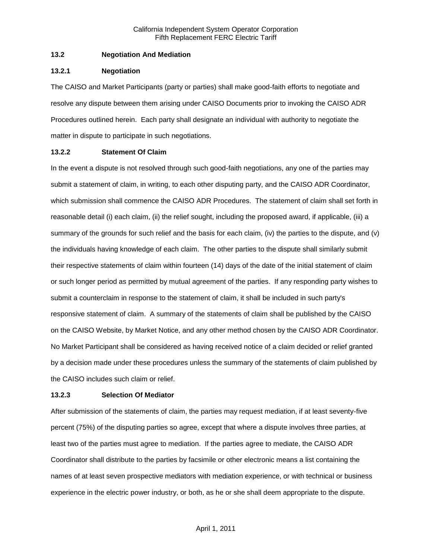### **13.2 Negotiation And Mediation**

### **13.2.1 Negotiation**

The CAISO and Market Participants (party or parties) shall make good-faith efforts to negotiate and resolve any dispute between them arising under CAISO Documents prior to invoking the CAISO ADR Procedures outlined herein. Each party shall designate an individual with authority to negotiate the matter in dispute to participate in such negotiations.

# **13.2.2 Statement Of Claim**

In the event a dispute is not resolved through such good-faith negotiations, any one of the parties may submit a statement of claim, in writing, to each other disputing party, and the CAISO ADR Coordinator, which submission shall commence the CAISO ADR Procedures. The statement of claim shall set forth in reasonable detail (i) each claim, (ii) the relief sought, including the proposed award, if applicable, (iii) a summary of the grounds for such relief and the basis for each claim, (iv) the parties to the dispute, and (v) the individuals having knowledge of each claim. The other parties to the dispute shall similarly submit their respective statements of claim within fourteen (14) days of the date of the initial statement of claim or such longer period as permitted by mutual agreement of the parties. If any responding party wishes to submit a counterclaim in response to the statement of claim, it shall be included in such party's responsive statement of claim. A summary of the statements of claim shall be published by the CAISO on the CAISO Website, by Market Notice, and any other method chosen by the CAISO ADR Coordinator. No Market Participant shall be considered as having received notice of a claim decided or relief granted by a decision made under these procedures unless the summary of the statements of claim published by the CAISO includes such claim or relief.

# **13.2.3 Selection Of Mediator**

After submission of the statements of claim, the parties may request mediation, if at least seventy-five percent (75%) of the disputing parties so agree, except that where a dispute involves three parties, at least two of the parties must agree to mediation. If the parties agree to mediate, the CAISO ADR Coordinator shall distribute to the parties by facsimile or other electronic means a list containing the names of at least seven prospective mediators with mediation experience, or with technical or business experience in the electric power industry, or both, as he or she shall deem appropriate to the dispute.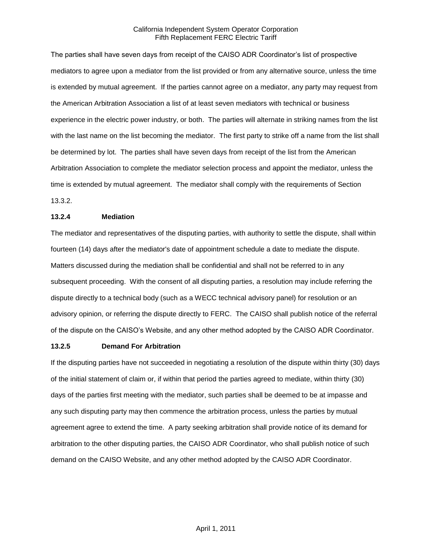The parties shall have seven days from receipt of the CAISO ADR Coordinator's list of prospective mediators to agree upon a mediator from the list provided or from any alternative source, unless the time is extended by mutual agreement. If the parties cannot agree on a mediator, any party may request from the American Arbitration Association a list of at least seven mediators with technical or business experience in the electric power industry, or both. The parties will alternate in striking names from the list with the last name on the list becoming the mediator. The first party to strike off a name from the list shall be determined by lot. The parties shall have seven days from receipt of the list from the American Arbitration Association to complete the mediator selection process and appoint the mediator, unless the time is extended by mutual agreement. The mediator shall comply with the requirements of Section 13.3.2.

### **13.2.4 Mediation**

The mediator and representatives of the disputing parties, with authority to settle the dispute, shall within fourteen (14) days after the mediator's date of appointment schedule a date to mediate the dispute. Matters discussed during the mediation shall be confidential and shall not be referred to in any subsequent proceeding. With the consent of all disputing parties, a resolution may include referring the dispute directly to a technical body (such as a WECC technical advisory panel) for resolution or an advisory opinion, or referring the dispute directly to FERC. The CAISO shall publish notice of the referral of the dispute on the CAISO's Website, and any other method adopted by the CAISO ADR Coordinator.

#### **13.2.5 Demand For Arbitration**

If the disputing parties have not succeeded in negotiating a resolution of the dispute within thirty (30) days of the initial statement of claim or, if within that period the parties agreed to mediate, within thirty (30) days of the parties first meeting with the mediator, such parties shall be deemed to be at impasse and any such disputing party may then commence the arbitration process, unless the parties by mutual agreement agree to extend the time. A party seeking arbitration shall provide notice of its demand for arbitration to the other disputing parties, the CAISO ADR Coordinator, who shall publish notice of such demand on the CAISO Website, and any other method adopted by the CAISO ADR Coordinator.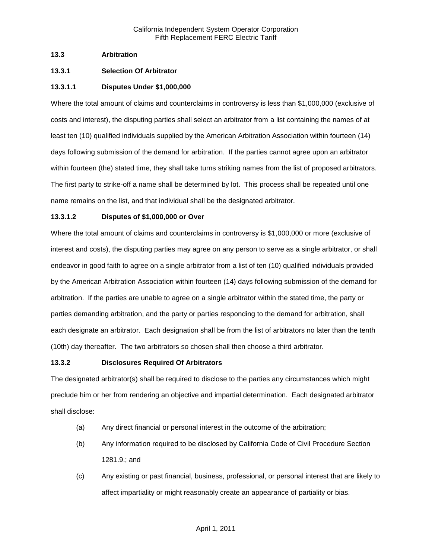### **13.3 Arbitration**

## **13.3.1 Selection Of Arbitrator**

### **13.3.1.1 Disputes Under \$1,000,000**

Where the total amount of claims and counterclaims in controversy is less than \$1,000,000 (exclusive of costs and interest), the disputing parties shall select an arbitrator from a list containing the names of at least ten (10) qualified individuals supplied by the American Arbitration Association within fourteen (14) days following submission of the demand for arbitration. If the parties cannot agree upon an arbitrator within fourteen (the) stated time, they shall take turns striking names from the list of proposed arbitrators. The first party to strike-off a name shall be determined by lot. This process shall be repeated until one name remains on the list, and that individual shall be the designated arbitrator.

### **13.3.1.2 Disputes of \$1,000,000 or Over**

Where the total amount of claims and counterclaims in controversy is \$1,000,000 or more (exclusive of interest and costs), the disputing parties may agree on any person to serve as a single arbitrator, or shall endeavor in good faith to agree on a single arbitrator from a list of ten (10) qualified individuals provided by the American Arbitration Association within fourteen (14) days following submission of the demand for arbitration. If the parties are unable to agree on a single arbitrator within the stated time, the party or parties demanding arbitration, and the party or parties responding to the demand for arbitration, shall each designate an arbitrator. Each designation shall be from the list of arbitrators no later than the tenth (10th) day thereafter. The two arbitrators so chosen shall then choose a third arbitrator.

### **13.3.2 Disclosures Required Of Arbitrators**

The designated arbitrator(s) shall be required to disclose to the parties any circumstances which might preclude him or her from rendering an objective and impartial determination. Each designated arbitrator shall disclose:

- (a) Any direct financial or personal interest in the outcome of the arbitration;
- (b) Any information required to be disclosed by California Code of Civil Procedure Section 1281.9.; and
- (c) Any existing or past financial, business, professional, or personal interest that are likely to affect impartiality or might reasonably create an appearance of partiality or bias.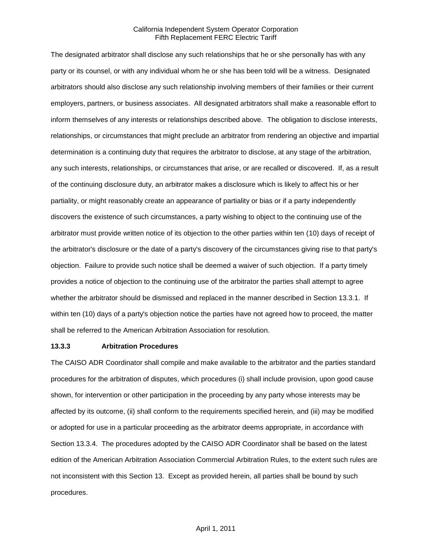The designated arbitrator shall disclose any such relationships that he or she personally has with any party or its counsel, or with any individual whom he or she has been told will be a witness. Designated arbitrators should also disclose any such relationship involving members of their families or their current employers, partners, or business associates. All designated arbitrators shall make a reasonable effort to inform themselves of any interests or relationships described above. The obligation to disclose interests, relationships, or circumstances that might preclude an arbitrator from rendering an objective and impartial determination is a continuing duty that requires the arbitrator to disclose, at any stage of the arbitration, any such interests, relationships, or circumstances that arise, or are recalled or discovered. If, as a result of the continuing disclosure duty, an arbitrator makes a disclosure which is likely to affect his or her partiality, or might reasonably create an appearance of partiality or bias or if a party independently discovers the existence of such circumstances, a party wishing to object to the continuing use of the arbitrator must provide written notice of its objection to the other parties within ten (10) days of receipt of the arbitrator's disclosure or the date of a party's discovery of the circumstances giving rise to that party's objection. Failure to provide such notice shall be deemed a waiver of such objection. If a party timely provides a notice of objection to the continuing use of the arbitrator the parties shall attempt to agree whether the arbitrator should be dismissed and replaced in the manner described in Section 13.3.1. If within ten (10) days of a party's objection notice the parties have not agreed how to proceed, the matter shall be referred to the American Arbitration Association for resolution.

### **13.3.3 Arbitration Procedures**

The CAISO ADR Coordinator shall compile and make available to the arbitrator and the parties standard procedures for the arbitration of disputes, which procedures (i) shall include provision, upon good cause shown, for intervention or other participation in the proceeding by any party whose interests may be affected by its outcome, (ii) shall conform to the requirements specified herein, and (iii) may be modified or adopted for use in a particular proceeding as the arbitrator deems appropriate, in accordance with Section 13.3.4. The procedures adopted by the CAISO ADR Coordinator shall be based on the latest edition of the American Arbitration Association Commercial Arbitration Rules, to the extent such rules are not inconsistent with this Section 13. Except as provided herein, all parties shall be bound by such procedures.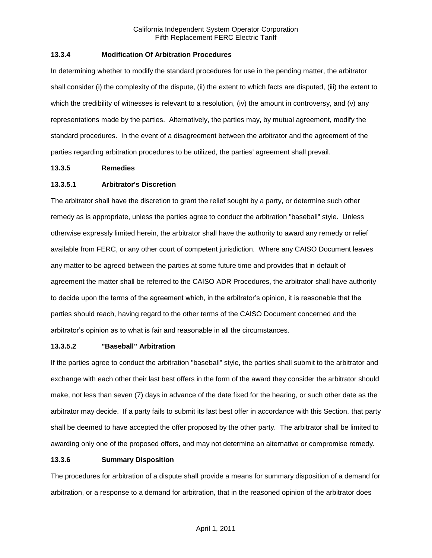### **13.3.4 Modification Of Arbitration Procedures**

In determining whether to modify the standard procedures for use in the pending matter, the arbitrator shall consider (i) the complexity of the dispute, (ii) the extent to which facts are disputed, (iii) the extent to which the credibility of witnesses is relevant to a resolution, (iv) the amount in controversy, and (v) any representations made by the parties. Alternatively, the parties may, by mutual agreement, modify the standard procedures. In the event of a disagreement between the arbitrator and the agreement of the parties regarding arbitration procedures to be utilized, the parties' agreement shall prevail.

### **13.3.5 Remedies**

# **13.3.5.1 Arbitrator's Discretion**

The arbitrator shall have the discretion to grant the relief sought by a party, or determine such other remedy as is appropriate, unless the parties agree to conduct the arbitration "baseball" style. Unless otherwise expressly limited herein, the arbitrator shall have the authority to award any remedy or relief available from FERC, or any other court of competent jurisdiction. Where any CAISO Document leaves any matter to be agreed between the parties at some future time and provides that in default of agreement the matter shall be referred to the CAISO ADR Procedures, the arbitrator shall have authority to decide upon the terms of the agreement which, in the arbitrator's opinion, it is reasonable that the parties should reach, having regard to the other terms of the CAISO Document concerned and the arbitrator's opinion as to what is fair and reasonable in all the circumstances.

### **13.3.5.2 "Baseball" Arbitration**

If the parties agree to conduct the arbitration "baseball" style, the parties shall submit to the arbitrator and exchange with each other their last best offers in the form of the award they consider the arbitrator should make, not less than seven (7) days in advance of the date fixed for the hearing, or such other date as the arbitrator may decide. If a party fails to submit its last best offer in accordance with this Section, that party shall be deemed to have accepted the offer proposed by the other party. The arbitrator shall be limited to awarding only one of the proposed offers, and may not determine an alternative or compromise remedy.

### **13.3.6 Summary Disposition**

The procedures for arbitration of a dispute shall provide a means for summary disposition of a demand for arbitration, or a response to a demand for arbitration, that in the reasoned opinion of the arbitrator does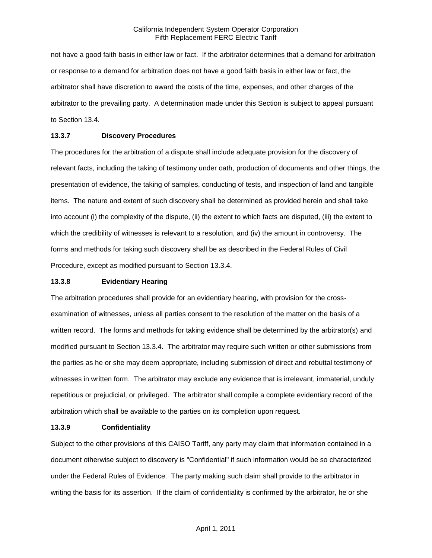not have a good faith basis in either law or fact. If the arbitrator determines that a demand for arbitration or response to a demand for arbitration does not have a good faith basis in either law or fact, the arbitrator shall have discretion to award the costs of the time, expenses, and other charges of the arbitrator to the prevailing party. A determination made under this Section is subject to appeal pursuant to Section 13.4.

### **13.3.7 Discovery Procedures**

The procedures for the arbitration of a dispute shall include adequate provision for the discovery of relevant facts, including the taking of testimony under oath, production of documents and other things, the presentation of evidence, the taking of samples, conducting of tests, and inspection of land and tangible items. The nature and extent of such discovery shall be determined as provided herein and shall take into account (i) the complexity of the dispute, (ii) the extent to which facts are disputed, (iii) the extent to which the credibility of witnesses is relevant to a resolution, and (iv) the amount in controversy. The forms and methods for taking such discovery shall be as described in the Federal Rules of Civil Procedure, except as modified pursuant to Section 13.3.4.

#### **13.3.8 Evidentiary Hearing**

The arbitration procedures shall provide for an evidentiary hearing, with provision for the crossexamination of witnesses, unless all parties consent to the resolution of the matter on the basis of a written record. The forms and methods for taking evidence shall be determined by the arbitrator(s) and modified pursuant to Section 13.3.4. The arbitrator may require such written or other submissions from the parties as he or she may deem appropriate, including submission of direct and rebuttal testimony of witnesses in written form. The arbitrator may exclude any evidence that is irrelevant, immaterial, unduly repetitious or prejudicial, or privileged. The arbitrator shall compile a complete evidentiary record of the arbitration which shall be available to the parties on its completion upon request.

### **13.3.9 Confidentiality**

Subject to the other provisions of this CAISO Tariff, any party may claim that information contained in a document otherwise subject to discovery is "Confidential" if such information would be so characterized under the Federal Rules of Evidence. The party making such claim shall provide to the arbitrator in writing the basis for its assertion. If the claim of confidentiality is confirmed by the arbitrator, he or she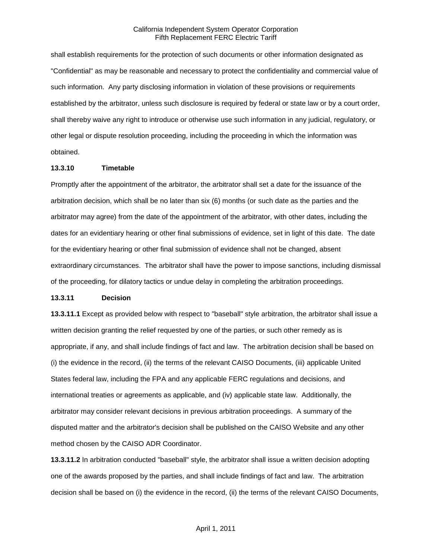shall establish requirements for the protection of such documents or other information designated as "Confidential" as may be reasonable and necessary to protect the confidentiality and commercial value of such information. Any party disclosing information in violation of these provisions or requirements established by the arbitrator, unless such disclosure is required by federal or state law or by a court order, shall thereby waive any right to introduce or otherwise use such information in any judicial, regulatory, or other legal or dispute resolution proceeding, including the proceeding in which the information was obtained.

### **13.3.10 Timetable**

Promptly after the appointment of the arbitrator, the arbitrator shall set a date for the issuance of the arbitration decision, which shall be no later than six (6) months (or such date as the parties and the arbitrator may agree) from the date of the appointment of the arbitrator, with other dates, including the dates for an evidentiary hearing or other final submissions of evidence, set in light of this date. The date for the evidentiary hearing or other final submission of evidence shall not be changed, absent extraordinary circumstances. The arbitrator shall have the power to impose sanctions, including dismissal of the proceeding, for dilatory tactics or undue delay in completing the arbitration proceedings.

#### **13.3.11 Decision**

**13.3.11.1** Except as provided below with respect to "baseball" style arbitration, the arbitrator shall issue a written decision granting the relief requested by one of the parties, or such other remedy as is appropriate, if any, and shall include findings of fact and law. The arbitration decision shall be based on (i) the evidence in the record, (ii) the terms of the relevant CAISO Documents, (iii) applicable United States federal law, including the FPA and any applicable FERC regulations and decisions, and international treaties or agreements as applicable, and (iv) applicable state law. Additionally, the arbitrator may consider relevant decisions in previous arbitration proceedings. A summary of the disputed matter and the arbitrator's decision shall be published on the CAISO Website and any other method chosen by the CAISO ADR Coordinator.

**13.3.11.2** In arbitration conducted "baseball" style, the arbitrator shall issue a written decision adopting one of the awards proposed by the parties, and shall include findings of fact and law. The arbitration decision shall be based on (i) the evidence in the record, (ii) the terms of the relevant CAISO Documents,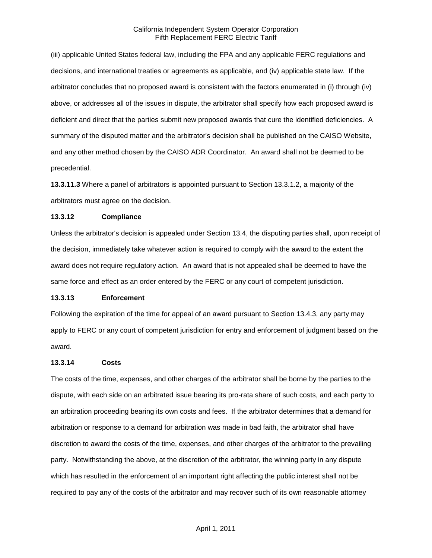(iii) applicable United States federal law, including the FPA and any applicable FERC regulations and decisions, and international treaties or agreements as applicable, and (iv) applicable state law. If the arbitrator concludes that no proposed award is consistent with the factors enumerated in (i) through (iv) above, or addresses all of the issues in dispute, the arbitrator shall specify how each proposed award is deficient and direct that the parties submit new proposed awards that cure the identified deficiencies. A summary of the disputed matter and the arbitrator's decision shall be published on the CAISO Website, and any other method chosen by the CAISO ADR Coordinator. An award shall not be deemed to be precedential.

**13.3.11.3** Where a panel of arbitrators is appointed pursuant to Section 13.3.1.2, a majority of the arbitrators must agree on the decision.

#### **13.3.12 Compliance**

Unless the arbitrator's decision is appealed under Section 13.4, the disputing parties shall, upon receipt of the decision, immediately take whatever action is required to comply with the award to the extent the award does not require regulatory action. An award that is not appealed shall be deemed to have the same force and effect as an order entered by the FERC or any court of competent jurisdiction.

#### **13.3.13 Enforcement**

Following the expiration of the time for appeal of an award pursuant to Section 13.4.3, any party may apply to FERC or any court of competent jurisdiction for entry and enforcement of judgment based on the award.

#### **13.3.14 Costs**

The costs of the time, expenses, and other charges of the arbitrator shall be borne by the parties to the dispute, with each side on an arbitrated issue bearing its pro-rata share of such costs, and each party to an arbitration proceeding bearing its own costs and fees. If the arbitrator determines that a demand for arbitration or response to a demand for arbitration was made in bad faith, the arbitrator shall have discretion to award the costs of the time, expenses, and other charges of the arbitrator to the prevailing party. Notwithstanding the above, at the discretion of the arbitrator, the winning party in any dispute which has resulted in the enforcement of an important right affecting the public interest shall not be required to pay any of the costs of the arbitrator and may recover such of its own reasonable attorney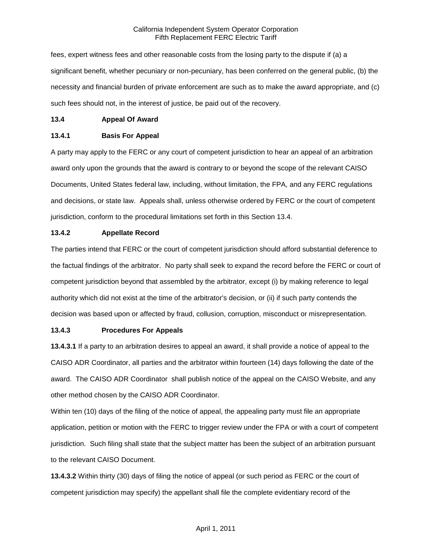fees, expert witness fees and other reasonable costs from the losing party to the dispute if (a) a significant benefit, whether pecuniary or non-pecuniary, has been conferred on the general public, (b) the necessity and financial burden of private enforcement are such as to make the award appropriate, and (c) such fees should not, in the interest of justice, be paid out of the recovery.

### **13.4 Appeal Of Award**

### **13.4.1 Basis For Appeal**

A party may apply to the FERC or any court of competent jurisdiction to hear an appeal of an arbitration award only upon the grounds that the award is contrary to or beyond the scope of the relevant CAISO Documents, United States federal law, including, without limitation, the FPA, and any FERC regulations and decisions, or state law. Appeals shall, unless otherwise ordered by FERC or the court of competent jurisdiction, conform to the procedural limitations set forth in this Section 13.4.

### **13.4.2 Appellate Record**

The parties intend that FERC or the court of competent jurisdiction should afford substantial deference to the factual findings of the arbitrator. No party shall seek to expand the record before the FERC or court of competent jurisdiction beyond that assembled by the arbitrator, except (i) by making reference to legal authority which did not exist at the time of the arbitrator's decision, or (ii) if such party contends the decision was based upon or affected by fraud, collusion, corruption, misconduct or misrepresentation.

### **13.4.3 Procedures For Appeals**

**13.4.3.1** If a party to an arbitration desires to appeal an award, it shall provide a notice of appeal to the CAISO ADR Coordinator, all parties and the arbitrator within fourteen (14) days following the date of the award. The CAISO ADR Coordinator shall publish notice of the appeal on the CAISO Website, and any other method chosen by the CAISO ADR Coordinator.

Within ten (10) days of the filing of the notice of appeal, the appealing party must file an appropriate application, petition or motion with the FERC to trigger review under the FPA or with a court of competent jurisdiction. Such filing shall state that the subject matter has been the subject of an arbitration pursuant to the relevant CAISO Document.

**13.4.3.2** Within thirty (30) days of filing the notice of appeal (or such period as FERC or the court of competent jurisdiction may specify) the appellant shall file the complete evidentiary record of the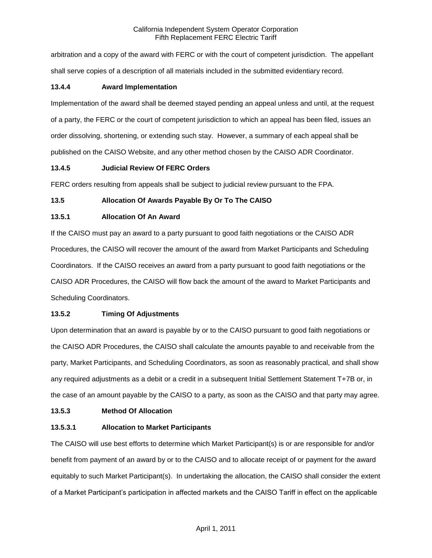arbitration and a copy of the award with FERC or with the court of competent jurisdiction. The appellant shall serve copies of a description of all materials included in the submitted evidentiary record.

## **13.4.4 Award Implementation**

Implementation of the award shall be deemed stayed pending an appeal unless and until, at the request of a party, the FERC or the court of competent jurisdiction to which an appeal has been filed, issues an order dissolving, shortening, or extending such stay. However, a summary of each appeal shall be published on the CAISO Website, and any other method chosen by the CAISO ADR Coordinator.

## **13.4.5 Judicial Review Of FERC Orders**

FERC orders resulting from appeals shall be subject to judicial review pursuant to the FPA.

## **13.5 Allocation Of Awards Payable By Or To The CAISO**

## **13.5.1 Allocation Of An Award**

If the CAISO must pay an award to a party pursuant to good faith negotiations or the CAISO ADR Procedures, the CAISO will recover the amount of the award from Market Participants and Scheduling Coordinators. If the CAISO receives an award from a party pursuant to good faith negotiations or the CAISO ADR Procedures, the CAISO will flow back the amount of the award to Market Participants and Scheduling Coordinators.

# **13.5.2 Timing Of Adjustments**

Upon determination that an award is payable by or to the CAISO pursuant to good faith negotiations or the CAISO ADR Procedures, the CAISO shall calculate the amounts payable to and receivable from the party, Market Participants, and Scheduling Coordinators, as soon as reasonably practical, and shall show any required adjustments as a debit or a credit in a subsequent Initial Settlement Statement T+7B or, in the case of an amount payable by the CAISO to a party, as soon as the CAISO and that party may agree.

### **13.5.3 Method Of Allocation**

# **13.5.3.1 Allocation to Market Participants**

The CAISO will use best efforts to determine which Market Participant(s) is or are responsible for and/or benefit from payment of an award by or to the CAISO and to allocate receipt of or payment for the award equitably to such Market Participant(s). In undertaking the allocation, the CAISO shall consider the extent of a Market Participant's participation in affected markets and the CAISO Tariff in effect on the applicable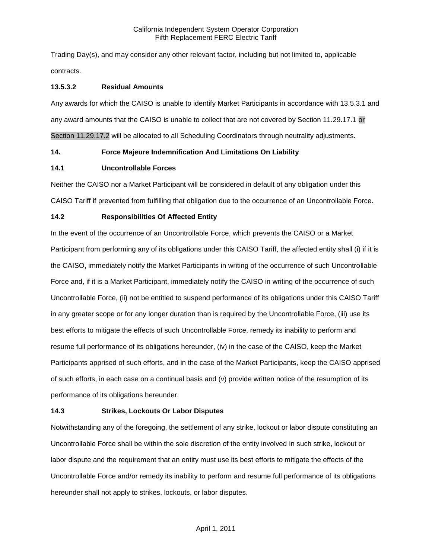Trading Day(s), and may consider any other relevant factor, including but not limited to, applicable contracts.

## **13.5.3.2 Residual Amounts**

Any awards for which the CAISO is unable to identify Market Participants in accordance with 13.5.3.1 and any award amounts that the CAISO is unable to collect that are not covered by Section 11.29.17.1 or Section 11.29.17.2 will be allocated to all Scheduling Coordinators through neutrality adjustments.

# **14. Force Majeure Indemnification And Limitations On Liability**

## **14.1 Uncontrollable Forces**

Neither the CAISO nor a Market Participant will be considered in default of any obligation under this CAISO Tariff if prevented from fulfilling that obligation due to the occurrence of an Uncontrollable Force.

## **14.2 Responsibilities Of Affected Entity**

In the event of the occurrence of an Uncontrollable Force, which prevents the CAISO or a Market Participant from performing any of its obligations under this CAISO Tariff, the affected entity shall (i) if it is the CAISO, immediately notify the Market Participants in writing of the occurrence of such Uncontrollable Force and, if it is a Market Participant, immediately notify the CAISO in writing of the occurrence of such Uncontrollable Force, (ii) not be entitled to suspend performance of its obligations under this CAISO Tariff in any greater scope or for any longer duration than is required by the Uncontrollable Force, (iii) use its best efforts to mitigate the effects of such Uncontrollable Force, remedy its inability to perform and resume full performance of its obligations hereunder, (iv) in the case of the CAISO, keep the Market Participants apprised of such efforts, and in the case of the Market Participants, keep the CAISO apprised of such efforts, in each case on a continual basis and (v) provide written notice of the resumption of its performance of its obligations hereunder.

# **14.3 Strikes, Lockouts Or Labor Disputes**

Notwithstanding any of the foregoing, the settlement of any strike, lockout or labor dispute constituting an Uncontrollable Force shall be within the sole discretion of the entity involved in such strike, lockout or labor dispute and the requirement that an entity must use its best efforts to mitigate the effects of the Uncontrollable Force and/or remedy its inability to perform and resume full performance of its obligations hereunder shall not apply to strikes, lockouts, or labor disputes.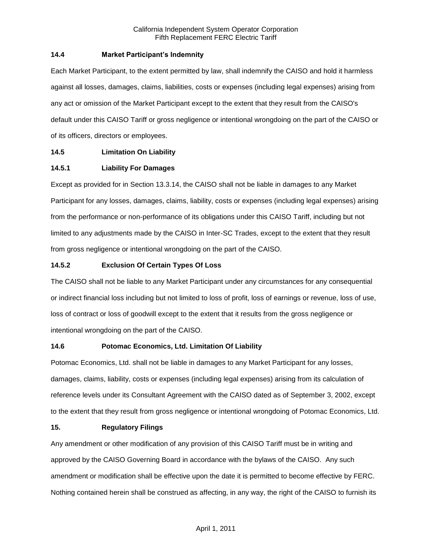## **14.4 Market Participant's Indemnity**

Each Market Participant, to the extent permitted by law, shall indemnify the CAISO and hold it harmless against all losses, damages, claims, liabilities, costs or expenses (including legal expenses) arising from any act or omission of the Market Participant except to the extent that they result from the CAISO's default under this CAISO Tariff or gross negligence or intentional wrongdoing on the part of the CAISO or of its officers, directors or employees.

# **14.5 Limitation On Liability**

## **14.5.1 Liability For Damages**

Except as provided for in Section 13.3.14, the CAISO shall not be liable in damages to any Market Participant for any losses, damages, claims, liability, costs or expenses (including legal expenses) arising from the performance or non-performance of its obligations under this CAISO Tariff, including but not limited to any adjustments made by the CAISO in Inter-SC Trades, except to the extent that they result from gross negligence or intentional wrongdoing on the part of the CAISO.

## **14.5.2 Exclusion Of Certain Types Of Loss**

The CAISO shall not be liable to any Market Participant under any circumstances for any consequential or indirect financial loss including but not limited to loss of profit, loss of earnings or revenue, loss of use, loss of contract or loss of goodwill except to the extent that it results from the gross negligence or intentional wrongdoing on the part of the CAISO.

### **14.6 Potomac Economics, Ltd. Limitation Of Liability**

Potomac Economics, Ltd. shall not be liable in damages to any Market Participant for any losses, damages, claims, liability, costs or expenses (including legal expenses) arising from its calculation of reference levels under its Consultant Agreement with the CAISO dated as of September 3, 2002, except to the extent that they result from gross negligence or intentional wrongdoing of Potomac Economics, Ltd.

### **15. Regulatory Filings**

Any amendment or other modification of any provision of this CAISO Tariff must be in writing and approved by the CAISO Governing Board in accordance with the bylaws of the CAISO. Any such amendment or modification shall be effective upon the date it is permitted to become effective by FERC. Nothing contained herein shall be construed as affecting, in any way, the right of the CAISO to furnish its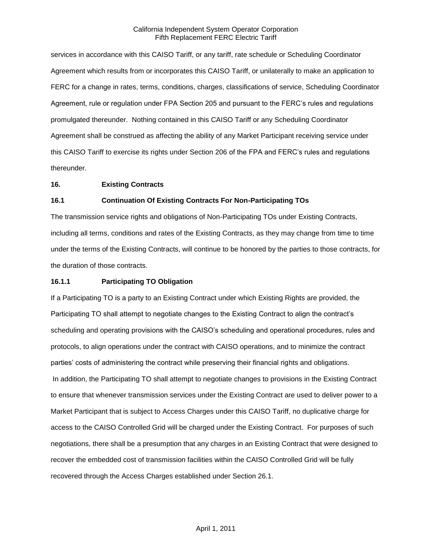services in accordance with this CAISO Tariff, or any tariff, rate schedule or Scheduling Coordinator Agreement which results from or incorporates this CAISO Tariff, or unilaterally to make an application to FERC for a change in rates, terms, conditions, charges, classifications of service, Scheduling Coordinator Agreement, rule or regulation under FPA Section 205 and pursuant to the FERC's rules and regulations promulgated thereunder. Nothing contained in this CAISO Tariff or any Scheduling Coordinator Agreement shall be construed as affecting the ability of any Market Participant receiving service under this CAISO Tariff to exercise its rights under Section 206 of the FPA and FERC's rules and regulations thereunder.

#### **16. Existing Contracts**

### **16.1 Continuation Of Existing Contracts For Non-Participating TOs**

The transmission service rights and obligations of Non-Participating TOs under Existing Contracts, including all terms, conditions and rates of the Existing Contracts, as they may change from time to time under the terms of the Existing Contracts, will continue to be honored by the parties to those contracts, for the duration of those contracts.

#### **16.1.1 Participating TO Obligation**

If a Participating TO is a party to an Existing Contract under which Existing Rights are provided, the Participating TO shall attempt to negotiate changes to the Existing Contract to align the contract's scheduling and operating provisions with the CAISO's scheduling and operational procedures, rules and protocols, to align operations under the contract with CAISO operations, and to minimize the contract parties' costs of administering the contract while preserving their financial rights and obligations. In addition, the Participating TO shall attempt to negotiate changes to provisions in the Existing Contract to ensure that whenever transmission services under the Existing Contract are used to deliver power to a Market Participant that is subject to Access Charges under this CAISO Tariff, no duplicative charge for access to the CAISO Controlled Grid will be charged under the Existing Contract. For purposes of such negotiations, there shall be a presumption that any charges in an Existing Contract that were designed to recover the embedded cost of transmission facilities within the CAISO Controlled Grid will be fully recovered through the Access Charges established under Section 26.1.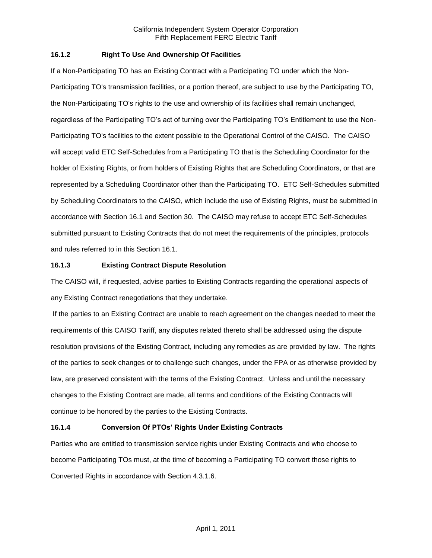## **16.1.2 Right To Use And Ownership Of Facilities**

If a Non-Participating TO has an Existing Contract with a Participating TO under which the Non-Participating TO's transmission facilities, or a portion thereof, are subject to use by the Participating TO, the Non-Participating TO's rights to the use and ownership of its facilities shall remain unchanged, regardless of the Participating TO's act of turning over the Participating TO's Entitlement to use the Non-Participating TO's facilities to the extent possible to the Operational Control of the CAISO. The CAISO will accept valid ETC Self-Schedules from a Participating TO that is the Scheduling Coordinator for the holder of Existing Rights, or from holders of Existing Rights that are Scheduling Coordinators, or that are represented by a Scheduling Coordinator other than the Participating TO. ETC Self-Schedules submitted by Scheduling Coordinators to the CAISO, which include the use of Existing Rights, must be submitted in accordance with Section 16.1 and Section 30. The CAISO may refuse to accept ETC Self-Schedules submitted pursuant to Existing Contracts that do not meet the requirements of the principles, protocols and rules referred to in this Section 16.1.

## **16.1.3 Existing Contract Dispute Resolution**

The CAISO will, if requested, advise parties to Existing Contracts regarding the operational aspects of any Existing Contract renegotiations that they undertake.

If the parties to an Existing Contract are unable to reach agreement on the changes needed to meet the requirements of this CAISO Tariff, any disputes related thereto shall be addressed using the dispute resolution provisions of the Existing Contract, including any remedies as are provided by law. The rights of the parties to seek changes or to challenge such changes, under the FPA or as otherwise provided by law, are preserved consistent with the terms of the Existing Contract. Unless and until the necessary changes to the Existing Contract are made, all terms and conditions of the Existing Contracts will continue to be honored by the parties to the Existing Contracts.

# **16.1.4 Conversion Of PTOs' Rights Under Existing Contracts**

Parties who are entitled to transmission service rights under Existing Contracts and who choose to become Participating TOs must, at the time of becoming a Participating TO convert those rights to Converted Rights in accordance with Section 4.3.1.6.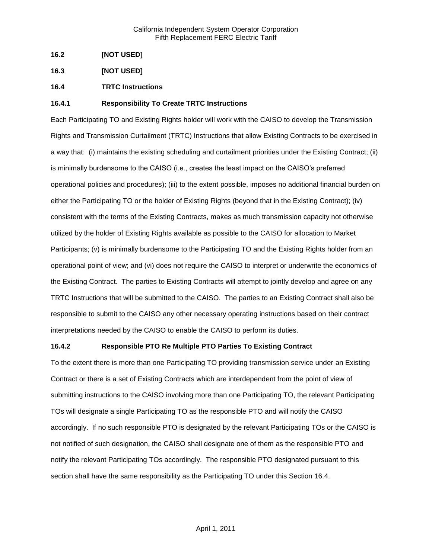- **16.2 [NOT USED]**
- **16.3 [NOT USED]**
- **16.4 TRTC Instructions**

### **16.4.1 Responsibility To Create TRTC Instructions**

Each Participating TO and Existing Rights holder will work with the CAISO to develop the Transmission Rights and Transmission Curtailment (TRTC) Instructions that allow Existing Contracts to be exercised in a way that: (i) maintains the existing scheduling and curtailment priorities under the Existing Contract; (ii) is minimally burdensome to the CAISO (i.e., creates the least impact on the CAISO's preferred operational policies and procedures); (iii) to the extent possible, imposes no additional financial burden on either the Participating TO or the holder of Existing Rights (beyond that in the Existing Contract); (iv) consistent with the terms of the Existing Contracts, makes as much transmission capacity not otherwise utilized by the holder of Existing Rights available as possible to the CAISO for allocation to Market Participants; (v) is minimally burdensome to the Participating TO and the Existing Rights holder from an operational point of view; and (vi) does not require the CAISO to interpret or underwrite the economics of the Existing Contract. The parties to Existing Contracts will attempt to jointly develop and agree on any TRTC Instructions that will be submitted to the CAISO. The parties to an Existing Contract shall also be responsible to submit to the CAISO any other necessary operating instructions based on their contract interpretations needed by the CAISO to enable the CAISO to perform its duties.

### **16.4.2 Responsible PTO Re Multiple PTO Parties To Existing Contract**

To the extent there is more than one Participating TO providing transmission service under an Existing Contract or there is a set of Existing Contracts which are interdependent from the point of view of submitting instructions to the CAISO involving more than one Participating TO, the relevant Participating TOs will designate a single Participating TO as the responsible PTO and will notify the CAISO accordingly. If no such responsible PTO is designated by the relevant Participating TOs or the CAISO is not notified of such designation, the CAISO shall designate one of them as the responsible PTO and notify the relevant Participating TOs accordingly. The responsible PTO designated pursuant to this section shall have the same responsibility as the Participating TO under this Section 16.4.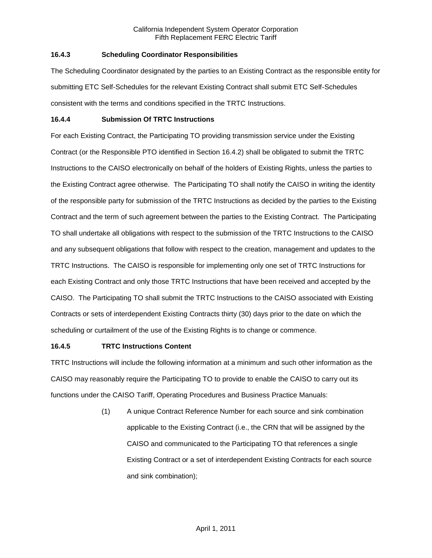## **16.4.3 Scheduling Coordinator Responsibilities**

The Scheduling Coordinator designated by the parties to an Existing Contract as the responsible entity for submitting ETC Self-Schedules for the relevant Existing Contract shall submit ETC Self-Schedules consistent with the terms and conditions specified in the TRTC Instructions.

### **16.4.4 Submission Of TRTC Instructions**

For each Existing Contract, the Participating TO providing transmission service under the Existing Contract (or the Responsible PTO identified in Section 16.4.2) shall be obligated to submit the TRTC Instructions to the CAISO electronically on behalf of the holders of Existing Rights, unless the parties to the Existing Contract agree otherwise. The Participating TO shall notify the CAISO in writing the identity of the responsible party for submission of the TRTC Instructions as decided by the parties to the Existing Contract and the term of such agreement between the parties to the Existing Contract. The Participating TO shall undertake all obligations with respect to the submission of the TRTC Instructions to the CAISO and any subsequent obligations that follow with respect to the creation, management and updates to the TRTC Instructions. The CAISO is responsible for implementing only one set of TRTC Instructions for each Existing Contract and only those TRTC Instructions that have been received and accepted by the CAISO. The Participating TO shall submit the TRTC Instructions to the CAISO associated with Existing Contracts or sets of interdependent Existing Contracts thirty (30) days prior to the date on which the scheduling or curtailment of the use of the Existing Rights is to change or commence.

# **16.4.5 TRTC Instructions Content**

TRTC Instructions will include the following information at a minimum and such other information as the CAISO may reasonably require the Participating TO to provide to enable the CAISO to carry out its functions under the CAISO Tariff, Operating Procedures and Business Practice Manuals:

> (1) A unique Contract Reference Number for each source and sink combination applicable to the Existing Contract (i.e., the CRN that will be assigned by the CAISO and communicated to the Participating TO that references a single Existing Contract or a set of interdependent Existing Contracts for each source and sink combination);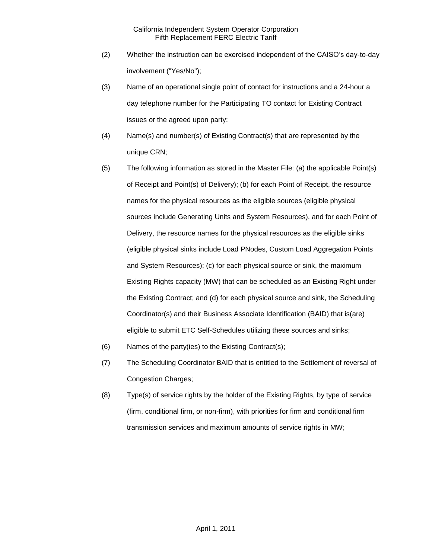- (2) Whether the instruction can be exercised independent of the CAISO's day-to-day involvement ("Yes/No");
- (3) Name of an operational single point of contact for instructions and a 24-hour a day telephone number for the Participating TO contact for Existing Contract issues or the agreed upon party;
- (4) Name(s) and number(s) of Existing Contract(s) that are represented by the unique CRN;
- (5) The following information as stored in the Master File: (a) the applicable Point(s) of Receipt and Point(s) of Delivery); (b) for each Point of Receipt, the resource names for the physical resources as the eligible sources (eligible physical sources include Generating Units and System Resources), and for each Point of Delivery, the resource names for the physical resources as the eligible sinks (eligible physical sinks include Load PNodes, Custom Load Aggregation Points and System Resources); (c) for each physical source or sink, the maximum Existing Rights capacity (MW) that can be scheduled as an Existing Right under the Existing Contract; and (d) for each physical source and sink, the Scheduling Coordinator(s) and their Business Associate Identification (BAID) that is(are) eligible to submit ETC Self-Schedules utilizing these sources and sinks;
- (6) Names of the party(ies) to the Existing Contract(s);
- (7) The Scheduling Coordinator BAID that is entitled to the Settlement of reversal of Congestion Charges;
- (8) Type(s) of service rights by the holder of the Existing Rights, by type of service (firm, conditional firm, or non-firm), with priorities for firm and conditional firm transmission services and maximum amounts of service rights in MW;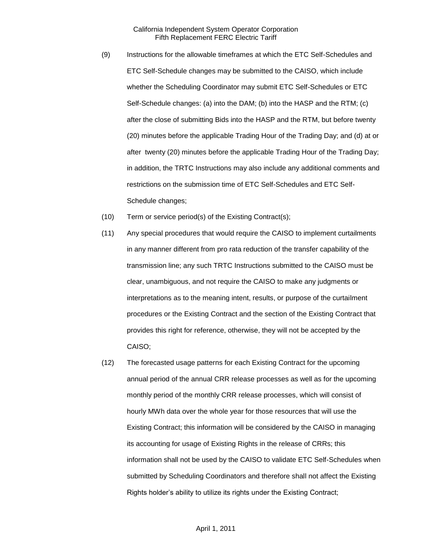- (9) Instructions for the allowable timeframes at which the ETC Self-Schedules and ETC Self-Schedule changes may be submitted to the CAISO, which include whether the Scheduling Coordinator may submit ETC Self-Schedules or ETC Self-Schedule changes: (a) into the DAM; (b) into the HASP and the RTM; (c) after the close of submitting Bids into the HASP and the RTM, but before twenty (20) minutes before the applicable Trading Hour of the Trading Day; and (d) at or after twenty (20) minutes before the applicable Trading Hour of the Trading Day; in addition, the TRTC Instructions may also include any additional comments and restrictions on the submission time of ETC Self-Schedules and ETC Self-Schedule changes;
- (10) Term or service period(s) of the Existing Contract(s);
- (11) Any special procedures that would require the CAISO to implement curtailments in any manner different from pro rata reduction of the transfer capability of the transmission line; any such TRTC Instructions submitted to the CAISO must be clear, unambiguous, and not require the CAISO to make any judgments or interpretations as to the meaning intent, results, or purpose of the curtailment procedures or the Existing Contract and the section of the Existing Contract that provides this right for reference, otherwise, they will not be accepted by the CAISO;
- (12) The forecasted usage patterns for each Existing Contract for the upcoming annual period of the annual CRR release processes as well as for the upcoming monthly period of the monthly CRR release processes, which will consist of hourly MWh data over the whole year for those resources that will use the Existing Contract; this information will be considered by the CAISO in managing its accounting for usage of Existing Rights in the release of CRRs; this information shall not be used by the CAISO to validate ETC Self-Schedules when submitted by Scheduling Coordinators and therefore shall not affect the Existing Rights holder's ability to utilize its rights under the Existing Contract;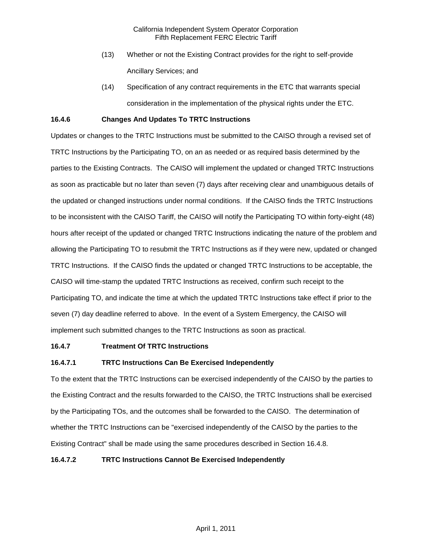- (13) Whether or not the Existing Contract provides for the right to self-provide Ancillary Services; and
- (14) Specification of any contract requirements in the ETC that warrants special consideration in the implementation of the physical rights under the ETC.

## **16.4.6 Changes And Updates To TRTC Instructions**

Updates or changes to the TRTC Instructions must be submitted to the CAISO through a revised set of TRTC Instructions by the Participating TO, on an as needed or as required basis determined by the parties to the Existing Contracts. The CAISO will implement the updated or changed TRTC Instructions as soon as practicable but no later than seven (7) days after receiving clear and unambiguous details of the updated or changed instructions under normal conditions. If the CAISO finds the TRTC Instructions to be inconsistent with the CAISO Tariff, the CAISO will notify the Participating TO within forty-eight (48) hours after receipt of the updated or changed TRTC Instructions indicating the nature of the problem and allowing the Participating TO to resubmit the TRTC Instructions as if they were new, updated or changed TRTC Instructions. If the CAISO finds the updated or changed TRTC Instructions to be acceptable, the CAISO will time-stamp the updated TRTC Instructions as received, confirm such receipt to the Participating TO, and indicate the time at which the updated TRTC Instructions take effect if prior to the seven (7) day deadline referred to above. In the event of a System Emergency, the CAISO will implement such submitted changes to the TRTC Instructions as soon as practical.

### **16.4.7 Treatment Of TRTC Instructions**

# **16.4.7.1 TRTC Instructions Can Be Exercised Independently**

To the extent that the TRTC Instructions can be exercised independently of the CAISO by the parties to the Existing Contract and the results forwarded to the CAISO, the TRTC Instructions shall be exercised by the Participating TOs, and the outcomes shall be forwarded to the CAISO. The determination of whether the TRTC Instructions can be "exercised independently of the CAISO by the parties to the Existing Contract" shall be made using the same procedures described in Section 16.4.8.

## **16.4.7.2 TRTC Instructions Cannot Be Exercised Independently**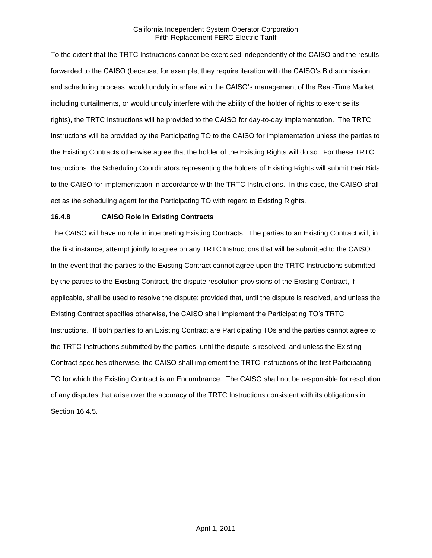To the extent that the TRTC Instructions cannot be exercised independently of the CAISO and the results forwarded to the CAISO (because, for example, they require iteration with the CAISO's Bid submission and scheduling process, would unduly interfere with the CAISO's management of the Real-Time Market, including curtailments, or would unduly interfere with the ability of the holder of rights to exercise its rights), the TRTC Instructions will be provided to the CAISO for day-to-day implementation. The TRTC Instructions will be provided by the Participating TO to the CAISO for implementation unless the parties to the Existing Contracts otherwise agree that the holder of the Existing Rights will do so. For these TRTC Instructions, the Scheduling Coordinators representing the holders of Existing Rights will submit their Bids to the CAISO for implementation in accordance with the TRTC Instructions. In this case, the CAISO shall act as the scheduling agent for the Participating TO with regard to Existing Rights.

## **16.4.8 CAISO Role In Existing Contracts**

The CAISO will have no role in interpreting Existing Contracts. The parties to an Existing Contract will, in the first instance, attempt jointly to agree on any TRTC Instructions that will be submitted to the CAISO. In the event that the parties to the Existing Contract cannot agree upon the TRTC Instructions submitted by the parties to the Existing Contract, the dispute resolution provisions of the Existing Contract, if applicable, shall be used to resolve the dispute; provided that, until the dispute is resolved, and unless the Existing Contract specifies otherwise, the CAISO shall implement the Participating TO's TRTC Instructions. If both parties to an Existing Contract are Participating TOs and the parties cannot agree to the TRTC Instructions submitted by the parties, until the dispute is resolved, and unless the Existing Contract specifies otherwise, the CAISO shall implement the TRTC Instructions of the first Participating TO for which the Existing Contract is an Encumbrance. The CAISO shall not be responsible for resolution of any disputes that arise over the accuracy of the TRTC Instructions consistent with its obligations in Section 16.4.5.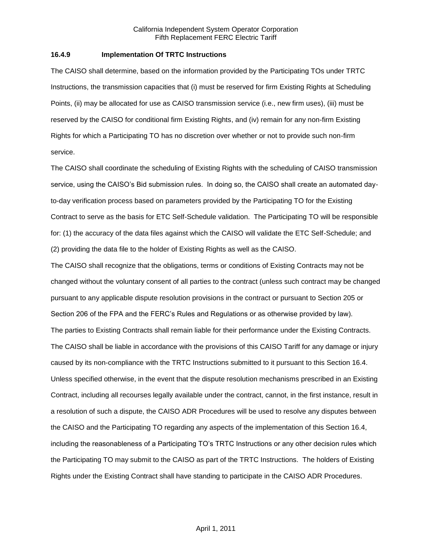### **16.4.9 Implementation Of TRTC Instructions**

The CAISO shall determine, based on the information provided by the Participating TOs under TRTC Instructions, the transmission capacities that (i) must be reserved for firm Existing Rights at Scheduling Points, (ii) may be allocated for use as CAISO transmission service (i.e., new firm uses), (iii) must be reserved by the CAISO for conditional firm Existing Rights, and (iv) remain for any non-firm Existing Rights for which a Participating TO has no discretion over whether or not to provide such non-firm service.

The CAISO shall coordinate the scheduling of Existing Rights with the scheduling of CAISO transmission service, using the CAISO's Bid submission rules. In doing so, the CAISO shall create an automated dayto-day verification process based on parameters provided by the Participating TO for the Existing Contract to serve as the basis for ETC Self-Schedule validation. The Participating TO will be responsible for: (1) the accuracy of the data files against which the CAISO will validate the ETC Self-Schedule; and (2) providing the data file to the holder of Existing Rights as well as the CAISO.

The CAISO shall recognize that the obligations, terms or conditions of Existing Contracts may not be changed without the voluntary consent of all parties to the contract (unless such contract may be changed pursuant to any applicable dispute resolution provisions in the contract or pursuant to Section 205 or Section 206 of the FPA and the FERC's Rules and Regulations or as otherwise provided by law). The parties to Existing Contracts shall remain liable for their performance under the Existing Contracts. The CAISO shall be liable in accordance with the provisions of this CAISO Tariff for any damage or injury caused by its non-compliance with the TRTC Instructions submitted to it pursuant to this Section 16.4. Unless specified otherwise, in the event that the dispute resolution mechanisms prescribed in an Existing Contract, including all recourses legally available under the contract, cannot, in the first instance, result in a resolution of such a dispute, the CAISO ADR Procedures will be used to resolve any disputes between the CAISO and the Participating TO regarding any aspects of the implementation of this Section 16.4, including the reasonableness of a Participating TO's TRTC Instructions or any other decision rules which the Participating TO may submit to the CAISO as part of the TRTC Instructions. The holders of Existing Rights under the Existing Contract shall have standing to participate in the CAISO ADR Procedures.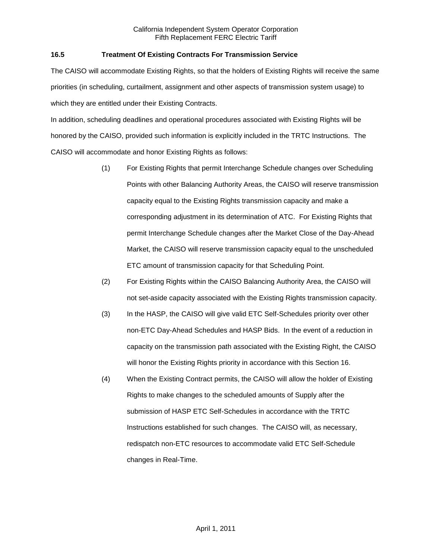## **16.5 Treatment Of Existing Contracts For Transmission Service**

The CAISO will accommodate Existing Rights, so that the holders of Existing Rights will receive the same priorities (in scheduling, curtailment, assignment and other aspects of transmission system usage) to which they are entitled under their Existing Contracts.

In addition, scheduling deadlines and operational procedures associated with Existing Rights will be honored by the CAISO, provided such information is explicitly included in the TRTC Instructions. The CAISO will accommodate and honor Existing Rights as follows:

- (1) For Existing Rights that permit Interchange Schedule changes over Scheduling Points with other Balancing Authority Areas, the CAISO will reserve transmission capacity equal to the Existing Rights transmission capacity and make a corresponding adjustment in its determination of ATC. For Existing Rights that permit Interchange Schedule changes after the Market Close of the Day-Ahead Market, the CAISO will reserve transmission capacity equal to the unscheduled ETC amount of transmission capacity for that Scheduling Point.
- (2) For Existing Rights within the CAISO Balancing Authority Area, the CAISO will not set-aside capacity associated with the Existing Rights transmission capacity.
- (3) In the HASP, the CAISO will give valid ETC Self-Schedules priority over other non-ETC Day-Ahead Schedules and HASP Bids. In the event of a reduction in capacity on the transmission path associated with the Existing Right, the CAISO will honor the Existing Rights priority in accordance with this Section 16.
- (4) When the Existing Contract permits, the CAISO will allow the holder of Existing Rights to make changes to the scheduled amounts of Supply after the submission of HASP ETC Self-Schedules in accordance with the TRTC Instructions established for such changes. The CAISO will, as necessary, redispatch non-ETC resources to accommodate valid ETC Self-Schedule changes in Real-Time.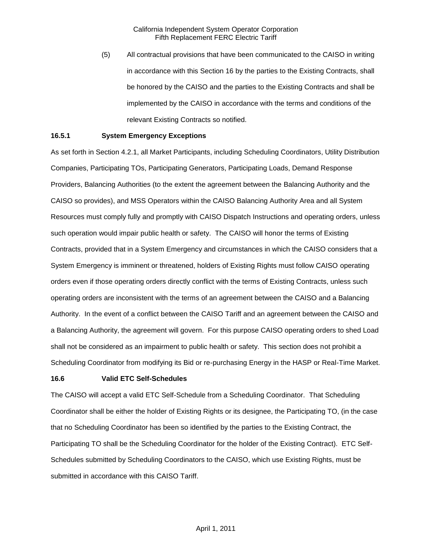(5) All contractual provisions that have been communicated to the CAISO in writing in accordance with this Section 16 by the parties to the Existing Contracts, shall be honored by the CAISO and the parties to the Existing Contracts and shall be implemented by the CAISO in accordance with the terms and conditions of the relevant Existing Contracts so notified.

### **16.5.1 System Emergency Exceptions**

As set forth in Section 4.2.1, all Market Participants, including Scheduling Coordinators, Utility Distribution Companies, Participating TOs, Participating Generators, Participating Loads, Demand Response Providers, Balancing Authorities (to the extent the agreement between the Balancing Authority and the CAISO so provides), and MSS Operators within the CAISO Balancing Authority Area and all System Resources must comply fully and promptly with CAISO Dispatch Instructions and operating orders, unless such operation would impair public health or safety. The CAISO will honor the terms of Existing Contracts, provided that in a System Emergency and circumstances in which the CAISO considers that a System Emergency is imminent or threatened, holders of Existing Rights must follow CAISO operating orders even if those operating orders directly conflict with the terms of Existing Contracts, unless such operating orders are inconsistent with the terms of an agreement between the CAISO and a Balancing Authority. In the event of a conflict between the CAISO Tariff and an agreement between the CAISO and a Balancing Authority, the agreement will govern. For this purpose CAISO operating orders to shed Load shall not be considered as an impairment to public health or safety. This section does not prohibit a Scheduling Coordinator from modifying its Bid or re-purchasing Energy in the HASP or Real-Time Market.

### **16.6 Valid ETC Self-Schedules**

The CAISO will accept a valid ETC Self-Schedule from a Scheduling Coordinator. That Scheduling Coordinator shall be either the holder of Existing Rights or its designee, the Participating TO, (in the case that no Scheduling Coordinator has been so identified by the parties to the Existing Contract, the Participating TO shall be the Scheduling Coordinator for the holder of the Existing Contract). ETC Self-Schedules submitted by Scheduling Coordinators to the CAISO, which use Existing Rights, must be submitted in accordance with this CAISO Tariff.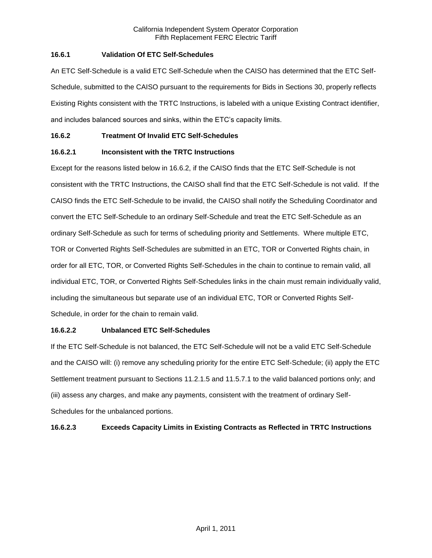## **16.6.1 Validation Of ETC Self-Schedules**

An ETC Self-Schedule is a valid ETC Self-Schedule when the CAISO has determined that the ETC Self-Schedule, submitted to the CAISO pursuant to the requirements for Bids in Sections 30, properly reflects Existing Rights consistent with the TRTC Instructions, is labeled with a unique Existing Contract identifier, and includes balanced sources and sinks, within the ETC's capacity limits.

## **16.6.2 Treatment Of Invalid ETC Self-Schedules**

# **16.6.2.1 Inconsistent with the TRTC Instructions**

Except for the reasons listed below in 16.6.2, if the CAISO finds that the ETC Self-Schedule is not consistent with the TRTC Instructions, the CAISO shall find that the ETC Self-Schedule is not valid. If the CAISO finds the ETC Self-Schedule to be invalid, the CAISO shall notify the Scheduling Coordinator and convert the ETC Self-Schedule to an ordinary Self-Schedule and treat the ETC Self-Schedule as an ordinary Self-Schedule as such for terms of scheduling priority and Settlements. Where multiple ETC, TOR or Converted Rights Self-Schedules are submitted in an ETC, TOR or Converted Rights chain, in order for all ETC, TOR, or Converted Rights Self-Schedules in the chain to continue to remain valid, all individual ETC, TOR, or Converted Rights Self-Schedules links in the chain must remain individually valid, including the simultaneous but separate use of an individual ETC, TOR or Converted Rights Self-Schedule, in order for the chain to remain valid.

## **16.6.2.2 Unbalanced ETC Self-Schedules**

If the ETC Self-Schedule is not balanced, the ETC Self-Schedule will not be a valid ETC Self-Schedule and the CAISO will: (i) remove any scheduling priority for the entire ETC Self-Schedule; (ii) apply the ETC Settlement treatment pursuant to Sections 11.2.1.5 and 11.5.7.1 to the valid balanced portions only; and (iii) assess any charges, and make any payments, consistent with the treatment of ordinary Self-Schedules for the unbalanced portions.

# **16.6.2.3 Exceeds Capacity Limits in Existing Contracts as Reflected in TRTC Instructions**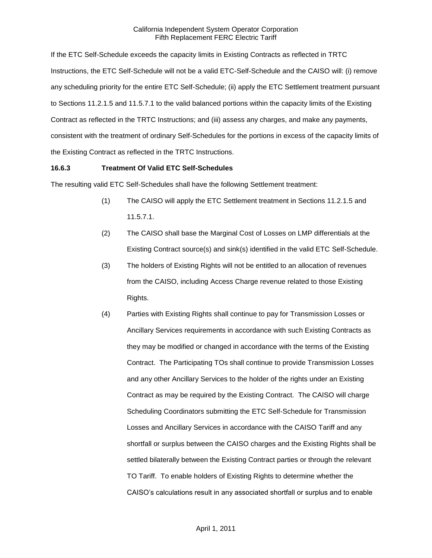If the ETC Self-Schedule exceeds the capacity limits in Existing Contracts as reflected in TRTC Instructions, the ETC Self-Schedule will not be a valid ETC-Self-Schedule and the CAISO will: (i) remove any scheduling priority for the entire ETC Self-Schedule; (ii) apply the ETC Settlement treatment pursuant to Sections 11.2.1.5 and 11.5.7.1 to the valid balanced portions within the capacity limits of the Existing Contract as reflected in the TRTC Instructions; and (iii) assess any charges, and make any payments, consistent with the treatment of ordinary Self-Schedules for the portions in excess of the capacity limits of the Existing Contract as reflected in the TRTC Instructions.

## **16.6.3 Treatment Of Valid ETC Self-Schedules**

The resulting valid ETC Self-Schedules shall have the following Settlement treatment:

- (1) The CAISO will apply the ETC Settlement treatment in Sections 11.2.1.5 and 11.5.7.1.
- (2) The CAISO shall base the Marginal Cost of Losses on LMP differentials at the Existing Contract source(s) and sink(s) identified in the valid ETC Self-Schedule.
- (3) The holders of Existing Rights will not be entitled to an allocation of revenues from the CAISO, including Access Charge revenue related to those Existing Rights.
- (4) Parties with Existing Rights shall continue to pay for Transmission Losses or Ancillary Services requirements in accordance with such Existing Contracts as they may be modified or changed in accordance with the terms of the Existing Contract. The Participating TOs shall continue to provide Transmission Losses and any other Ancillary Services to the holder of the rights under an Existing Contract as may be required by the Existing Contract. The CAISO will charge Scheduling Coordinators submitting the ETC Self-Schedule for Transmission Losses and Ancillary Services in accordance with the CAISO Tariff and any shortfall or surplus between the CAISO charges and the Existing Rights shall be settled bilaterally between the Existing Contract parties or through the relevant TO Tariff. To enable holders of Existing Rights to determine whether the CAISO's calculations result in any associated shortfall or surplus and to enable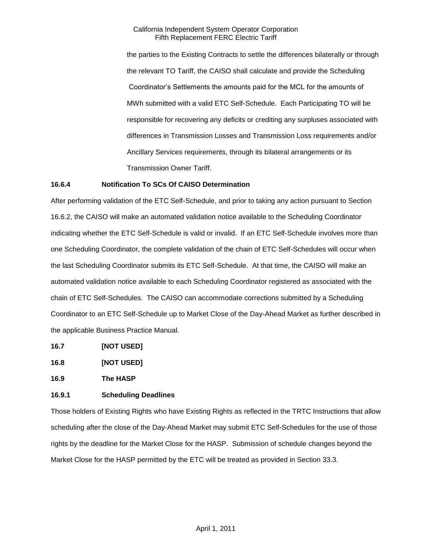the parties to the Existing Contracts to settle the differences bilaterally or through the relevant TO Tariff, the CAISO shall calculate and provide the Scheduling Coordinator's Settlements the amounts paid for the MCL for the amounts of MWh submitted with a valid ETC Self-Schedule. Each Participating TO will be responsible for recovering any deficits or crediting any surpluses associated with differences in Transmission Losses and Transmission Loss requirements and/or Ancillary Services requirements, through its bilateral arrangements or its Transmission Owner Tariff.

## **16.6.4 Notification To SCs Of CAISO Determination**

After performing validation of the ETC Self-Schedule, and prior to taking any action pursuant to Section 16.6.2, the CAISO will make an automated validation notice available to the Scheduling Coordinator indicating whether the ETC Self-Schedule is valid or invalid. If an ETC Self-Schedule involves more than one Scheduling Coordinator, the complete validation of the chain of ETC Self-Schedules will occur when the last Scheduling Coordinator submits its ETC Self-Schedule. At that time, the CAISO will make an automated validation notice available to each Scheduling Coordinator registered as associated with the chain of ETC Self-Schedules. The CAISO can accommodate corrections submitted by a Scheduling Coordinator to an ETC Self-Schedule up to Market Close of the Day-Ahead Market as further described in the applicable Business Practice Manual.

- **16.7 [NOT USED]**
- **16.8 [NOT USED]**

**16.9 The HASP**

# **16.9.1 Scheduling Deadlines**

Those holders of Existing Rights who have Existing Rights as reflected in the TRTC Instructions that allow scheduling after the close of the Day-Ahead Market may submit ETC Self-Schedules for the use of those rights by the deadline for the Market Close for the HASP. Submission of schedule changes beyond the Market Close for the HASP permitted by the ETC will be treated as provided in Section 33.3.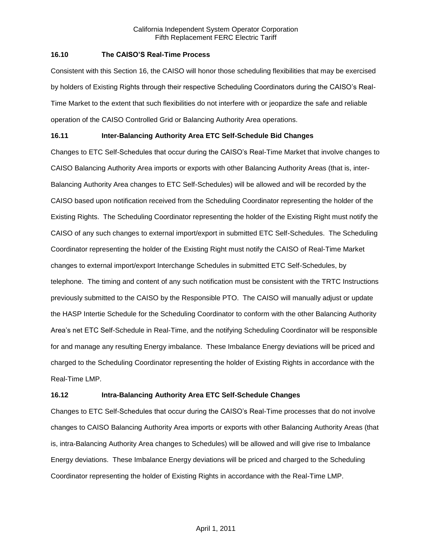### **16.10 The CAISO'S Real-Time Process**

Consistent with this Section 16, the CAISO will honor those scheduling flexibilities that may be exercised by holders of Existing Rights through their respective Scheduling Coordinators during the CAISO's Real-Time Market to the extent that such flexibilities do not interfere with or jeopardize the safe and reliable operation of the CAISO Controlled Grid or Balancing Authority Area operations.

# **16.11 Inter-Balancing Authority Area ETC Self-Schedule Bid Changes**

Changes to ETC Self-Schedules that occur during the CAISO's Real-Time Market that involve changes to CAISO Balancing Authority Area imports or exports with other Balancing Authority Areas (that is, inter-Balancing Authority Area changes to ETC Self-Schedules) will be allowed and will be recorded by the CAISO based upon notification received from the Scheduling Coordinator representing the holder of the Existing Rights. The Scheduling Coordinator representing the holder of the Existing Right must notify the CAISO of any such changes to external import/export in submitted ETC Self-Schedules. The Scheduling Coordinator representing the holder of the Existing Right must notify the CAISO of Real-Time Market changes to external import/export Interchange Schedules in submitted ETC Self-Schedules, by telephone. The timing and content of any such notification must be consistent with the TRTC Instructions previously submitted to the CAISO by the Responsible PTO. The CAISO will manually adjust or update the HASP Intertie Schedule for the Scheduling Coordinator to conform with the other Balancing Authority Area's net ETC Self-Schedule in Real-Time, and the notifying Scheduling Coordinator will be responsible for and manage any resulting Energy imbalance. These Imbalance Energy deviations will be priced and charged to the Scheduling Coordinator representing the holder of Existing Rights in accordance with the Real-Time LMP.

# **16.12 Intra-Balancing Authority Area ETC Self-Schedule Changes**

Changes to ETC Self-Schedules that occur during the CAISO's Real-Time processes that do not involve changes to CAISO Balancing Authority Area imports or exports with other Balancing Authority Areas (that is, intra-Balancing Authority Area changes to Schedules) will be allowed and will give rise to Imbalance Energy deviations. These Imbalance Energy deviations will be priced and charged to the Scheduling Coordinator representing the holder of Existing Rights in accordance with the Real-Time LMP.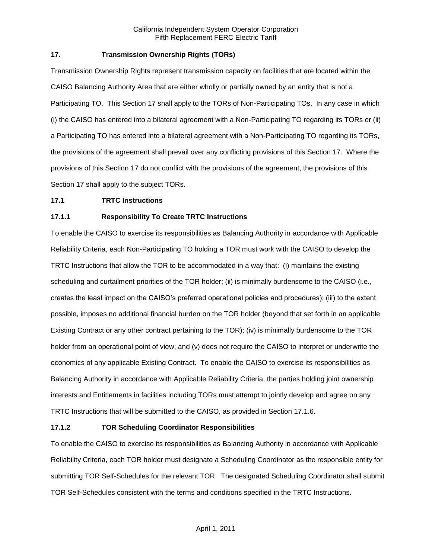## **17. Transmission Ownership Rights (TORs)**

Transmission Ownership Rights represent transmission capacity on facilities that are located within the CAISO Balancing Authority Area that are either wholly or partially owned by an entity that is not a Participating TO. This Section 17 shall apply to the TORs of Non-Participating TOs. In any case in which (i) the CAISO has entered into a bilateral agreement with a Non-Participating TO regarding its TORs or (ii) a Participating TO has entered into a bilateral agreement with a Non-Participating TO regarding its TORs, the provisions of the agreement shall prevail over any conflicting provisions of this Section 17. Where the provisions of this Section 17 do not conflict with the provisions of the agreement, the provisions of this Section 17 shall apply to the subject TORs.

### **17.1 TRTC Instructions**

## **17.1.1 Responsibility To Create TRTC Instructions**

To enable the CAISO to exercise its responsibilities as Balancing Authority in accordance with Applicable Reliability Criteria, each Non-Participating TO holding a TOR must work with the CAISO to develop the TRTC Instructions that allow the TOR to be accommodated in a way that: (i) maintains the existing scheduling and curtailment priorities of the TOR holder; (ii) is minimally burdensome to the CAISO (i.e., creates the least impact on the CAISO's preferred operational policies and procedures); (iii) to the extent possible, imposes no additional financial burden on the TOR holder (beyond that set forth in an applicable Existing Contract or any other contract pertaining to the TOR); (iv) is minimally burdensome to the TOR holder from an operational point of view; and (v) does not require the CAISO to interpret or underwrite the economics of any applicable Existing Contract. To enable the CAISO to exercise its responsibilities as Balancing Authority in accordance with Applicable Reliability Criteria, the parties holding joint ownership interests and Entitlements in facilities including TORs must attempt to jointly develop and agree on any TRTC Instructions that will be submitted to the CAISO, as provided in Section 17.1.6.

### **17.1.2 TOR Scheduling Coordinator Responsibilities**

To enable the CAISO to exercise its responsibilities as Balancing Authority in accordance with Applicable Reliability Criteria, each TOR holder must designate a Scheduling Coordinator as the responsible entity for submitting TOR Self-Schedules for the relevant TOR. The designated Scheduling Coordinator shall submit TOR Self-Schedules consistent with the terms and conditions specified in the TRTC Instructions.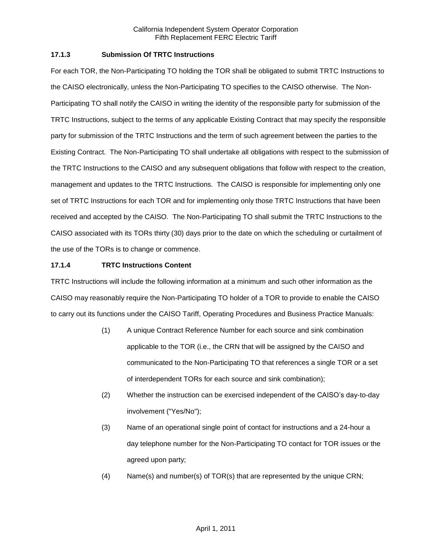## **17.1.3 Submission Of TRTC Instructions**

For each TOR, the Non-Participating TO holding the TOR shall be obligated to submit TRTC Instructions to the CAISO electronically, unless the Non-Participating TO specifies to the CAISO otherwise. The Non-Participating TO shall notify the CAISO in writing the identity of the responsible party for submission of the TRTC Instructions, subject to the terms of any applicable Existing Contract that may specify the responsible party for submission of the TRTC Instructions and the term of such agreement between the parties to the Existing Contract. The Non-Participating TO shall undertake all obligations with respect to the submission of the TRTC Instructions to the CAISO and any subsequent obligations that follow with respect to the creation, management and updates to the TRTC Instructions. The CAISO is responsible for implementing only one set of TRTC Instructions for each TOR and for implementing only those TRTC Instructions that have been received and accepted by the CAISO. The Non-Participating TO shall submit the TRTC Instructions to the CAISO associated with its TORs thirty (30) days prior to the date on which the scheduling or curtailment of the use of the TORs is to change or commence.

## **17.1.4 TRTC Instructions Content**

TRTC Instructions will include the following information at a minimum and such other information as the CAISO may reasonably require the Non-Participating TO holder of a TOR to provide to enable the CAISO to carry out its functions under the CAISO Tariff, Operating Procedures and Business Practice Manuals:

- (1) A unique Contract Reference Number for each source and sink combination applicable to the TOR (i.e., the CRN that will be assigned by the CAISO and communicated to the Non-Participating TO that references a single TOR or a set of interdependent TORs for each source and sink combination);
- (2) Whether the instruction can be exercised independent of the CAISO's day-to-day involvement ("Yes/No");
- (3) Name of an operational single point of contact for instructions and a 24-hour a day telephone number for the Non-Participating TO contact for TOR issues or the agreed upon party;
- (4) Name(s) and number(s) of TOR(s) that are represented by the unique CRN;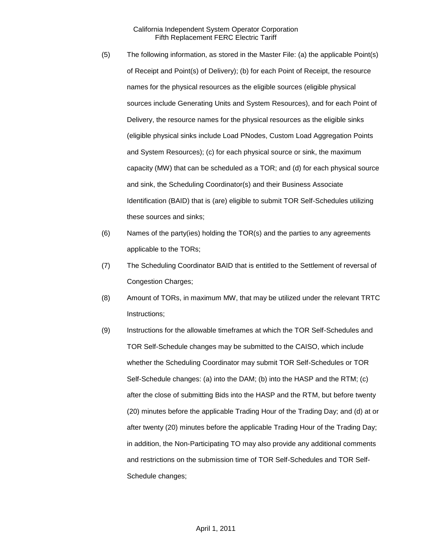- (5) The following information, as stored in the Master File: (a) the applicable Point(s) of Receipt and Point(s) of Delivery); (b) for each Point of Receipt, the resource names for the physical resources as the eligible sources (eligible physical sources include Generating Units and System Resources), and for each Point of Delivery, the resource names for the physical resources as the eligible sinks (eligible physical sinks include Load PNodes, Custom Load Aggregation Points and System Resources); (c) for each physical source or sink, the maximum capacity (MW) that can be scheduled as a TOR; and (d) for each physical source and sink, the Scheduling Coordinator(s) and their Business Associate Identification (BAID) that is (are) eligible to submit TOR Self-Schedules utilizing these sources and sinks;
- (6) Names of the party(ies) holding the TOR(s) and the parties to any agreements applicable to the TORs;
- (7) The Scheduling Coordinator BAID that is entitled to the Settlement of reversal of Congestion Charges;
- (8) Amount of TORs, in maximum MW, that may be utilized under the relevant TRTC Instructions;
- (9) Instructions for the allowable timeframes at which the TOR Self-Schedules and TOR Self-Schedule changes may be submitted to the CAISO, which include whether the Scheduling Coordinator may submit TOR Self-Schedules or TOR Self-Schedule changes: (a) into the DAM; (b) into the HASP and the RTM; (c) after the close of submitting Bids into the HASP and the RTM, but before twenty (20) minutes before the applicable Trading Hour of the Trading Day; and (d) at or after twenty (20) minutes before the applicable Trading Hour of the Trading Day; in addition, the Non-Participating TO may also provide any additional comments and restrictions on the submission time of TOR Self-Schedules and TOR Self-Schedule changes;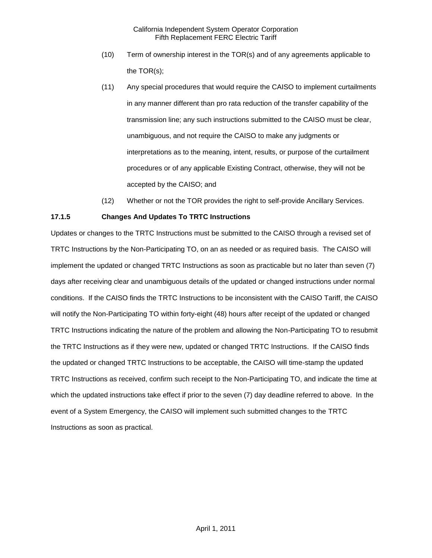- (10) Term of ownership interest in the TOR(s) and of any agreements applicable to the TOR(s);
- (11) Any special procedures that would require the CAISO to implement curtailments in any manner different than pro rata reduction of the transfer capability of the transmission line; any such instructions submitted to the CAISO must be clear, unambiguous, and not require the CAISO to make any judgments or interpretations as to the meaning, intent, results, or purpose of the curtailment procedures or of any applicable Existing Contract, otherwise, they will not be accepted by the CAISO; and
- (12) Whether or not the TOR provides the right to self-provide Ancillary Services.

# **17.1.5 Changes And Updates To TRTC Instructions**

Updates or changes to the TRTC Instructions must be submitted to the CAISO through a revised set of TRTC Instructions by the Non-Participating TO, on an as needed or as required basis. The CAISO will implement the updated or changed TRTC Instructions as soon as practicable but no later than seven (7) days after receiving clear and unambiguous details of the updated or changed instructions under normal conditions. If the CAISO finds the TRTC Instructions to be inconsistent with the CAISO Tariff, the CAISO will notify the Non-Participating TO within forty-eight (48) hours after receipt of the updated or changed TRTC Instructions indicating the nature of the problem and allowing the Non-Participating TO to resubmit the TRTC Instructions as if they were new, updated or changed TRTC Instructions. If the CAISO finds the updated or changed TRTC Instructions to be acceptable, the CAISO will time-stamp the updated TRTC Instructions as received, confirm such receipt to the Non-Participating TO, and indicate the time at which the updated instructions take effect if prior to the seven (7) day deadline referred to above. In the event of a System Emergency, the CAISO will implement such submitted changes to the TRTC Instructions as soon as practical.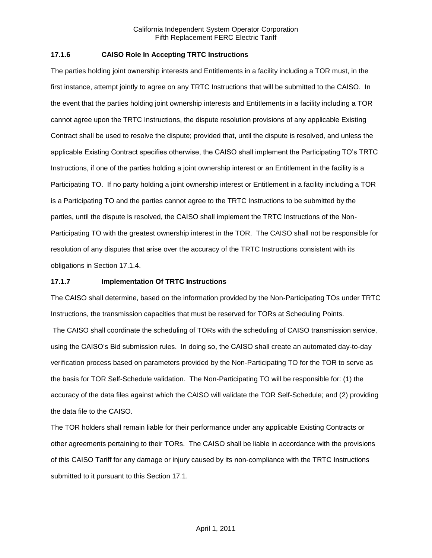## **17.1.6 CAISO Role In Accepting TRTC Instructions**

The parties holding joint ownership interests and Entitlements in a facility including a TOR must, in the first instance, attempt jointly to agree on any TRTC Instructions that will be submitted to the CAISO. In the event that the parties holding joint ownership interests and Entitlements in a facility including a TOR cannot agree upon the TRTC Instructions, the dispute resolution provisions of any applicable Existing Contract shall be used to resolve the dispute; provided that, until the dispute is resolved, and unless the applicable Existing Contract specifies otherwise, the CAISO shall implement the Participating TO's TRTC Instructions, if one of the parties holding a joint ownership interest or an Entitlement in the facility is a Participating TO. If no party holding a joint ownership interest or Entitlement in a facility including a TOR is a Participating TO and the parties cannot agree to the TRTC Instructions to be submitted by the parties, until the dispute is resolved, the CAISO shall implement the TRTC Instructions of the Non-Participating TO with the greatest ownership interest in the TOR. The CAISO shall not be responsible for resolution of any disputes that arise over the accuracy of the TRTC Instructions consistent with its obligations in Section 17.1.4.

## **17.1.7 Implementation Of TRTC Instructions**

The CAISO shall determine, based on the information provided by the Non-Participating TOs under TRTC Instructions, the transmission capacities that must be reserved for TORs at Scheduling Points.

The CAISO shall coordinate the scheduling of TORs with the scheduling of CAISO transmission service, using the CAISO's Bid submission rules. In doing so, the CAISO shall create an automated day-to-day verification process based on parameters provided by the Non-Participating TO for the TOR to serve as the basis for TOR Self-Schedule validation. The Non-Participating TO will be responsible for: (1) the accuracy of the data files against which the CAISO will validate the TOR Self-Schedule; and (2) providing the data file to the CAISO.

The TOR holders shall remain liable for their performance under any applicable Existing Contracts or other agreements pertaining to their TORs. The CAISO shall be liable in accordance with the provisions of this CAISO Tariff for any damage or injury caused by its non-compliance with the TRTC Instructions submitted to it pursuant to this Section 17.1.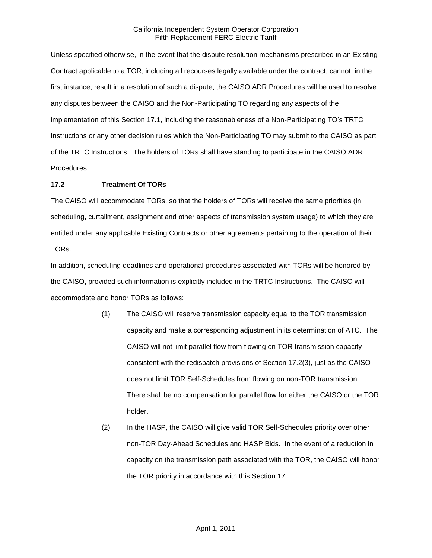Unless specified otherwise, in the event that the dispute resolution mechanisms prescribed in an Existing Contract applicable to a TOR, including all recourses legally available under the contract, cannot, in the first instance, result in a resolution of such a dispute, the CAISO ADR Procedures will be used to resolve any disputes between the CAISO and the Non-Participating TO regarding any aspects of the implementation of this Section 17.1, including the reasonableness of a Non-Participating TO's TRTC Instructions or any other decision rules which the Non-Participating TO may submit to the CAISO as part of the TRTC Instructions. The holders of TORs shall have standing to participate in the CAISO ADR Procedures.

## **17.2 Treatment Of TORs**

The CAISO will accommodate TORs, so that the holders of TORs will receive the same priorities (in scheduling, curtailment, assignment and other aspects of transmission system usage) to which they are entitled under any applicable Existing Contracts or other agreements pertaining to the operation of their TORs.

In addition, scheduling deadlines and operational procedures associated with TORs will be honored by the CAISO, provided such information is explicitly included in the TRTC Instructions. The CAISO will accommodate and honor TORs as follows:

- (1) The CAISO will reserve transmission capacity equal to the TOR transmission capacity and make a corresponding adjustment in its determination of ATC. The CAISO will not limit parallel flow from flowing on TOR transmission capacity consistent with the redispatch provisions of Section 17.2(3), just as the CAISO does not limit TOR Self-Schedules from flowing on non-TOR transmission. There shall be no compensation for parallel flow for either the CAISO or the TOR holder.
- (2) In the HASP, the CAISO will give valid TOR Self-Schedules priority over other non-TOR Day-Ahead Schedules and HASP Bids. In the event of a reduction in capacity on the transmission path associated with the TOR, the CAISO will honor the TOR priority in accordance with this Section 17.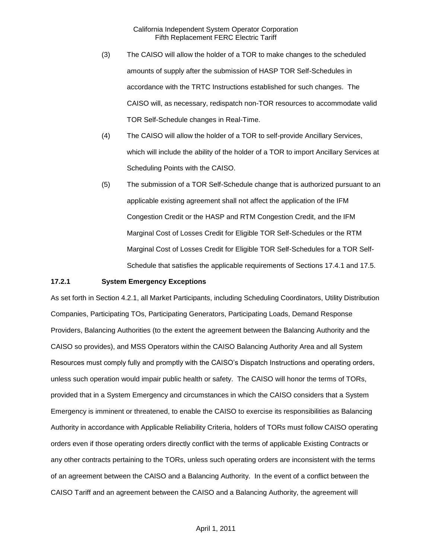- (3) The CAISO will allow the holder of a TOR to make changes to the scheduled amounts of supply after the submission of HASP TOR Self-Schedules in accordance with the TRTC Instructions established for such changes. The CAISO will, as necessary, redispatch non-TOR resources to accommodate valid TOR Self-Schedule changes in Real-Time.
- (4) The CAISO will allow the holder of a TOR to self-provide Ancillary Services, which will include the ability of the holder of a TOR to import Ancillary Services at Scheduling Points with the CAISO.
- (5) The submission of a TOR Self-Schedule change that is authorized pursuant to an applicable existing agreement shall not affect the application of the IFM Congestion Credit or the HASP and RTM Congestion Credit, and the IFM Marginal Cost of Losses Credit for Eligible TOR Self-Schedules or the RTM Marginal Cost of Losses Credit for Eligible TOR Self-Schedules for a TOR Self-Schedule that satisfies the applicable requirements of Sections 17.4.1 and 17.5.

### **17.2.1 System Emergency Exceptions**

As set forth in Section 4.2.1, all Market Participants, including Scheduling Coordinators, Utility Distribution Companies, Participating TOs, Participating Generators, Participating Loads, Demand Response Providers, Balancing Authorities (to the extent the agreement between the Balancing Authority and the CAISO so provides), and MSS Operators within the CAISO Balancing Authority Area and all System Resources must comply fully and promptly with the CAISO's Dispatch Instructions and operating orders, unless such operation would impair public health or safety. The CAISO will honor the terms of TORs, provided that in a System Emergency and circumstances in which the CAISO considers that a System Emergency is imminent or threatened, to enable the CAISO to exercise its responsibilities as Balancing Authority in accordance with Applicable Reliability Criteria, holders of TORs must follow CAISO operating orders even if those operating orders directly conflict with the terms of applicable Existing Contracts or any other contracts pertaining to the TORs, unless such operating orders are inconsistent with the terms of an agreement between the CAISO and a Balancing Authority. In the event of a conflict between the CAISO Tariff and an agreement between the CAISO and a Balancing Authority, the agreement will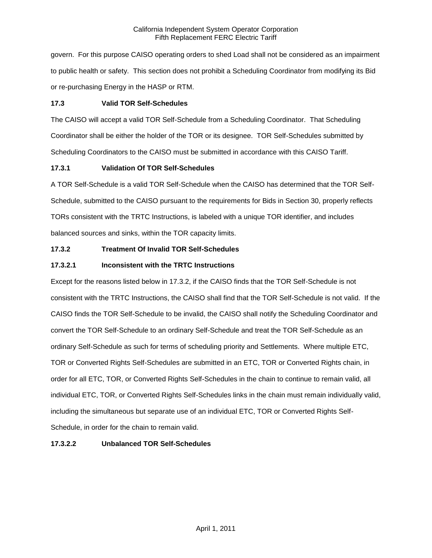govern. For this purpose CAISO operating orders to shed Load shall not be considered as an impairment to public health or safety. This section does not prohibit a Scheduling Coordinator from modifying its Bid or re-purchasing Energy in the HASP or RTM.

## **17.3 Valid TOR Self-Schedules**

The CAISO will accept a valid TOR Self-Schedule from a Scheduling Coordinator. That Scheduling Coordinator shall be either the holder of the TOR or its designee. TOR Self-Schedules submitted by Scheduling Coordinators to the CAISO must be submitted in accordance with this CAISO Tariff.

# **17.3.1 Validation Of TOR Self-Schedules**

A TOR Self-Schedule is a valid TOR Self-Schedule when the CAISO has determined that the TOR Self-Schedule, submitted to the CAISO pursuant to the requirements for Bids in Section 30, properly reflects TORs consistent with the TRTC Instructions, is labeled with a unique TOR identifier, and includes balanced sources and sinks, within the TOR capacity limits.

# **17.3.2 Treatment Of Invalid TOR Self-Schedules**

# **17.3.2.1 Inconsistent with the TRTC Instructions**

Except for the reasons listed below in 17.3.2, if the CAISO finds that the TOR Self-Schedule is not consistent with the TRTC Instructions, the CAISO shall find that the TOR Self-Schedule is not valid. If the CAISO finds the TOR Self-Schedule to be invalid, the CAISO shall notify the Scheduling Coordinator and convert the TOR Self-Schedule to an ordinary Self-Schedule and treat the TOR Self-Schedule as an ordinary Self-Schedule as such for terms of scheduling priority and Settlements. Where multiple ETC, TOR or Converted Rights Self-Schedules are submitted in an ETC, TOR or Converted Rights chain, in order for all ETC, TOR, or Converted Rights Self-Schedules in the chain to continue to remain valid, all individual ETC, TOR, or Converted Rights Self-Schedules links in the chain must remain individually valid, including the simultaneous but separate use of an individual ETC, TOR or Converted Rights Self-Schedule, in order for the chain to remain valid.

# **17.3.2.2 Unbalanced TOR Self-Schedules**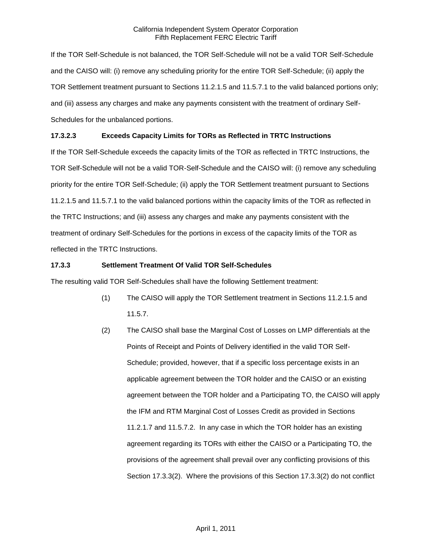If the TOR Self-Schedule is not balanced, the TOR Self-Schedule will not be a valid TOR Self-Schedule and the CAISO will: (i) remove any scheduling priority for the entire TOR Self-Schedule; (ii) apply the TOR Settlement treatment pursuant to Sections 11.2.1.5 and 11.5.7.1 to the valid balanced portions only; and (iii) assess any charges and make any payments consistent with the treatment of ordinary Self-Schedules for the unbalanced portions.

# **17.3.2.3 Exceeds Capacity Limits for TORs as Reflected in TRTC Instructions**

If the TOR Self-Schedule exceeds the capacity limits of the TOR as reflected in TRTC Instructions, the TOR Self-Schedule will not be a valid TOR-Self-Schedule and the CAISO will: (i) remove any scheduling priority for the entire TOR Self-Schedule; (ii) apply the TOR Settlement treatment pursuant to Sections 11.2.1.5 and 11.5.7.1 to the valid balanced portions within the capacity limits of the TOR as reflected in the TRTC Instructions; and (iii) assess any charges and make any payments consistent with the treatment of ordinary Self-Schedules for the portions in excess of the capacity limits of the TOR as reflected in the TRTC Instructions.

# **17.3.3 Settlement Treatment Of Valid TOR Self-Schedules**

The resulting valid TOR Self-Schedules shall have the following Settlement treatment:

- (1) The CAISO will apply the TOR Settlement treatment in Sections 11.2.1.5 and 11.5.7.
- (2) The CAISO shall base the Marginal Cost of Losses on LMP differentials at the Points of Receipt and Points of Delivery identified in the valid TOR Self-Schedule; provided, however, that if a specific loss percentage exists in an applicable agreement between the TOR holder and the CAISO or an existing agreement between the TOR holder and a Participating TO, the CAISO will apply the IFM and RTM Marginal Cost of Losses Credit as provided in Sections 11.2.1.7 and 11.5.7.2. In any case in which the TOR holder has an existing agreement regarding its TORs with either the CAISO or a Participating TO, the provisions of the agreement shall prevail over any conflicting provisions of this Section 17.3.3(2). Where the provisions of this Section 17.3.3(2) do not conflict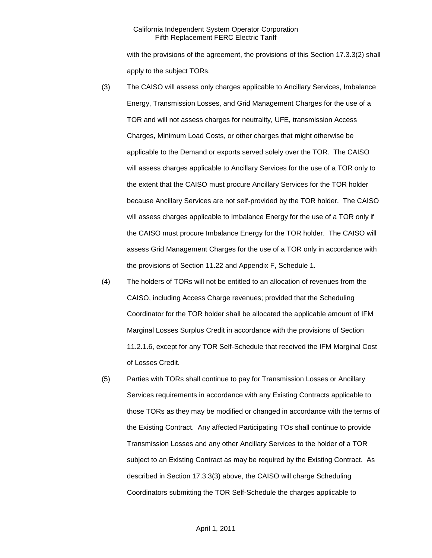with the provisions of the agreement, the provisions of this Section 17.3.3(2) shall apply to the subject TORs.

- (3) The CAISO will assess only charges applicable to Ancillary Services, Imbalance Energy, Transmission Losses, and Grid Management Charges for the use of a TOR and will not assess charges for neutrality, UFE, transmission Access Charges, Minimum Load Costs, or other charges that might otherwise be applicable to the Demand or exports served solely over the TOR. The CAISO will assess charges applicable to Ancillary Services for the use of a TOR only to the extent that the CAISO must procure Ancillary Services for the TOR holder because Ancillary Services are not self-provided by the TOR holder. The CAISO will assess charges applicable to Imbalance Energy for the use of a TOR only if the CAISO must procure Imbalance Energy for the TOR holder. The CAISO will assess Grid Management Charges for the use of a TOR only in accordance with the provisions of Section 11.22 and Appendix F, Schedule 1.
- (4) The holders of TORs will not be entitled to an allocation of revenues from the CAISO, including Access Charge revenues; provided that the Scheduling Coordinator for the TOR holder shall be allocated the applicable amount of IFM Marginal Losses Surplus Credit in accordance with the provisions of Section 11.2.1.6, except for any TOR Self-Schedule that received the IFM Marginal Cost of Losses Credit.
- (5) Parties with TORs shall continue to pay for Transmission Losses or Ancillary Services requirements in accordance with any Existing Contracts applicable to those TORs as they may be modified or changed in accordance with the terms of the Existing Contract. Any affected Participating TOs shall continue to provide Transmission Losses and any other Ancillary Services to the holder of a TOR subject to an Existing Contract as may be required by the Existing Contract. As described in Section 17.3.3(3) above, the CAISO will charge Scheduling Coordinators submitting the TOR Self-Schedule the charges applicable to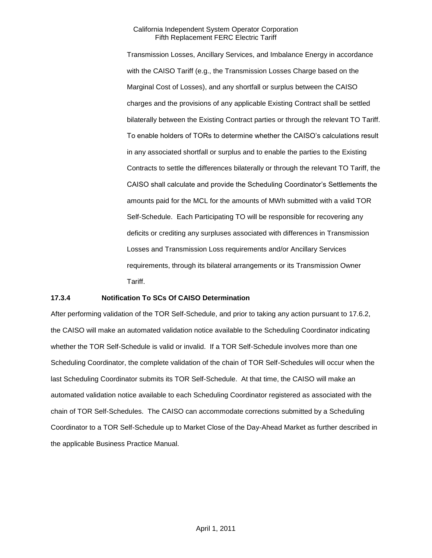Transmission Losses, Ancillary Services, and Imbalance Energy in accordance with the CAISO Tariff (e.g., the Transmission Losses Charge based on the Marginal Cost of Losses), and any shortfall or surplus between the CAISO charges and the provisions of any applicable Existing Contract shall be settled bilaterally between the Existing Contract parties or through the relevant TO Tariff. To enable holders of TORs to determine whether the CAISO's calculations result in any associated shortfall or surplus and to enable the parties to the Existing Contracts to settle the differences bilaterally or through the relevant TO Tariff, the CAISO shall calculate and provide the Scheduling Coordinator's Settlements the amounts paid for the MCL for the amounts of MWh submitted with a valid TOR Self-Schedule. Each Participating TO will be responsible for recovering any deficits or crediting any surpluses associated with differences in Transmission Losses and Transmission Loss requirements and/or Ancillary Services requirements, through its bilateral arrangements or its Transmission Owner Tariff.

### **17.3.4 Notification To SCs Of CAISO Determination**

After performing validation of the TOR Self-Schedule, and prior to taking any action pursuant to 17.6.2, the CAISO will make an automated validation notice available to the Scheduling Coordinator indicating whether the TOR Self-Schedule is valid or invalid. If a TOR Self-Schedule involves more than one Scheduling Coordinator, the complete validation of the chain of TOR Self-Schedules will occur when the last Scheduling Coordinator submits its TOR Self-Schedule. At that time, the CAISO will make an automated validation notice available to each Scheduling Coordinator registered as associated with the chain of TOR Self-Schedules. The CAISO can accommodate corrections submitted by a Scheduling Coordinator to a TOR Self-Schedule up to Market Close of the Day-Ahead Market as further described in the applicable Business Practice Manual.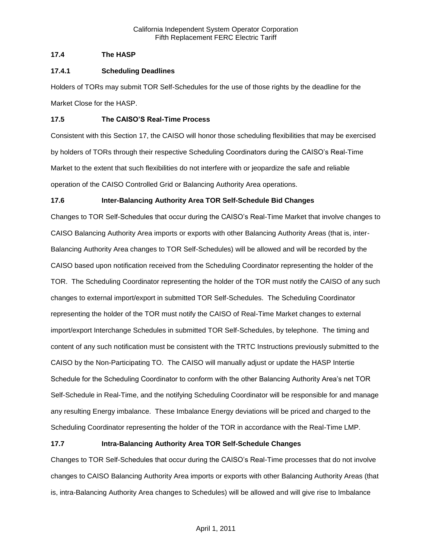## **17.4 The HASP**

## **17.4.1 Scheduling Deadlines**

Holders of TORs may submit TOR Self-Schedules for the use of those rights by the deadline for the Market Close for the HASP.

## **17.5 The CAISO'S Real-Time Process**

Consistent with this Section 17, the CAISO will honor those scheduling flexibilities that may be exercised by holders of TORs through their respective Scheduling Coordinators during the CAISO's Real-Time Market to the extent that such flexibilities do not interfere with or jeopardize the safe and reliable operation of the CAISO Controlled Grid or Balancing Authority Area operations.

# **17.6 Inter-Balancing Authority Area TOR Self-Schedule Bid Changes**

Changes to TOR Self-Schedules that occur during the CAISO's Real-Time Market that involve changes to CAISO Balancing Authority Area imports or exports with other Balancing Authority Areas (that is, inter-Balancing Authority Area changes to TOR Self-Schedules) will be allowed and will be recorded by the CAISO based upon notification received from the Scheduling Coordinator representing the holder of the TOR. The Scheduling Coordinator representing the holder of the TOR must notify the CAISO of any such changes to external import/export in submitted TOR Self-Schedules. The Scheduling Coordinator representing the holder of the TOR must notify the CAISO of Real-Time Market changes to external import/export Interchange Schedules in submitted TOR Self-Schedules, by telephone. The timing and content of any such notification must be consistent with the TRTC Instructions previously submitted to the CAISO by the Non-Participating TO. The CAISO will manually adjust or update the HASP Intertie Schedule for the Scheduling Coordinator to conform with the other Balancing Authority Area's net TOR Self-Schedule in Real-Time, and the notifying Scheduling Coordinator will be responsible for and manage any resulting Energy imbalance. These Imbalance Energy deviations will be priced and charged to the Scheduling Coordinator representing the holder of the TOR in accordance with the Real-Time LMP.

# **17.7 Intra-Balancing Authority Area TOR Self-Schedule Changes**

Changes to TOR Self-Schedules that occur during the CAISO's Real-Time processes that do not involve changes to CAISO Balancing Authority Area imports or exports with other Balancing Authority Areas (that is, intra-Balancing Authority Area changes to Schedules) will be allowed and will give rise to Imbalance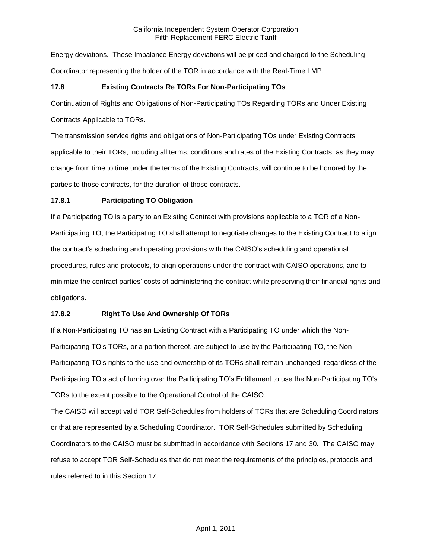Energy deviations. These Imbalance Energy deviations will be priced and charged to the Scheduling Coordinator representing the holder of the TOR in accordance with the Real-Time LMP.

# **17.8 Existing Contracts Re TORs For Non-Participating TOs**

Continuation of Rights and Obligations of Non-Participating TOs Regarding TORs and Under Existing

Contracts Applicable to TORs.

The transmission service rights and obligations of Non-Participating TOs under Existing Contracts applicable to their TORs, including all terms, conditions and rates of the Existing Contracts, as they may change from time to time under the terms of the Existing Contracts, will continue to be honored by the parties to those contracts, for the duration of those contracts.

# **17.8.1 Participating TO Obligation**

If a Participating TO is a party to an Existing Contract with provisions applicable to a TOR of a Non-Participating TO, the Participating TO shall attempt to negotiate changes to the Existing Contract to align the contract's scheduling and operating provisions with the CAISO's scheduling and operational procedures, rules and protocols, to align operations under the contract with CAISO operations, and to minimize the contract parties' costs of administering the contract while preserving their financial rights and obligations.

# **17.8.2 Right To Use And Ownership Of TORs**

If a Non-Participating TO has an Existing Contract with a Participating TO under which the Non-Participating TO's TORs, or a portion thereof, are subject to use by the Participating TO, the Non-Participating TO's rights to the use and ownership of its TORs shall remain unchanged, regardless of the Participating TO's act of turning over the Participating TO's Entitlement to use the Non-Participating TO's TORs to the extent possible to the Operational Control of the CAISO.

The CAISO will accept valid TOR Self-Schedules from holders of TORs that are Scheduling Coordinators or that are represented by a Scheduling Coordinator. TOR Self-Schedules submitted by Scheduling Coordinators to the CAISO must be submitted in accordance with Sections 17 and 30. The CAISO may refuse to accept TOR Self-Schedules that do not meet the requirements of the principles, protocols and rules referred to in this Section 17.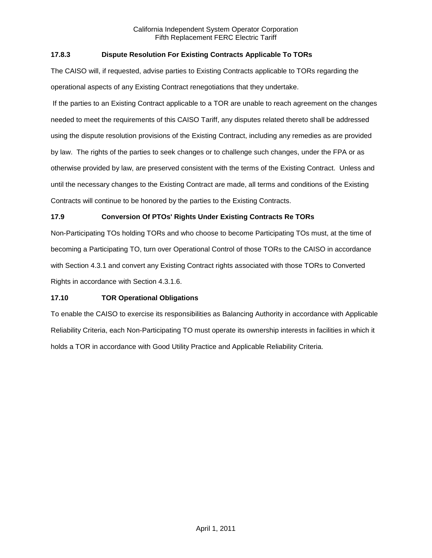# **17.8.3 Dispute Resolution For Existing Contracts Applicable To TORs**

The CAISO will, if requested, advise parties to Existing Contracts applicable to TORs regarding the operational aspects of any Existing Contract renegotiations that they undertake.

If the parties to an Existing Contract applicable to a TOR are unable to reach agreement on the changes needed to meet the requirements of this CAISO Tariff, any disputes related thereto shall be addressed using the dispute resolution provisions of the Existing Contract, including any remedies as are provided by law. The rights of the parties to seek changes or to challenge such changes, under the FPA or as otherwise provided by law, are preserved consistent with the terms of the Existing Contract. Unless and until the necessary changes to the Existing Contract are made, all terms and conditions of the Existing Contracts will continue to be honored by the parties to the Existing Contracts.

# **17.9 Conversion Of PTOs' Rights Under Existing Contracts Re TORs**

Non-Participating TOs holding TORs and who choose to become Participating TOs must, at the time of becoming a Participating TO, turn over Operational Control of those TORs to the CAISO in accordance with Section 4.3.1 and convert any Existing Contract rights associated with those TORs to Converted Rights in accordance with Section 4.3.1.6.

# **17.10 TOR Operational Obligations**

To enable the CAISO to exercise its responsibilities as Balancing Authority in accordance with Applicable Reliability Criteria, each Non-Participating TO must operate its ownership interests in facilities in which it holds a TOR in accordance with Good Utility Practice and Applicable Reliability Criteria.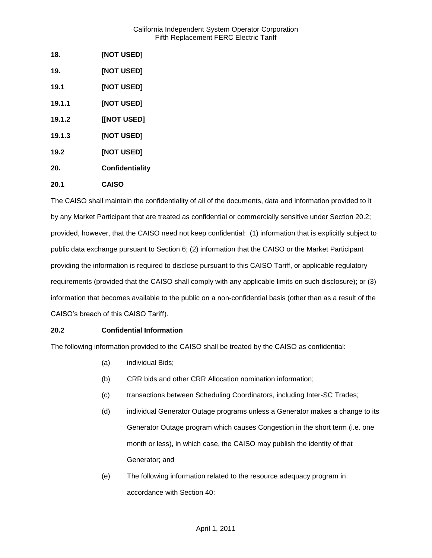| 18.    | [NOT USED]      |
|--------|-----------------|
| 19.    | [NOT USED]      |
| 19.1   | [NOT USED]      |
| 19.1.1 | [NOT USED]      |
| 19.1.2 | [[NOT USED]     |
| 19.1.3 | [NOT USED]      |
| 19.2   | [NOT USED]      |
| 20.    | Confidentiality |
| 20.1   | <b>CAISO</b>    |

The CAISO shall maintain the confidentiality of all of the documents, data and information provided to it by any Market Participant that are treated as confidential or commercially sensitive under Section 20.2; provided, however, that the CAISO need not keep confidential: (1) information that is explicitly subject to public data exchange pursuant to Section 6; (2) information that the CAISO or the Market Participant providing the information is required to disclose pursuant to this CAISO Tariff, or applicable regulatory requirements (provided that the CAISO shall comply with any applicable limits on such disclosure); or (3) information that becomes available to the public on a non-confidential basis (other than as a result of the CAISO's breach of this CAISO Tariff).

# **20.2 Confidential Information**

The following information provided to the CAISO shall be treated by the CAISO as confidential:

- (a) individual Bids;
- (b) CRR bids and other CRR Allocation nomination information;
- (c) transactions between Scheduling Coordinators, including Inter-SC Trades;
- (d) individual Generator Outage programs unless a Generator makes a change to its Generator Outage program which causes Congestion in the short term (i.e. one month or less), in which case, the CAISO may publish the identity of that Generator; and
- (e) The following information related to the resource adequacy program in accordance with Section 40: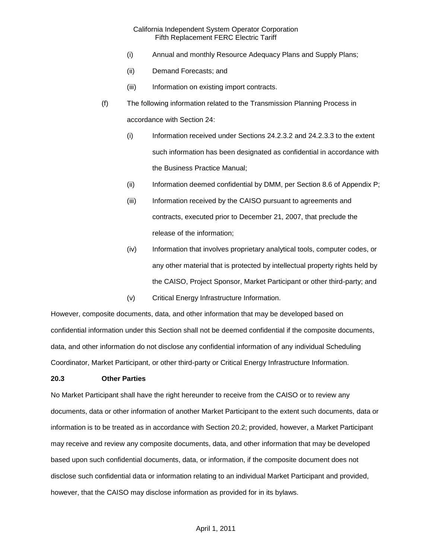- (i) Annual and monthly Resource Adequacy Plans and Supply Plans;
- (ii) Demand Forecasts; and
- (iii) Information on existing import contracts.
- (f) The following information related to the Transmission Planning Process in accordance with Section 24:
	- (i) Information received under Sections 24.2.3.2 and 24.2.3.3 to the extent such information has been designated as confidential in accordance with the Business Practice Manual;
	- (ii) Information deemed confidential by DMM, per Section 8.6 of Appendix P;
	- (iii) Information received by the CAISO pursuant to agreements and contracts, executed prior to December 21, 2007, that preclude the release of the information;
	- (iv) Information that involves proprietary analytical tools, computer codes, or any other material that is protected by intellectual property rights held by the CAISO, Project Sponsor, Market Participant or other third-party; and
	- (v) Critical Energy Infrastructure Information.

However, composite documents, data, and other information that may be developed based on confidential information under this Section shall not be deemed confidential if the composite documents, data, and other information do not disclose any confidential information of any individual Scheduling Coordinator, Market Participant, or other third-party or Critical Energy Infrastructure Information.

### **20.3 Other Parties**

No Market Participant shall have the right hereunder to receive from the CAISO or to review any documents, data or other information of another Market Participant to the extent such documents, data or information is to be treated as in accordance with Section 20.2; provided, however, a Market Participant may receive and review any composite documents, data, and other information that may be developed based upon such confidential documents, data, or information, if the composite document does not disclose such confidential data or information relating to an individual Market Participant and provided, however, that the CAISO may disclose information as provided for in its bylaws.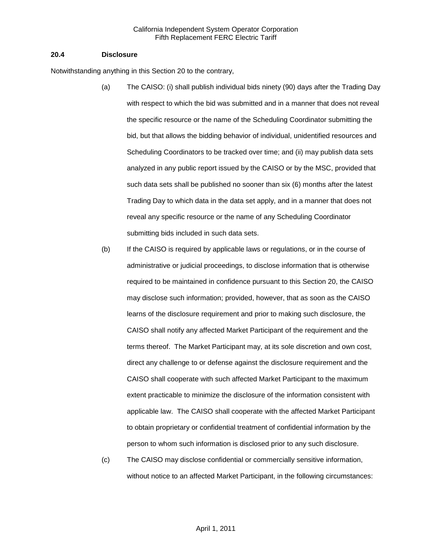### **20.4 Disclosure**

Notwithstanding anything in this Section 20 to the contrary,

- (a) The CAISO: (i) shall publish individual bids ninety (90) days after the Trading Day with respect to which the bid was submitted and in a manner that does not reveal the specific resource or the name of the Scheduling Coordinator submitting the bid, but that allows the bidding behavior of individual, unidentified resources and Scheduling Coordinators to be tracked over time; and (ii) may publish data sets analyzed in any public report issued by the CAISO or by the MSC, provided that such data sets shall be published no sooner than six (6) months after the latest Trading Day to which data in the data set apply, and in a manner that does not reveal any specific resource or the name of any Scheduling Coordinator submitting bids included in such data sets.
- (b) If the CAISO is required by applicable laws or regulations, or in the course of administrative or judicial proceedings, to disclose information that is otherwise required to be maintained in confidence pursuant to this Section 20, the CAISO may disclose such information; provided, however, that as soon as the CAISO learns of the disclosure requirement and prior to making such disclosure, the CAISO shall notify any affected Market Participant of the requirement and the terms thereof. The Market Participant may, at its sole discretion and own cost, direct any challenge to or defense against the disclosure requirement and the CAISO shall cooperate with such affected Market Participant to the maximum extent practicable to minimize the disclosure of the information consistent with applicable law. The CAISO shall cooperate with the affected Market Participant to obtain proprietary or confidential treatment of confidential information by the person to whom such information is disclosed prior to any such disclosure.
- (c) The CAISO may disclose confidential or commercially sensitive information, without notice to an affected Market Participant, in the following circumstances: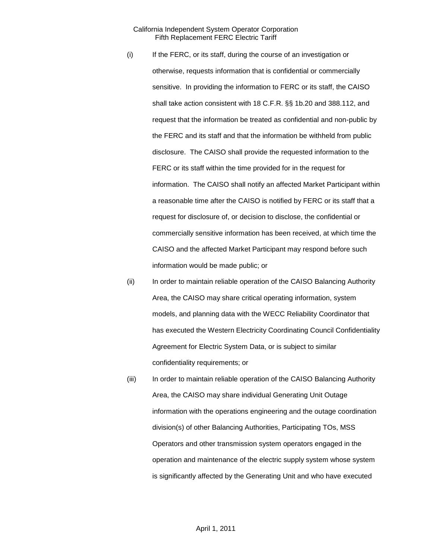- (i) If the FERC, or its staff, during the course of an investigation or otherwise, requests information that is confidential or commercially sensitive. In providing the information to FERC or its staff, the CAISO shall take action consistent with 18 C.F.R. §§ 1b.20 and 388.112, and request that the information be treated as confidential and non-public by the FERC and its staff and that the information be withheld from public disclosure. The CAISO shall provide the requested information to the FERC or its staff within the time provided for in the request for information. The CAISO shall notify an affected Market Participant within a reasonable time after the CAISO is notified by FERC or its staff that a request for disclosure of, or decision to disclose, the confidential or commercially sensitive information has been received, at which time the CAISO and the affected Market Participant may respond before such information would be made public; or
- (ii) In order to maintain reliable operation of the CAISO Balancing Authority Area, the CAISO may share critical operating information, system models, and planning data with the WECC Reliability Coordinator that has executed the Western Electricity Coordinating Council Confidentiality Agreement for Electric System Data, or is subject to similar confidentiality requirements; or
- (iii) In order to maintain reliable operation of the CAISO Balancing Authority Area, the CAISO may share individual Generating Unit Outage information with the operations engineering and the outage coordination division(s) of other Balancing Authorities, Participating TOs, MSS Operators and other transmission system operators engaged in the operation and maintenance of the electric supply system whose system is significantly affected by the Generating Unit and who have executed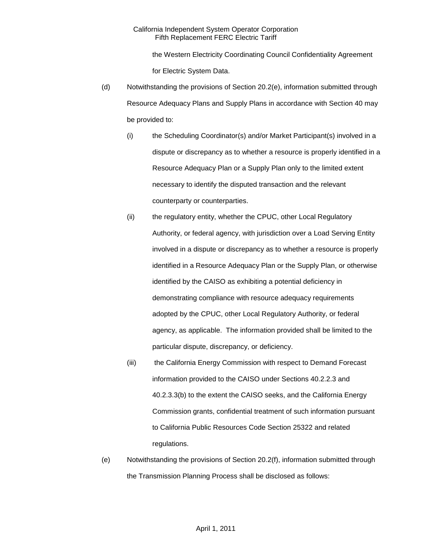the Western Electricity Coordinating Council Confidentiality Agreement for Electric System Data.

- (d) Notwithstanding the provisions of Section 20.2(e), information submitted through Resource Adequacy Plans and Supply Plans in accordance with Section 40 may be provided to:
	- (i) the Scheduling Coordinator(s) and/or Market Participant(s) involved in a dispute or discrepancy as to whether a resource is properly identified in a Resource Adequacy Plan or a Supply Plan only to the limited extent necessary to identify the disputed transaction and the relevant counterparty or counterparties.
	- (ii) the regulatory entity, whether the CPUC, other Local Regulatory Authority, or federal agency, with jurisdiction over a Load Serving Entity involved in a dispute or discrepancy as to whether a resource is properly identified in a Resource Adequacy Plan or the Supply Plan, or otherwise identified by the CAISO as exhibiting a potential deficiency in demonstrating compliance with resource adequacy requirements adopted by the CPUC, other Local Regulatory Authority, or federal agency, as applicable. The information provided shall be limited to the particular dispute, discrepancy, or deficiency.
	- (iii) the California Energy Commission with respect to Demand Forecast information provided to the CAISO under Sections 40.2.2.3 and 40.2.3.3(b) to the extent the CAISO seeks, and the California Energy Commission grants, confidential treatment of such information pursuant to California Public Resources Code Section 25322 and related regulations.
- (e) Notwithstanding the provisions of Section 20.2(f), information submitted through the Transmission Planning Process shall be disclosed as follows: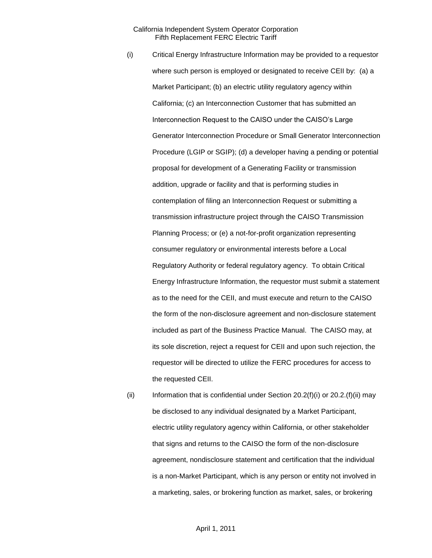- (i) Critical Energy Infrastructure Information may be provided to a requestor where such person is employed or designated to receive CEII by: (a) a Market Participant; (b) an electric utility regulatory agency within California; (c) an Interconnection Customer that has submitted an Interconnection Request to the CAISO under the CAISO's Large Generator Interconnection Procedure or Small Generator Interconnection Procedure (LGIP or SGIP); (d) a developer having a pending or potential proposal for development of a Generating Facility or transmission addition, upgrade or facility and that is performing studies in contemplation of filing an Interconnection Request or submitting a transmission infrastructure project through the CAISO Transmission Planning Process; or (e) a not-for-profit organization representing consumer regulatory or environmental interests before a Local Regulatory Authority or federal regulatory agency. To obtain Critical Energy Infrastructure Information, the requestor must submit a statement as to the need for the CEII, and must execute and return to the CAISO the form of the non-disclosure agreement and non-disclosure statement included as part of the Business Practice Manual. The CAISO may, at its sole discretion, reject a request for CEII and upon such rejection, the requestor will be directed to utilize the FERC procedures for access to the requested CEII.
- (ii) Information that is confidential under Section  $20.2(f)(i)$  or  $20.2(f)(ii)$  may be disclosed to any individual designated by a Market Participant, electric utility regulatory agency within California, or other stakeholder that signs and returns to the CAISO the form of the non-disclosure agreement, nondisclosure statement and certification that the individual is a non-Market Participant, which is any person or entity not involved in a marketing, sales, or brokering function as market, sales, or brokering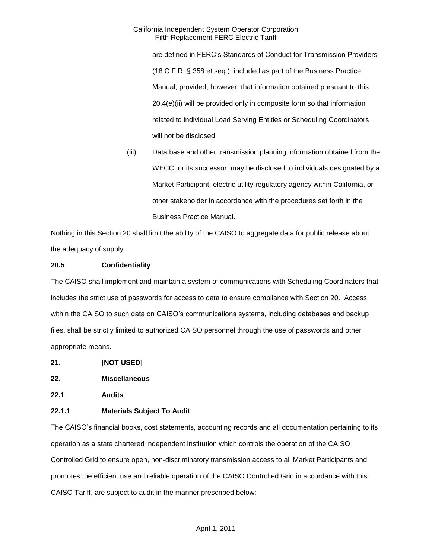are defined in FERC's Standards of Conduct for Transmission Providers (18 C.F.R. § 358 et seq.), included as part of the Business Practice Manual; provided, however, that information obtained pursuant to this 20.4(e)(ii) will be provided only in composite form so that information related to individual Load Serving Entities or Scheduling Coordinators will not be disclosed.

(iii) Data base and other transmission planning information obtained from the WECC, or its successor, may be disclosed to individuals designated by a Market Participant, electric utility regulatory agency within California, or other stakeholder in accordance with the procedures set forth in the Business Practice Manual.

Nothing in this Section 20 shall limit the ability of the CAISO to aggregate data for public release about the adequacy of supply.

## **20.5 Confidentiality**

The CAISO shall implement and maintain a system of communications with Scheduling Coordinators that includes the strict use of passwords for access to data to ensure compliance with Section 20. Access within the CAISO to such data on CAISO's communications systems, including databases and backup files, shall be strictly limited to authorized CAISO personnel through the use of passwords and other appropriate means.

- **21. [NOT USED]**
- **22. Miscellaneous**
- **22.1 Audits**

# **22.1.1 Materials Subject To Audit**

The CAISO's financial books, cost statements, accounting records and all documentation pertaining to its operation as a state chartered independent institution which controls the operation of the CAISO Controlled Grid to ensure open, non-discriminatory transmission access to all Market Participants and promotes the efficient use and reliable operation of the CAISO Controlled Grid in accordance with this CAISO Tariff, are subject to audit in the manner prescribed below: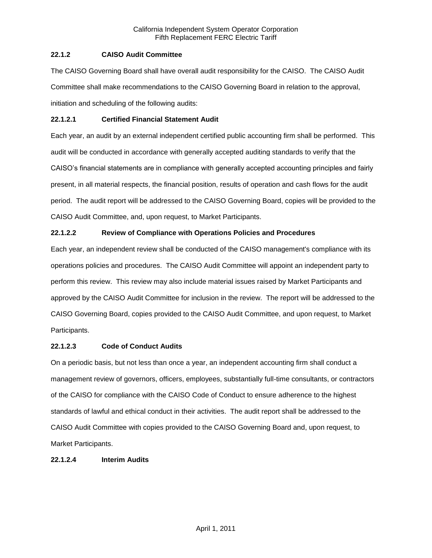# **22.1.2 CAISO Audit Committee**

The CAISO Governing Board shall have overall audit responsibility for the CAISO. The CAISO Audit Committee shall make recommendations to the CAISO Governing Board in relation to the approval, initiation and scheduling of the following audits:

# **22.1.2.1 Certified Financial Statement Audit**

Each year, an audit by an external independent certified public accounting firm shall be performed. This audit will be conducted in accordance with generally accepted auditing standards to verify that the CAISO's financial statements are in compliance with generally accepted accounting principles and fairly present, in all material respects, the financial position, results of operation and cash flows for the audit period. The audit report will be addressed to the CAISO Governing Board, copies will be provided to the CAISO Audit Committee, and, upon request, to Market Participants.

# **22.1.2.2 Review of Compliance with Operations Policies and Procedures**

Each year, an independent review shall be conducted of the CAISO management's compliance with its operations policies and procedures. The CAISO Audit Committee will appoint an independent party to perform this review. This review may also include material issues raised by Market Participants and approved by the CAISO Audit Committee for inclusion in the review. The report will be addressed to the CAISO Governing Board, copies provided to the CAISO Audit Committee, and upon request, to Market Participants.

# **22.1.2.3 Code of Conduct Audits**

On a periodic basis, but not less than once a year, an independent accounting firm shall conduct a management review of governors, officers, employees, substantially full-time consultants, or contractors of the CAISO for compliance with the CAISO Code of Conduct to ensure adherence to the highest standards of lawful and ethical conduct in their activities. The audit report shall be addressed to the CAISO Audit Committee with copies provided to the CAISO Governing Board and, upon request, to Market Participants.

# **22.1.2.4 Interim Audits**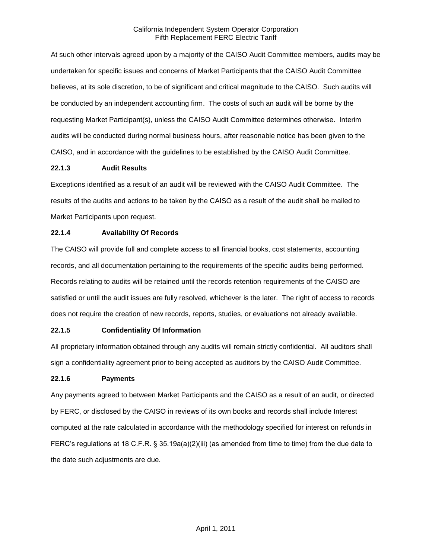At such other intervals agreed upon by a majority of the CAISO Audit Committee members, audits may be undertaken for specific issues and concerns of Market Participants that the CAISO Audit Committee believes, at its sole discretion, to be of significant and critical magnitude to the CAISO. Such audits will be conducted by an independent accounting firm. The costs of such an audit will be borne by the requesting Market Participant(s), unless the CAISO Audit Committee determines otherwise. Interim audits will be conducted during normal business hours, after reasonable notice has been given to the CAISO, and in accordance with the guidelines to be established by the CAISO Audit Committee.

## **22.1.3 Audit Results**

Exceptions identified as a result of an audit will be reviewed with the CAISO Audit Committee. The results of the audits and actions to be taken by the CAISO as a result of the audit shall be mailed to Market Participants upon request.

## **22.1.4 Availability Of Records**

The CAISO will provide full and complete access to all financial books, cost statements, accounting records, and all documentation pertaining to the requirements of the specific audits being performed. Records relating to audits will be retained until the records retention requirements of the CAISO are satisfied or until the audit issues are fully resolved, whichever is the later. The right of access to records does not require the creation of new records, reports, studies, or evaluations not already available.

# **22.1.5 Confidentiality Of Information**

All proprietary information obtained through any audits will remain strictly confidential. All auditors shall sign a confidentiality agreement prior to being accepted as auditors by the CAISO Audit Committee.

# **22.1.6 Payments**

Any payments agreed to between Market Participants and the CAISO as a result of an audit, or directed by FERC, or disclosed by the CAISO in reviews of its own books and records shall include Interest computed at the rate calculated in accordance with the methodology specified for interest on refunds in FERC's regulations at 18 C.F.R. § 35.19a(a)(2)(iii) (as amended from time to time) from the due date to the date such adjustments are due.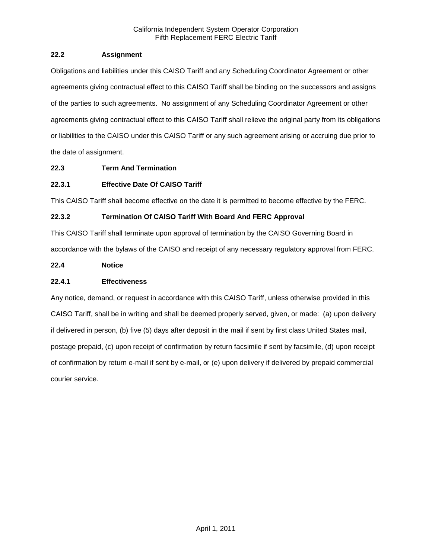# **22.2 Assignment**

Obligations and liabilities under this CAISO Tariff and any Scheduling Coordinator Agreement or other agreements giving contractual effect to this CAISO Tariff shall be binding on the successors and assigns of the parties to such agreements. No assignment of any Scheduling Coordinator Agreement or other agreements giving contractual effect to this CAISO Tariff shall relieve the original party from its obligations or liabilities to the CAISO under this CAISO Tariff or any such agreement arising or accruing due prior to the date of assignment.

# **22.3 Term And Termination**

# **22.3.1 Effective Date Of CAISO Tariff**

This CAISO Tariff shall become effective on the date it is permitted to become effective by the FERC.

# **22.3.2 Termination Of CAISO Tariff With Board And FERC Approval**

This CAISO Tariff shall terminate upon approval of termination by the CAISO Governing Board in accordance with the bylaws of the CAISO and receipt of any necessary regulatory approval from FERC.

# **22.4 Notice**

# **22.4.1 Effectiveness**

Any notice, demand, or request in accordance with this CAISO Tariff, unless otherwise provided in this CAISO Tariff, shall be in writing and shall be deemed properly served, given, or made: (a) upon delivery if delivered in person, (b) five (5) days after deposit in the mail if sent by first class United States mail, postage prepaid, (c) upon receipt of confirmation by return facsimile if sent by facsimile, (d) upon receipt of confirmation by return e-mail if sent by e-mail, or (e) upon delivery if delivered by prepaid commercial courier service.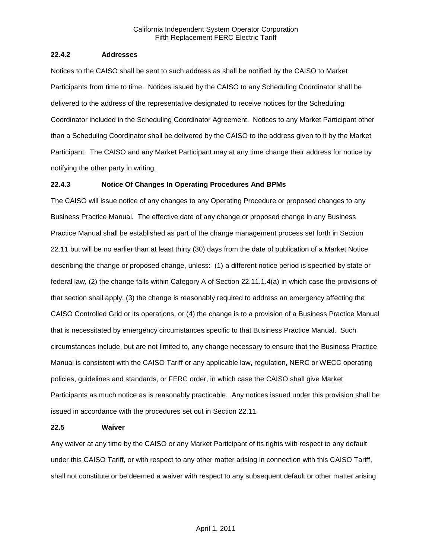### **22.4.2 Addresses**

Notices to the CAISO shall be sent to such address as shall be notified by the CAISO to Market Participants from time to time. Notices issued by the CAISO to any Scheduling Coordinator shall be delivered to the address of the representative designated to receive notices for the Scheduling Coordinator included in the Scheduling Coordinator Agreement. Notices to any Market Participant other than a Scheduling Coordinator shall be delivered by the CAISO to the address given to it by the Market Participant. The CAISO and any Market Participant may at any time change their address for notice by notifying the other party in writing.

### **22.4.3 Notice Of Changes In Operating Procedures And BPMs**

The CAISO will issue notice of any changes to any Operating Procedure or proposed changes to any Business Practice Manual. The effective date of any change or proposed change in any Business Practice Manual shall be established as part of the change management process set forth in Section 22.11 but will be no earlier than at least thirty (30) days from the date of publication of a Market Notice describing the change or proposed change, unless: (1) a different notice period is specified by state or federal law, (2) the change falls within Category A of Section 22.11.1.4(a) in which case the provisions of that section shall apply; (3) the change is reasonably required to address an emergency affecting the CAISO Controlled Grid or its operations, or (4) the change is to a provision of a Business Practice Manual that is necessitated by emergency circumstances specific to that Business Practice Manual. Such circumstances include, but are not limited to, any change necessary to ensure that the Business Practice Manual is consistent with the CAISO Tariff or any applicable law, regulation, NERC or WECC operating policies, guidelines and standards, or FERC order, in which case the CAISO shall give Market Participants as much notice as is reasonably practicable. Any notices issued under this provision shall be issued in accordance with the procedures set out in Section 22.11.

#### **22.5 Waiver**

Any waiver at any time by the CAISO or any Market Participant of its rights with respect to any default under this CAISO Tariff, or with respect to any other matter arising in connection with this CAISO Tariff, shall not constitute or be deemed a waiver with respect to any subsequent default or other matter arising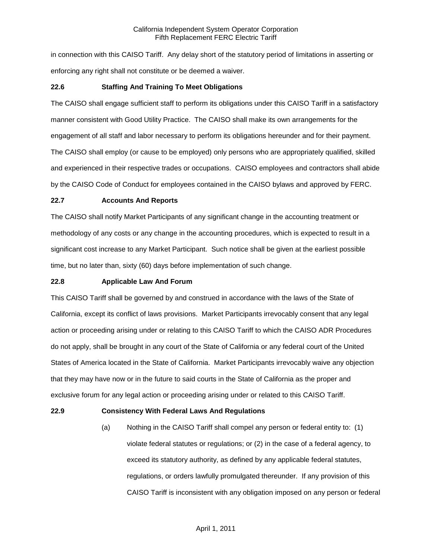in connection with this CAISO Tariff. Any delay short of the statutory period of limitations in asserting or enforcing any right shall not constitute or be deemed a waiver.

## **22.6 Staffing And Training To Meet Obligations**

The CAISO shall engage sufficient staff to perform its obligations under this CAISO Tariff in a satisfactory manner consistent with Good Utility Practice. The CAISO shall make its own arrangements for the engagement of all staff and labor necessary to perform its obligations hereunder and for their payment. The CAISO shall employ (or cause to be employed) only persons who are appropriately qualified, skilled and experienced in their respective trades or occupations. CAISO employees and contractors shall abide by the CAISO Code of Conduct for employees contained in the CAISO bylaws and approved by FERC.

### **22.7 Accounts And Reports**

The CAISO shall notify Market Participants of any significant change in the accounting treatment or methodology of any costs or any change in the accounting procedures, which is expected to result in a significant cost increase to any Market Participant. Such notice shall be given at the earliest possible time, but no later than, sixty (60) days before implementation of such change.

## **22.8 Applicable Law And Forum**

This CAISO Tariff shall be governed by and construed in accordance with the laws of the State of California, except its conflict of laws provisions. Market Participants irrevocably consent that any legal action or proceeding arising under or relating to this CAISO Tariff to which the CAISO ADR Procedures do not apply, shall be brought in any court of the State of California or any federal court of the United States of America located in the State of California. Market Participants irrevocably waive any objection that they may have now or in the future to said courts in the State of California as the proper and exclusive forum for any legal action or proceeding arising under or related to this CAISO Tariff.

### **22.9 Consistency With Federal Laws And Regulations**

(a) Nothing in the CAISO Tariff shall compel any person or federal entity to: (1) violate federal statutes or regulations; or (2) in the case of a federal agency, to exceed its statutory authority, as defined by any applicable federal statutes, regulations, or orders lawfully promulgated thereunder. If any provision of this CAISO Tariff is inconsistent with any obligation imposed on any person or federal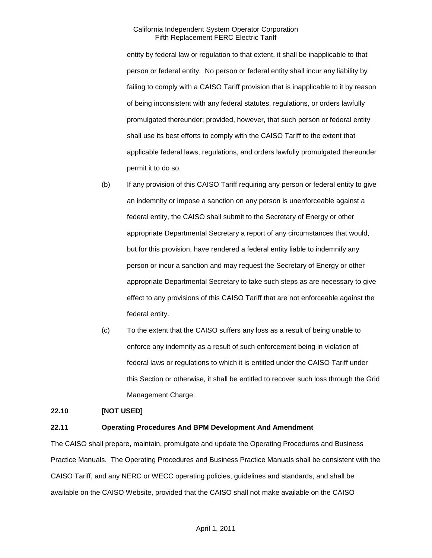entity by federal law or regulation to that extent, it shall be inapplicable to that person or federal entity. No person or federal entity shall incur any liability by failing to comply with a CAISO Tariff provision that is inapplicable to it by reason of being inconsistent with any federal statutes, regulations, or orders lawfully promulgated thereunder; provided, however, that such person or federal entity shall use its best efforts to comply with the CAISO Tariff to the extent that applicable federal laws, regulations, and orders lawfully promulgated thereunder permit it to do so.

- (b) If any provision of this CAISO Tariff requiring any person or federal entity to give an indemnity or impose a sanction on any person is unenforceable against a federal entity, the CAISO shall submit to the Secretary of Energy or other appropriate Departmental Secretary a report of any circumstances that would, but for this provision, have rendered a federal entity liable to indemnify any person or incur a sanction and may request the Secretary of Energy or other appropriate Departmental Secretary to take such steps as are necessary to give effect to any provisions of this CAISO Tariff that are not enforceable against the federal entity.
- (c) To the extent that the CAISO suffers any loss as a result of being unable to enforce any indemnity as a result of such enforcement being in violation of federal laws or regulations to which it is entitled under the CAISO Tariff under this Section or otherwise, it shall be entitled to recover such loss through the Grid Management Charge.

### **22.10 [NOT USED]**

# **22.11 Operating Procedures And BPM Development And Amendment**

The CAISO shall prepare, maintain, promulgate and update the Operating Procedures and Business Practice Manuals. The Operating Procedures and Business Practice Manuals shall be consistent with the CAISO Tariff, and any NERC or WECC operating policies, guidelines and standards, and shall be available on the CAISO Website, provided that the CAISO shall not make available on the CAISO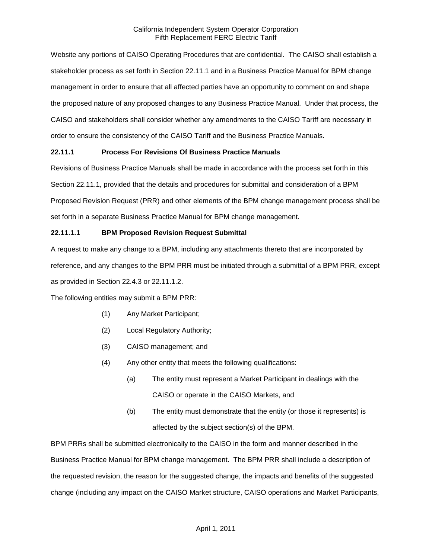Website any portions of CAISO Operating Procedures that are confidential. The CAISO shall establish a stakeholder process as set forth in Section 22.11.1 and in a Business Practice Manual for BPM change management in order to ensure that all affected parties have an opportunity to comment on and shape the proposed nature of any proposed changes to any Business Practice Manual. Under that process, the CAISO and stakeholders shall consider whether any amendments to the CAISO Tariff are necessary in order to ensure the consistency of the CAISO Tariff and the Business Practice Manuals.

# **22.11.1 Process For Revisions Of Business Practice Manuals**

Revisions of Business Practice Manuals shall be made in accordance with the process set forth in this Section 22.11.1, provided that the details and procedures for submittal and consideration of a BPM Proposed Revision Request (PRR) and other elements of the BPM change management process shall be set forth in a separate Business Practice Manual for BPM change management.

## **22.11.1.1 BPM Proposed Revision Request Submittal**

A request to make any change to a BPM, including any attachments thereto that are incorporated by reference, and any changes to the BPM PRR must be initiated through a submittal of a BPM PRR, except as provided in Section 22.4.3 or 22.11.1.2.

The following entities may submit a BPM PRR:

- (1) Any Market Participant;
- (2) Local Regulatory Authority;
- (3) CAISO management; and
- (4) Any other entity that meets the following qualifications:
	- (a) The entity must represent a Market Participant in dealings with the CAISO or operate in the CAISO Markets, and
	- (b) The entity must demonstrate that the entity (or those it represents) is affected by the subject section(s) of the BPM.

BPM PRRs shall be submitted electronically to the CAISO in the form and manner described in the Business Practice Manual for BPM change management. The BPM PRR shall include a description of the requested revision, the reason for the suggested change, the impacts and benefits of the suggested change (including any impact on the CAISO Market structure, CAISO operations and Market Participants,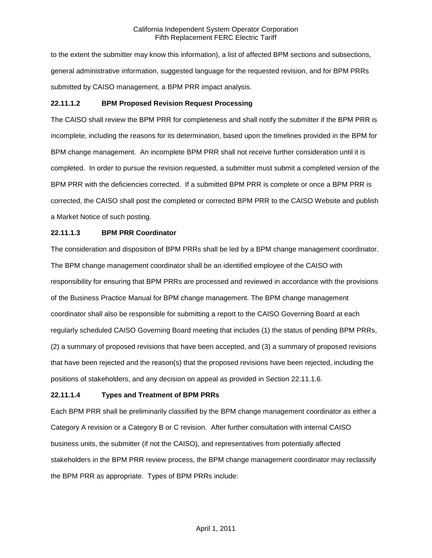to the extent the submitter may know this information), a list of affected BPM sections and subsections, general administrative information, suggested language for the requested revision, and for BPM PRRs submitted by CAISO management, a BPM PRR impact analysis.

## **22.11.1.2 BPM Proposed Revision Request Processing**

The CAISO shall review the BPM PRR for completeness and shall notify the submitter if the BPM PRR is incomplete, including the reasons for its determination, based upon the timelines provided in the BPM for BPM change management. An incomplete BPM PRR shall not receive further consideration until it is completed. In order to pursue the revision requested, a submitter must submit a completed version of the BPM PRR with the deficiencies corrected. If a submitted BPM PRR is complete or once a BPM PRR is corrected, the CAISO shall post the completed or corrected BPM PRR to the CAISO Website and publish a Market Notice of such posting.

## **22.11.1.3 BPM PRR Coordinator**

The consideration and disposition of BPM PRRs shall be led by a BPM change management coordinator. The BPM change management coordinator shall be an identified employee of the CAISO with responsibility for ensuring that BPM PRRs are processed and reviewed in accordance with the provisions of the Business Practice Manual for BPM change management. The BPM change management coordinator shall also be responsible for submitting a report to the CAISO Governing Board at each regularly scheduled CAISO Governing Board meeting that includes (1) the status of pending BPM PRRs, (2) a summary of proposed revisions that have been accepted, and (3) a summary of proposed revisions that have been rejected and the reason(s) that the proposed revisions have been rejected, including the positions of stakeholders, and any decision on appeal as provided in Section 22.11.1.6.

# **22.11.1.4 Types and Treatment of BPM PRRs**

Each BPM PRR shall be preliminarily classified by the BPM change management coordinator as either a Category A revision or a Category B or C revision. After further consultation with internal CAISO business units, the submitter (if not the CAISO), and representatives from potentially affected stakeholders in the BPM PRR review process, the BPM change management coordinator may reclassify the BPM PRR as appropriate. Types of BPM PRRs include: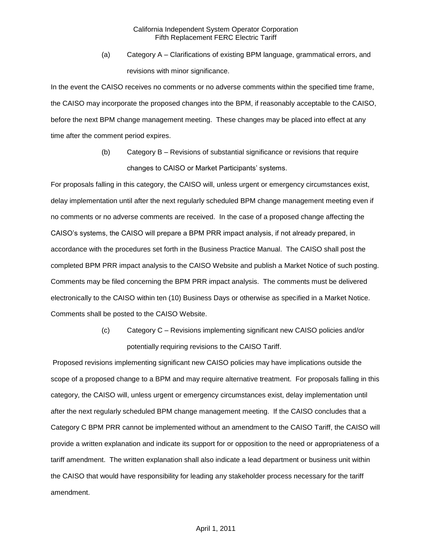(a) Category A – Clarifications of existing BPM language, grammatical errors, and revisions with minor significance.

In the event the CAISO receives no comments or no adverse comments within the specified time frame, the CAISO may incorporate the proposed changes into the BPM, if reasonably acceptable to the CAISO, before the next BPM change management meeting. These changes may be placed into effect at any time after the comment period expires.

> (b) Category B – Revisions of substantial significance or revisions that require changes to CAISO or Market Participants' systems.

For proposals falling in this category, the CAISO will, unless urgent or emergency circumstances exist, delay implementation until after the next regularly scheduled BPM change management meeting even if no comments or no adverse comments are received. In the case of a proposed change affecting the CAISO's systems, the CAISO will prepare a BPM PRR impact analysis, if not already prepared, in accordance with the procedures set forth in the Business Practice Manual. The CAISO shall post the completed BPM PRR impact analysis to the CAISO Website and publish a Market Notice of such posting. Comments may be filed concerning the BPM PRR impact analysis. The comments must be delivered electronically to the CAISO within ten (10) Business Days or otherwise as specified in a Market Notice. Comments shall be posted to the CAISO Website.

> (c) Category C – Revisions implementing significant new CAISO policies and/or potentially requiring revisions to the CAISO Tariff.

Proposed revisions implementing significant new CAISO policies may have implications outside the scope of a proposed change to a BPM and may require alternative treatment. For proposals falling in this category, the CAISO will, unless urgent or emergency circumstances exist, delay implementation until after the next regularly scheduled BPM change management meeting. If the CAISO concludes that a Category C BPM PRR cannot be implemented without an amendment to the CAISO Tariff, the CAISO will provide a written explanation and indicate its support for or opposition to the need or appropriateness of a tariff amendment. The written explanation shall also indicate a lead department or business unit within the CAISO that would have responsibility for leading any stakeholder process necessary for the tariff amendment.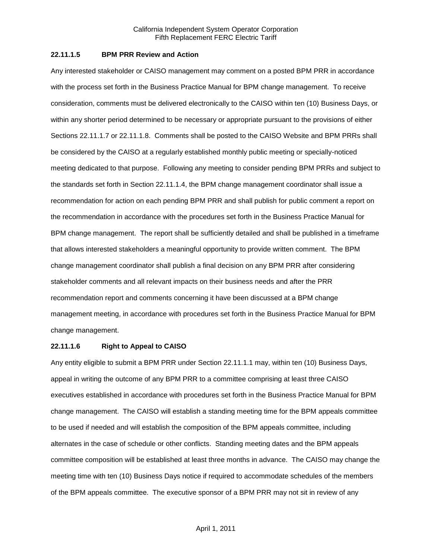## **22.11.1.5 BPM PRR Review and Action**

Any interested stakeholder or CAISO management may comment on a posted BPM PRR in accordance with the process set forth in the Business Practice Manual for BPM change management. To receive consideration, comments must be delivered electronically to the CAISO within ten (10) Business Days, or within any shorter period determined to be necessary or appropriate pursuant to the provisions of either Sections 22.11.1.7 or 22.11.1.8. Comments shall be posted to the CAISO Website and BPM PRRs shall be considered by the CAISO at a regularly established monthly public meeting or specially-noticed meeting dedicated to that purpose. Following any meeting to consider pending BPM PRRs and subject to the standards set forth in Section 22.11.1.4, the BPM change management coordinator shall issue a recommendation for action on each pending BPM PRR and shall publish for public comment a report on the recommendation in accordance with the procedures set forth in the Business Practice Manual for BPM change management. The report shall be sufficiently detailed and shall be published in a timeframe that allows interested stakeholders a meaningful opportunity to provide written comment. The BPM change management coordinator shall publish a final decision on any BPM PRR after considering stakeholder comments and all relevant impacts on their business needs and after the PRR recommendation report and comments concerning it have been discussed at a BPM change management meeting, in accordance with procedures set forth in the Business Practice Manual for BPM change management.

#### **22.11.1.6 Right to Appeal to CAISO**

Any entity eligible to submit a BPM PRR under Section 22.11.1.1 may, within ten (10) Business Days, appeal in writing the outcome of any BPM PRR to a committee comprising at least three CAISO executives established in accordance with procedures set forth in the Business Practice Manual for BPM change management. The CAISO will establish a standing meeting time for the BPM appeals committee to be used if needed and will establish the composition of the BPM appeals committee, including alternates in the case of schedule or other conflicts. Standing meeting dates and the BPM appeals committee composition will be established at least three months in advance. The CAISO may change the meeting time with ten (10) Business Days notice if required to accommodate schedules of the members of the BPM appeals committee. The executive sponsor of a BPM PRR may not sit in review of any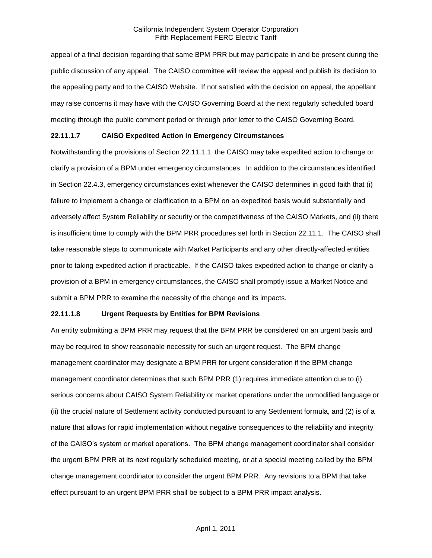appeal of a final decision regarding that same BPM PRR but may participate in and be present during the public discussion of any appeal. The CAISO committee will review the appeal and publish its decision to the appealing party and to the CAISO Website. If not satisfied with the decision on appeal, the appellant may raise concerns it may have with the CAISO Governing Board at the next regularly scheduled board meeting through the public comment period or through prior letter to the CAISO Governing Board.

### **22.11.1.7 CAISO Expedited Action in Emergency Circumstances**

Notwithstanding the provisions of Section 22.11.1.1, the CAISO may take expedited action to change or clarify a provision of a BPM under emergency circumstances. In addition to the circumstances identified in Section 22.4.3, emergency circumstances exist whenever the CAISO determines in good faith that (i) failure to implement a change or clarification to a BPM on an expedited basis would substantially and adversely affect System Reliability or security or the competitiveness of the CAISO Markets, and (ii) there is insufficient time to comply with the BPM PRR procedures set forth in Section 22.11.1. The CAISO shall take reasonable steps to communicate with Market Participants and any other directly-affected entities prior to taking expedited action if practicable. If the CAISO takes expedited action to change or clarify a provision of a BPM in emergency circumstances, the CAISO shall promptly issue a Market Notice and submit a BPM PRR to examine the necessity of the change and its impacts.

### **22.11.1.8 Urgent Requests by Entities for BPM Revisions**

An entity submitting a BPM PRR may request that the BPM PRR be considered on an urgent basis and may be required to show reasonable necessity for such an urgent request. The BPM change management coordinator may designate a BPM PRR for urgent consideration if the BPM change management coordinator determines that such BPM PRR (1) requires immediate attention due to (i) serious concerns about CAISO System Reliability or market operations under the unmodified language or (ii) the crucial nature of Settlement activity conducted pursuant to any Settlement formula, and (2) is of a nature that allows for rapid implementation without negative consequences to the reliability and integrity of the CAISO's system or market operations. The BPM change management coordinator shall consider the urgent BPM PRR at its next regularly scheduled meeting, or at a special meeting called by the BPM change management coordinator to consider the urgent BPM PRR. Any revisions to a BPM that take effect pursuant to an urgent BPM PRR shall be subject to a BPM PRR impact analysis.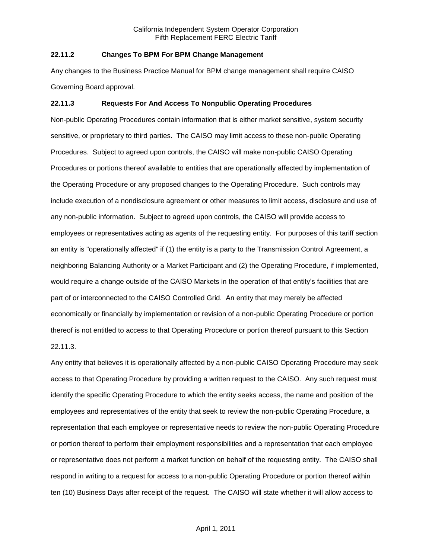## **22.11.2 Changes To BPM For BPM Change Management**

Any changes to the Business Practice Manual for BPM change management shall require CAISO Governing Board approval.

### **22.11.3 Requests For And Access To Nonpublic Operating Procedures**

Non-public Operating Procedures contain information that is either market sensitive, system security sensitive, or proprietary to third parties. The CAISO may limit access to these non-public Operating Procedures. Subject to agreed upon controls, the CAISO will make non-public CAISO Operating Procedures or portions thereof available to entities that are operationally affected by implementation of the Operating Procedure or any proposed changes to the Operating Procedure. Such controls may include execution of a nondisclosure agreement or other measures to limit access, disclosure and use of any non-public information. Subject to agreed upon controls, the CAISO will provide access to employees or representatives acting as agents of the requesting entity. For purposes of this tariff section an entity is "operationally affected" if (1) the entity is a party to the Transmission Control Agreement, a neighboring Balancing Authority or a Market Participant and (2) the Operating Procedure, if implemented, would require a change outside of the CAISO Markets in the operation of that entity's facilities that are part of or interconnected to the CAISO Controlled Grid. An entity that may merely be affected economically or financially by implementation or revision of a non-public Operating Procedure or portion thereof is not entitled to access to that Operating Procedure or portion thereof pursuant to this Section 22.11.3.

Any entity that believes it is operationally affected by a non-public CAISO Operating Procedure may seek access to that Operating Procedure by providing a written request to the CAISO. Any such request must identify the specific Operating Procedure to which the entity seeks access, the name and position of the employees and representatives of the entity that seek to review the non-public Operating Procedure, a representation that each employee or representative needs to review the non-public Operating Procedure or portion thereof to perform their employment responsibilities and a representation that each employee or representative does not perform a market function on behalf of the requesting entity. The CAISO shall respond in writing to a request for access to a non-public Operating Procedure or portion thereof within ten (10) Business Days after receipt of the request. The CAISO will state whether it will allow access to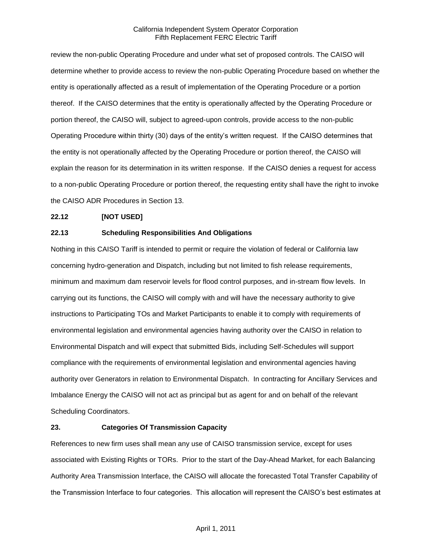review the non-public Operating Procedure and under what set of proposed controls. The CAISO will determine whether to provide access to review the non-public Operating Procedure based on whether the entity is operationally affected as a result of implementation of the Operating Procedure or a portion thereof. If the CAISO determines that the entity is operationally affected by the Operating Procedure or portion thereof, the CAISO will, subject to agreed-upon controls, provide access to the non-public Operating Procedure within thirty (30) days of the entity's written request. If the CAISO determines that the entity is not operationally affected by the Operating Procedure or portion thereof, the CAISO will explain the reason for its determination in its written response. If the CAISO denies a request for access to a non-public Operating Procedure or portion thereof, the requesting entity shall have the right to invoke the CAISO ADR Procedures in Section 13.

# **22.12 [NOT USED]**

## **22.13 Scheduling Responsibilities And Obligations**

Nothing in this CAISO Tariff is intended to permit or require the violation of federal or California law concerning hydro-generation and Dispatch, including but not limited to fish release requirements, minimum and maximum dam reservoir levels for flood control purposes, and in-stream flow levels. In carrying out its functions, the CAISO will comply with and will have the necessary authority to give instructions to Participating TOs and Market Participants to enable it to comply with requirements of environmental legislation and environmental agencies having authority over the CAISO in relation to Environmental Dispatch and will expect that submitted Bids, including Self-Schedules will support compliance with the requirements of environmental legislation and environmental agencies having authority over Generators in relation to Environmental Dispatch. In contracting for Ancillary Services and Imbalance Energy the CAISO will not act as principal but as agent for and on behalf of the relevant Scheduling Coordinators.

# **23. Categories Of Transmission Capacity**

References to new firm uses shall mean any use of CAISO transmission service, except for uses associated with Existing Rights or TORs. Prior to the start of the Day-Ahead Market, for each Balancing Authority Area Transmission Interface, the CAISO will allocate the forecasted Total Transfer Capability of the Transmission Interface to four categories. This allocation will represent the CAISO's best estimates at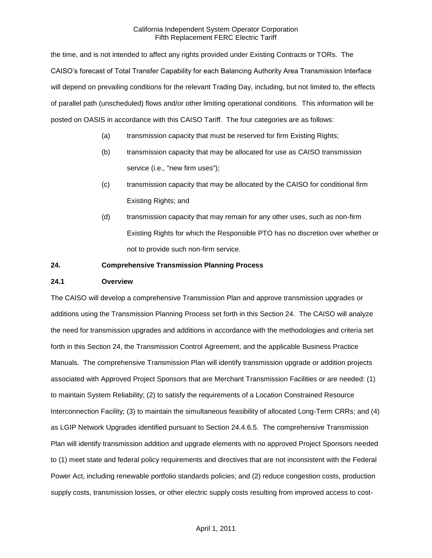the time, and is not intended to affect any rights provided under Existing Contracts or TORs. The CAISO's forecast of Total Transfer Capability for each Balancing Authority Area Transmission Interface will depend on prevailing conditions for the relevant Trading Day, including, but not limited to, the effects of parallel path (unscheduled) flows and/or other limiting operational conditions. This information will be posted on OASIS in accordance with this CAISO Tariff. The four categories are as follows:

- (a) transmission capacity that must be reserved for firm Existing Rights;
- (b) transmission capacity that may be allocated for use as CAISO transmission service (i.e., "new firm uses");
- (c) transmission capacity that may be allocated by the CAISO for conditional firm Existing Rights; and
- (d) transmission capacity that may remain for any other uses, such as non-firm Existing Rights for which the Responsible PTO has no discretion over whether or not to provide such non-firm service.

### **24. Comprehensive Transmission Planning Process**

## **24.1 Overview**

The CAISO will develop a comprehensive Transmission Plan and approve transmission upgrades or additions using the Transmission Planning Process set forth in this Section 24. The CAISO will analyze the need for transmission upgrades and additions in accordance with the methodologies and criteria set forth in this Section 24, the Transmission Control Agreement, and the applicable Business Practice Manuals. The comprehensive Transmission Plan will identify transmission upgrade or addition projects associated with Approved Project Sponsors that are Merchant Transmission Facilities or are needed: (1) to maintain System Reliability; (2) to satisfy the requirements of a Location Constrained Resource Interconnection Facility; (3) to maintain the simultaneous feasibility of allocated Long-Term CRRs; and (4) as LGIP Network Upgrades identified pursuant to Section 24.4.6.5. The comprehensive Transmission Plan will identify transmission addition and upgrade elements with no approved Project Sponsors needed to (1) meet state and federal policy requirements and directives that are not inconsistent with the Federal Power Act, including renewable portfolio standards policies; and (2) reduce congestion costs, production supply costs, transmission losses, or other electric supply costs resulting from improved access to cost-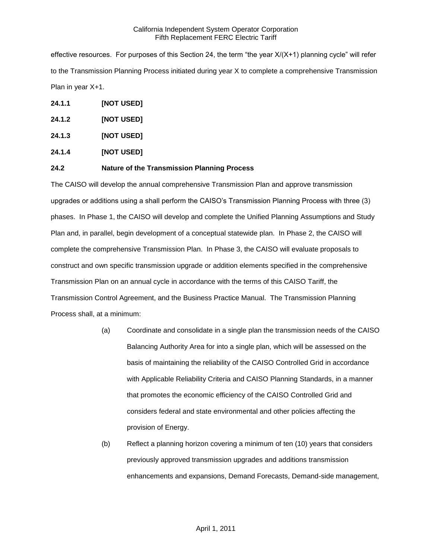effective resources. For purposes of this Section 24, the term "the year X/(X+1) planning cycle" will refer to the Transmission Planning Process initiated during year X to complete a comprehensive Transmission Plan in year X+1.

- **24.1.1 [NOT USED]**
- **24.1.2 [NOT USED]**
- **24.1.3 [NOT USED]**
- **24.1.4 [NOT USED]**

## **24.2 Nature of the Transmission Planning Process**

The CAISO will develop the annual comprehensive Transmission Plan and approve transmission upgrades or additions using a shall perform the CAISO's Transmission Planning Process with three (3) phases. In Phase 1, the CAISO will develop and complete the Unified Planning Assumptions and Study Plan and, in parallel, begin development of a conceptual statewide plan. In Phase 2, the CAISO will complete the comprehensive Transmission Plan. In Phase 3, the CAISO will evaluate proposals to construct and own specific transmission upgrade or addition elements specified in the comprehensive Transmission Plan on an annual cycle in accordance with the terms of this CAISO Tariff, the Transmission Control Agreement, and the Business Practice Manual. The Transmission Planning Process shall, at a minimum:

- (a) Coordinate and consolidate in a single plan the transmission needs of the CAISO Balancing Authority Area for into a single plan, which will be assessed on the basis of maintaining the reliability of the CAISO Controlled Grid in accordance with Applicable Reliability Criteria and CAISO Planning Standards, in a manner that promotes the economic efficiency of the CAISO Controlled Grid and considers federal and state environmental and other policies affecting the provision of Energy.
- (b) Reflect a planning horizon covering a minimum of ten (10) years that considers previously approved transmission upgrades and additions transmission enhancements and expansions, Demand Forecasts, Demand-side management,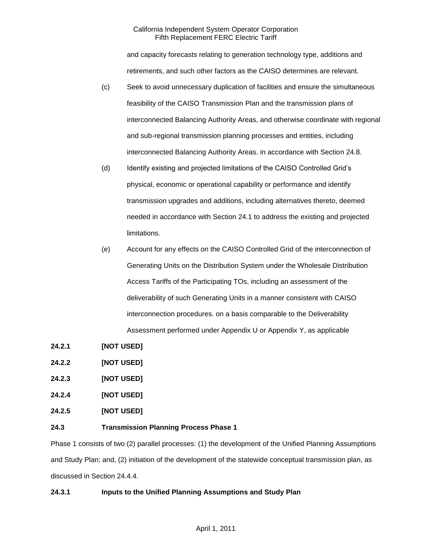and capacity forecasts relating to generation technology type, additions and retirements, and such other factors as the CAISO determines are relevant.

- (c) Seek to avoid unnecessary duplication of facilities and ensure the simultaneous feasibility of the CAISO Transmission Plan and the transmission plans of interconnected Balancing Authority Areas, and otherwise coordinate with regional and sub-regional transmission planning processes and entities, including interconnected Balancing Authority Areas. in accordance with Section 24.8.
- (d) Identify existing and projected limitations of the CAISO Controlled Grid's physical, economic or operational capability or performance and identify transmission upgrades and additions, including alternatives thereto, deemed needed in accordance with Section 24.1 to address the existing and projected limitations.
- (e) Account for any effects on the CAISO Controlled Grid of the interconnection of Generating Units on the Distribution System under the Wholesale Distribution Access Tariffs of the Participating TOs, including an assessment of the deliverability of such Generating Units in a manner consistent with CAISO interconnection procedures. on a basis comparable to the Deliverability Assessment performed under Appendix U or Appendix Y, as applicable
- **24.2.1 [NOT USED]**
- **24.2.2 [NOT USED]**
- **24.2.3 [NOT USED]**
- **24.2.4 [NOT USED]**
- **24.2.5 [NOT USED]**

# **24.3 Transmission Planning Process Phase 1**

Phase 1 consists of two (2) parallel processes: (1) the development of the Unified Planning Assumptions and Study Plan; and, (2) initiation of the development of the statewide conceptual transmission plan, as discussed in Section 24.4.4.

# **24.3.1 Inputs to the Unified Planning Assumptions and Study Plan**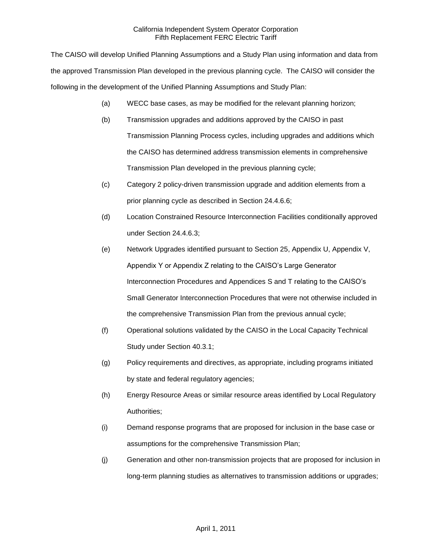The CAISO will develop Unified Planning Assumptions and a Study Plan using information and data from the approved Transmission Plan developed in the previous planning cycle. The CAISO will consider the following in the development of the Unified Planning Assumptions and Study Plan:

- (a) WECC base cases, as may be modified for the relevant planning horizon;
- (b) Transmission upgrades and additions approved by the CAISO in past Transmission Planning Process cycles, including upgrades and additions which the CAISO has determined address transmission elements in comprehensive Transmission Plan developed in the previous planning cycle;
- (c) Category 2 policy-driven transmission upgrade and addition elements from a prior planning cycle as described in Section 24.4.6.6;
- (d) Location Constrained Resource Interconnection Facilities conditionally approved under Section 24.4.6.3;
- (e) Network Upgrades identified pursuant to Section 25, Appendix U, Appendix V, Appendix Y or Appendix Z relating to the CAISO's Large Generator Interconnection Procedures and Appendices S and T relating to the CAISO's Small Generator Interconnection Procedures that were not otherwise included in the comprehensive Transmission Plan from the previous annual cycle;
- (f) Operational solutions validated by the CAISO in the Local Capacity Technical Study under Section 40.3.1;
- (g) Policy requirements and directives, as appropriate, including programs initiated by state and federal regulatory agencies;
- (h) Energy Resource Areas or similar resource areas identified by Local Regulatory Authorities;
- (i) Demand response programs that are proposed for inclusion in the base case or assumptions for the comprehensive Transmission Plan;
- (j) Generation and other non-transmission projects that are proposed for inclusion in long-term planning studies as alternatives to transmission additions or upgrades;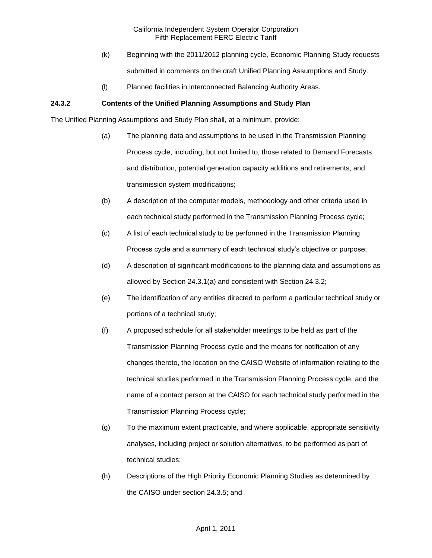- (k) Beginning with the 2011/2012 planning cycle, Economic Planning Study requests submitted in comments on the draft Unified Planning Assumptions and Study.
- (l) Planned facilities in interconnected Balancing Authority Areas.

# **24.3.2 Contents of the Unified Planning Assumptions and Study Plan**

The Unified Planning Assumptions and Study Plan shall, at a minimum, provide:

- (a) The planning data and assumptions to be used in the Transmission Planning Process cycle, including, but not limited to, those related to Demand Forecasts and distribution, potential generation capacity additions and retirements, and transmission system modifications;
- (b) A description of the computer models, methodology and other criteria used in each technical study performed in the Transmission Planning Process cycle;
- (c) A list of each technical study to be performed in the Transmission Planning Process cycle and a summary of each technical study's objective or purpose;
- (d) A description of significant modifications to the planning data and assumptions as allowed by Section 24.3.1(a) and consistent with Section 24.3.2;
- (e) The identification of any entities directed to perform a particular technical study or portions of a technical study;
- (f) A proposed schedule for all stakeholder meetings to be held as part of the Transmission Planning Process cycle and the means for notification of any changes thereto, the location on the CAISO Website of information relating to the technical studies performed in the Transmission Planning Process cycle, and the name of a contact person at the CAISO for each technical study performed in the Transmission Planning Process cycle;
- (g) To the maximum extent practicable, and where applicable, appropriate sensitivity analyses, including project or solution alternatives, to be performed as part of technical studies;
- (h) Descriptions of the High Priority Economic Planning Studies as determined by the CAISO under section 24.3.5; and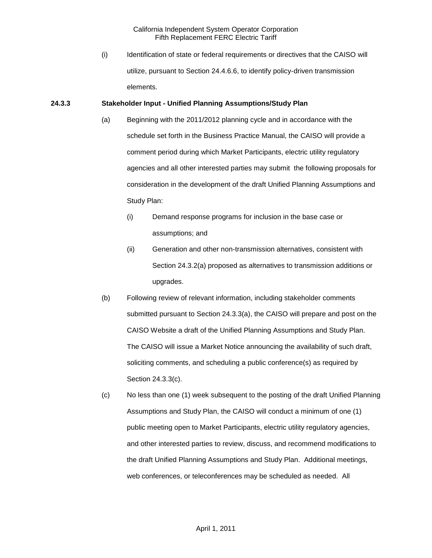(i) Identification of state or federal requirements or directives that the CAISO will utilize, pursuant to Section 24.4.6.6, to identify policy-driven transmission elements.

### **24.3.3 Stakeholder Input - Unified Planning Assumptions/Study Plan**

- (a) Beginning with the 2011/2012 planning cycle and in accordance with the schedule set forth in the Business Practice Manual, the CAISO will provide a comment period during which Market Participants, electric utility regulatory agencies and all other interested parties may submit the following proposals for consideration in the development of the draft Unified Planning Assumptions and Study Plan:
	- (i) Demand response programs for inclusion in the base case or assumptions; and
	- (ii) Generation and other non-transmission alternatives, consistent with Section 24.3.2(a) proposed as alternatives to transmission additions or upgrades.
- (b) Following review of relevant information, including stakeholder comments submitted pursuant to Section 24.3.3(a), the CAISO will prepare and post on the CAISO Website a draft of the Unified Planning Assumptions and Study Plan. The CAISO will issue a Market Notice announcing the availability of such draft, soliciting comments, and scheduling a public conference(s) as required by Section 24.3.3(c).
- (c) No less than one (1) week subsequent to the posting of the draft Unified Planning Assumptions and Study Plan, the CAISO will conduct a minimum of one (1) public meeting open to Market Participants, electric utility regulatory agencies, and other interested parties to review, discuss, and recommend modifications to the draft Unified Planning Assumptions and Study Plan. Additional meetings, web conferences, or teleconferences may be scheduled as needed. All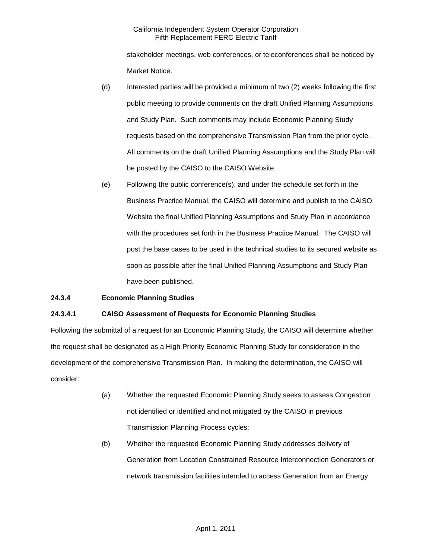stakeholder meetings, web conferences, or teleconferences shall be noticed by Market Notice.

- (d) Interested parties will be provided a minimum of two (2) weeks following the first public meeting to provide comments on the draft Unified Planning Assumptions and Study Plan. Such comments may include Economic Planning Study requests based on the comprehensive Transmission Plan from the prior cycle. All comments on the draft Unified Planning Assumptions and the Study Plan will be posted by the CAISO to the CAISO Website.
- (e) Following the public conference(s), and under the schedule set forth in the Business Practice Manual, the CAISO will determine and publish to the CAISO Website the final Unified Planning Assumptions and Study Plan in accordance with the procedures set forth in the Business Practice Manual. The CAISO will post the base cases to be used in the technical studies to its secured website as soon as possible after the final Unified Planning Assumptions and Study Plan have been published.

# **24.3.4 Economic Planning Studies**

# **24.3.4.1 CAISO Assessment of Requests for Economic Planning Studies**

Following the submittal of a request for an Economic Planning Study, the CAISO will determine whether the request shall be designated as a High Priority Economic Planning Study for consideration in the development of the comprehensive Transmission Plan. In making the determination, the CAISO will consider:

- (a) Whether the requested Economic Planning Study seeks to assess Congestion not identified or identified and not mitigated by the CAISO in previous Transmission Planning Process cycles;
- (b) Whether the requested Economic Planning Study addresses delivery of Generation from Location Constrained Resource Interconnection Generators or network transmission facilities intended to access Generation from an Energy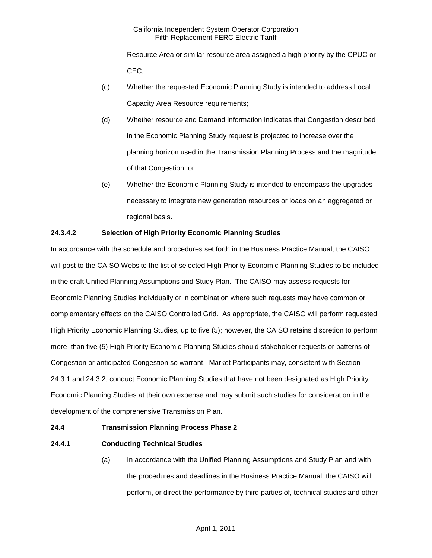Resource Area or similar resource area assigned a high priority by the CPUC or CEC;

- (c) Whether the requested Economic Planning Study is intended to address Local Capacity Area Resource requirements;
- (d) Whether resource and Demand information indicates that Congestion described in the Economic Planning Study request is projected to increase over the planning horizon used in the Transmission Planning Process and the magnitude of that Congestion; or
- (e) Whether the Economic Planning Study is intended to encompass the upgrades necessary to integrate new generation resources or loads on an aggregated or regional basis.

# **24.3.4.2 Selection of High Priority Economic Planning Studies**

In accordance with the schedule and procedures set forth in the Business Practice Manual, the CAISO will post to the CAISO Website the list of selected High Priority Economic Planning Studies to be included in the draft Unified Planning Assumptions and Study Plan. The CAISO may assess requests for Economic Planning Studies individually or in combination where such requests may have common or complementary effects on the CAISO Controlled Grid. As appropriate, the CAISO will perform requested High Priority Economic Planning Studies, up to five (5); however, the CAISO retains discretion to perform more than five (5) High Priority Economic Planning Studies should stakeholder requests or patterns of Congestion or anticipated Congestion so warrant. Market Participants may, consistent with Section 24.3.1 and 24.3.2, conduct Economic Planning Studies that have not been designated as High Priority Economic Planning Studies at their own expense and may submit such studies for consideration in the development of the comprehensive Transmission Plan.

### **24.4 Transmission Planning Process Phase 2**

# **24.4.1 Conducting Technical Studies**

(a) In accordance with the Unified Planning Assumptions and Study Plan and with the procedures and deadlines in the Business Practice Manual, the CAISO will perform, or direct the performance by third parties of, technical studies and other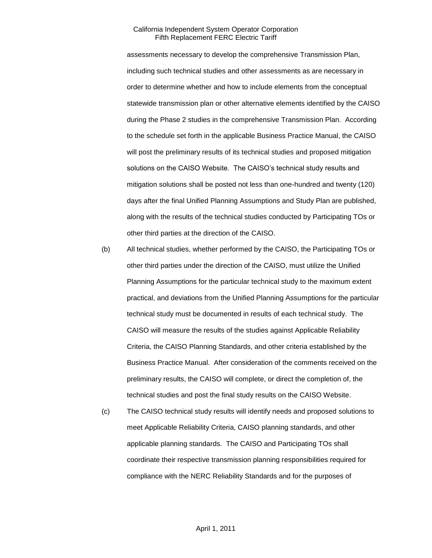assessments necessary to develop the comprehensive Transmission Plan, including such technical studies and other assessments as are necessary in order to determine whether and how to include elements from the conceptual statewide transmission plan or other alternative elements identified by the CAISO during the Phase 2 studies in the comprehensive Transmission Plan. According to the schedule set forth in the applicable Business Practice Manual, the CAISO will post the preliminary results of its technical studies and proposed mitigation solutions on the CAISO Website. The CAISO's technical study results and mitigation solutions shall be posted not less than one-hundred and twenty (120) days after the final Unified Planning Assumptions and Study Plan are published, along with the results of the technical studies conducted by Participating TOs or other third parties at the direction of the CAISO.

- (b) All technical studies, whether performed by the CAISO, the Participating TOs or other third parties under the direction of the CAISO, must utilize the Unified Planning Assumptions for the particular technical study to the maximum extent practical, and deviations from the Unified Planning Assumptions for the particular technical study must be documented in results of each technical study. The CAISO will measure the results of the studies against Applicable Reliability Criteria, the CAISO Planning Standards, and other criteria established by the Business Practice Manual. After consideration of the comments received on the preliminary results, the CAISO will complete, or direct the completion of, the technical studies and post the final study results on the CAISO Website.
- (c) The CAISO technical study results will identify needs and proposed solutions to meet Applicable Reliability Criteria, CAISO planning standards, and other applicable planning standards. The CAISO and Participating TOs shall coordinate their respective transmission planning responsibilities required for compliance with the NERC Reliability Standards and for the purposes of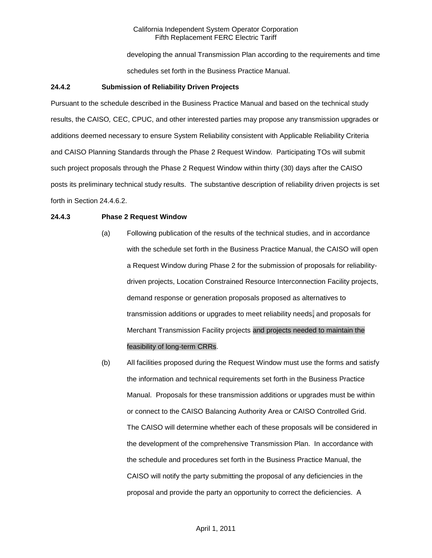developing the annual Transmission Plan according to the requirements and time schedules set forth in the Business Practice Manual.

## **24.4.2 Submission of Reliability Driven Projects**

Pursuant to the schedule described in the Business Practice Manual and based on the technical study results, the CAISO*,* CEC, CPUC, and other interested parties may propose any transmission upgrades or additions deemed necessary to ensure System Reliability consistent with Applicable Reliability Criteria and CAISO Planning Standards through the Phase 2 Request Window. Participating TOs will submit such project proposals through the Phase 2 Request Window within thirty (30) days after the CAISO posts its preliminary technical study results. The substantive description of reliability driven projects is set forth in Section 24.4.6.2.

## **24.4.3 Phase 2 Request Window**

- (a) Following publication of the results of the technical studies, and in accordance with the schedule set forth in the Business Practice Manual, the CAISO will open a Request Window during Phase 2 for the submission of proposals for reliabilitydriven projects, Location Constrained Resource Interconnection Facility projects, demand response or generation proposals proposed as alternatives to transmission additions or upgrades to meet reliability needs, and proposals for Merchant Transmission Facility projects and projects needed to maintain the feasibility of long-term CRRs.
- (b) All facilities proposed during the Request Window must use the forms and satisfy the information and technical requirements set forth in the Business Practice Manual. Proposals for these transmission additions or upgrades must be within or connect to the CAISO Balancing Authority Area or CAISO Controlled Grid. The CAISO will determine whether each of these proposals will be considered in the development of the comprehensive Transmission Plan. In accordance with the schedule and procedures set forth in the Business Practice Manual, the CAISO will notify the party submitting the proposal of any deficiencies in the proposal and provide the party an opportunity to correct the deficiencies. A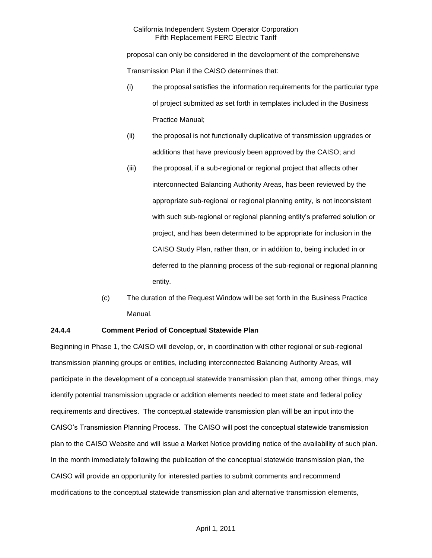proposal can only be considered in the development of the comprehensive Transmission Plan if the CAISO determines that:

- (i) the proposal satisfies the information requirements for the particular type of project submitted as set forth in templates included in the Business Practice Manual;
- (ii) the proposal is not functionally duplicative of transmission upgrades or additions that have previously been approved by the CAISO; and
- (iii) the proposal, if a sub-regional or regional project that affects other interconnected Balancing Authority Areas, has been reviewed by the appropriate sub-regional or regional planning entity, is not inconsistent with such sub-regional or regional planning entity's preferred solution or project, and has been determined to be appropriate for inclusion in the CAISO Study Plan, rather than, or in addition to, being included in or deferred to the planning process of the sub-regional or regional planning entity.
- (c) The duration of the Request Window will be set forth in the Business Practice Manual.

# **24.4.4 Comment Period of Conceptual Statewide Plan**

Beginning in Phase 1, the CAISO will develop, or, in coordination with other regional or sub-regional transmission planning groups or entities, including interconnected Balancing Authority Areas, will participate in the development of a conceptual statewide transmission plan that, among other things, may identify potential transmission upgrade or addition elements needed to meet state and federal policy requirements and directives. The conceptual statewide transmission plan will be an input into the CAISO's Transmission Planning Process. The CAISO will post the conceptual statewide transmission plan to the CAISO Website and will issue a Market Notice providing notice of the availability of such plan. In the month immediately following the publication of the conceptual statewide transmission plan, the CAISO will provide an opportunity for interested parties to submit comments and recommend modifications to the conceptual statewide transmission plan and alternative transmission elements,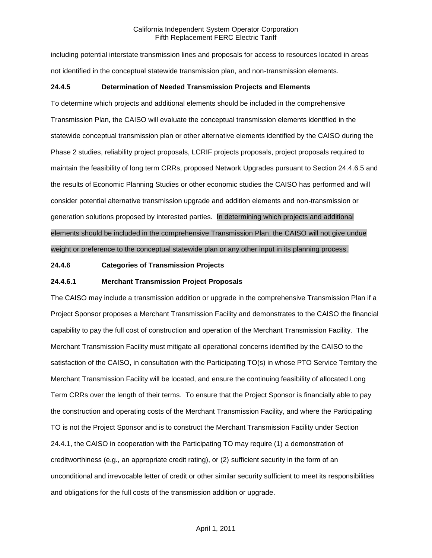including potential interstate transmission lines and proposals for access to resources located in areas not identified in the conceptual statewide transmission plan, and non-transmission elements.

## **24.4.5 Determination of Needed Transmission Projects and Elements**

To determine which projects and additional elements should be included in the comprehensive Transmission Plan, the CAISO will evaluate the conceptual transmission elements identified in the statewide conceptual transmission plan or other alternative elements identified by the CAISO during the Phase 2 studies, reliability project proposals, LCRIF projects proposals, project proposals required to maintain the feasibility of long term CRRs, proposed Network Upgrades pursuant to Section 24.4.6.5 and the results of Economic Planning Studies or other economic studies the CAISO has performed and will consider potential alternative transmission upgrade and addition elements and non-transmission or generation solutions proposed by interested parties. In determining which projects and additional elements should be included in the comprehensive Transmission Plan, the CAISO will not give undue weight or preference to the conceptual statewide plan or any other input in its planning process.

### **24.4.6 Categories of Transmission Projects**

## **24.4.6.1 Merchant Transmission Project Proposals**

The CAISO may include a transmission addition or upgrade in the comprehensive Transmission Plan if a Project Sponsor proposes a Merchant Transmission Facility and demonstrates to the CAISO the financial capability to pay the full cost of construction and operation of the Merchant Transmission Facility. The Merchant Transmission Facility must mitigate all operational concerns identified by the CAISO to the satisfaction of the CAISO, in consultation with the Participating TO(s) in whose PTO Service Territory the Merchant Transmission Facility will be located, and ensure the continuing feasibility of allocated Long Term CRRs over the length of their terms. To ensure that the Project Sponsor is financially able to pay the construction and operating costs of the Merchant Transmission Facility, and where the Participating TO is not the Project Sponsor and is to construct the Merchant Transmission Facility under Section 24.4.1, the CAISO in cooperation with the Participating TO may require (1) a demonstration of creditworthiness (e.g., an appropriate credit rating), or (2) sufficient security in the form of an unconditional and irrevocable letter of credit or other similar security sufficient to meet its responsibilities and obligations for the full costs of the transmission addition or upgrade.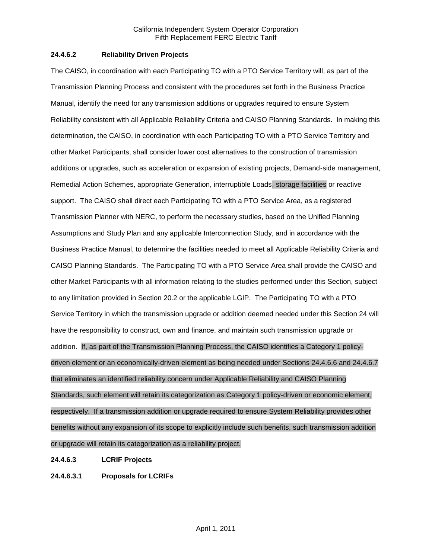## **24.4.6.2 Reliability Driven Projects**

The CAISO, in coordination with each Participating TO with a PTO Service Territory will, as part of the Transmission Planning Process and consistent with the procedures set forth in the Business Practice Manual, identify the need for any transmission additions or upgrades required to ensure System Reliability consistent with all Applicable Reliability Criteria and CAISO Planning Standards. In making this determination, the CAISO, in coordination with each Participating TO with a PTO Service Territory and other Market Participants, shall consider lower cost alternatives to the construction of transmission additions or upgrades, such as acceleration or expansion of existing projects, Demand-side management, Remedial Action Schemes, appropriate Generation, interruptible Loads, storage facilities or reactive support. The CAISO shall direct each Participating TO with a PTO Service Area, as a registered Transmission Planner with NERC, to perform the necessary studies, based on the Unified Planning Assumptions and Study Plan and any applicable Interconnection Study, and in accordance with the Business Practice Manual, to determine the facilities needed to meet all Applicable Reliability Criteria and CAISO Planning Standards. The Participating TO with a PTO Service Area shall provide the CAISO and other Market Participants with all information relating to the studies performed under this Section, subject to any limitation provided in Section 20.2 or the applicable LGIP. The Participating TO with a PTO Service Territory in which the transmission upgrade or addition deemed needed under this Section 24 will have the responsibility to construct, own and finance, and maintain such transmission upgrade or addition. If, as part of the Transmission Planning Process, the CAISO identifies a Category 1 policydriven element or an economically-driven element as being needed under Sections 24.4.6.6 and 24.4.6.7 that eliminates an identified reliability concern under Applicable Reliability and CAISO Planning Standards, such element will retain its categorization as Category 1 policy-driven or economic element, respectively. If a transmission addition or upgrade required to ensure System Reliability provides other benefits without any expansion of its scope to explicitly include such benefits, such transmission addition or upgrade will retain its categorization as a reliability project.

# **24.4.6.3 LCRIF Projects**

**24.4.6.3.1 Proposals for LCRIFs**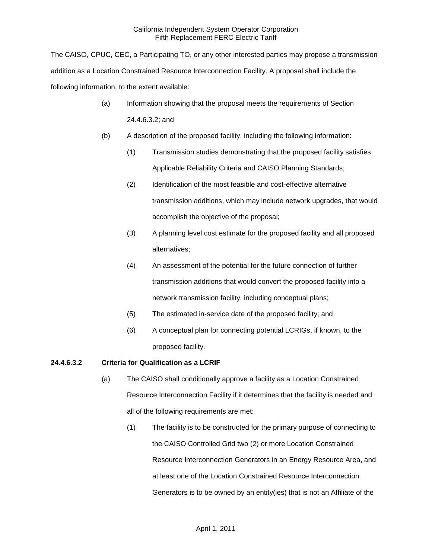The CAISO, CPUC, CEC, a Participating TO, or any other interested parties may propose a transmission addition as a Location Constrained Resource Interconnection Facility. A proposal shall include the following information, to the extent available:

- (a) Information showing that the proposal meets the requirements of Section 24.4.6.3.2; and
- (b) A description of the proposed facility, including the following information:
	- (1) Transmission studies demonstrating that the proposed facility satisfies Applicable Reliability Criteria and CAISO Planning Standards;
	- (2) Identification of the most feasible and cost-effective alternative transmission additions, which may include network upgrades, that would accomplish the objective of the proposal;
	- (3) A planning level cost estimate for the proposed facility and all proposed alternatives;
	- (4) An assessment of the potential for the future connection of further transmission additions that would convert the proposed facility into a network transmission facility, including conceptual plans;
	- (5) The estimated in-service date of the proposed facility; and
	- (6) A conceptual plan for connecting potential LCRIGs, if known, to the proposed facility.

# **24.4.6.3.2 Criteria for Qualification as a LCRIF**

- (a) The CAISO shall conditionally approve a facility as a Location Constrained Resource Interconnection Facility if it determines that the facility is needed and all of the following requirements are met:
	- (1) The facility is to be constructed for the primary purpose of connecting to the CAISO Controlled Grid two (2) or more Location Constrained Resource Interconnection Generators in an Energy Resource Area, and at least one of the Location Constrained Resource Interconnection Generators is to be owned by an entity(ies) that is not an Affiliate of the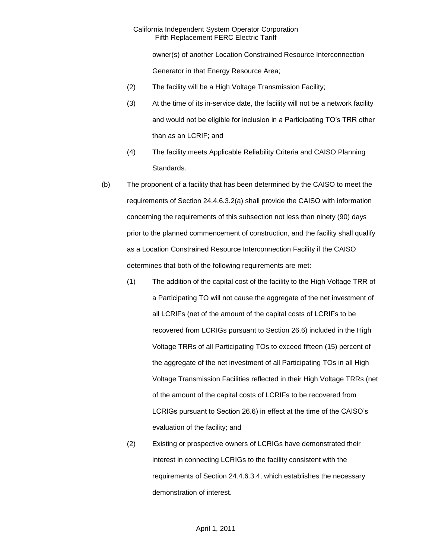owner(s) of another Location Constrained Resource Interconnection Generator in that Energy Resource Area;

- (2) The facility will be a High Voltage Transmission Facility;
- (3) At the time of its in-service date, the facility will not be a network facility and would not be eligible for inclusion in a Participating TO's TRR other than as an LCRIF; and
- (4) The facility meets Applicable Reliability Criteria and CAISO Planning Standards.
- (b) The proponent of a facility that has been determined by the CAISO to meet the requirements of Section 24.4.6.3.2(a) shall provide the CAISO with information concerning the requirements of this subsection not less than ninety (90) days prior to the planned commencement of construction, and the facility shall qualify as a Location Constrained Resource Interconnection Facility if the CAISO determines that both of the following requirements are met:
	- (1) The addition of the capital cost of the facility to the High Voltage TRR of a Participating TO will not cause the aggregate of the net investment of all LCRIFs (net of the amount of the capital costs of LCRIFs to be recovered from LCRIGs pursuant to Section 26.6) included in the High Voltage TRRs of all Participating TOs to exceed fifteen (15) percent of the aggregate of the net investment of all Participating TOs in all High Voltage Transmission Facilities reflected in their High Voltage TRRs (net of the amount of the capital costs of LCRIFs to be recovered from LCRIGs pursuant to Section 26.6) in effect at the time of the CAISO's evaluation of the facility; and
	- (2) Existing or prospective owners of LCRIGs have demonstrated their interest in connecting LCRIGs to the facility consistent with the requirements of Section 24.4.6.3.4, which establishes the necessary demonstration of interest.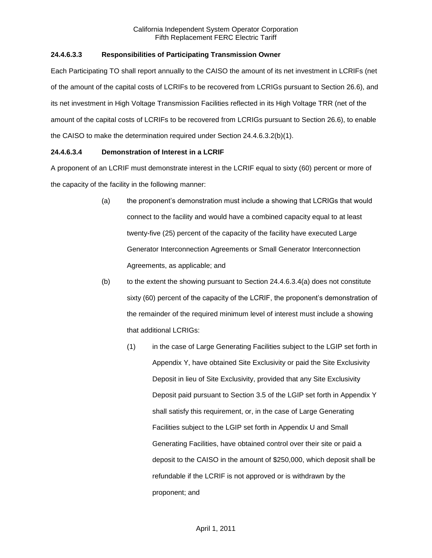# **24.4.6.3.3 Responsibilities of Participating Transmission Owner**

Each Participating TO shall report annually to the CAISO the amount of its net investment in LCRIFs (net of the amount of the capital costs of LCRIFs to be recovered from LCRIGs pursuant to Section 26.6), and its net investment in High Voltage Transmission Facilities reflected in its High Voltage TRR (net of the amount of the capital costs of LCRIFs to be recovered from LCRIGs pursuant to Section 26.6), to enable the CAISO to make the determination required under Section 24.4.6.3.2(b)(1).

# **24.4.6.3.4 Demonstration of Interest in a LCRIF**

A proponent of an LCRIF must demonstrate interest in the LCRIF equal to sixty (60) percent or more of the capacity of the facility in the following manner:

- (a) the proponent's demonstration must include a showing that LCRIGs that would connect to the facility and would have a combined capacity equal to at least twenty-five (25) percent of the capacity of the facility have executed Large Generator Interconnection Agreements or Small Generator Interconnection Agreements, as applicable; and
- $(b)$  to the extent the showing pursuant to Section 24.4.6.3.4(a) does not constitute sixty (60) percent of the capacity of the LCRIF, the proponent's demonstration of the remainder of the required minimum level of interest must include a showing that additional LCRIGs:
	- (1) in the case of Large Generating Facilities subject to the LGIP set forth in Appendix Y, have obtained Site Exclusivity or paid the Site Exclusivity Deposit in lieu of Site Exclusivity, provided that any Site Exclusivity Deposit paid pursuant to Section 3.5 of the LGIP set forth in Appendix Y shall satisfy this requirement, or, in the case of Large Generating Facilities subject to the LGIP set forth in Appendix U and Small Generating Facilities, have obtained control over their site or paid a deposit to the CAISO in the amount of \$250,000, which deposit shall be refundable if the LCRIF is not approved or is withdrawn by the proponent; and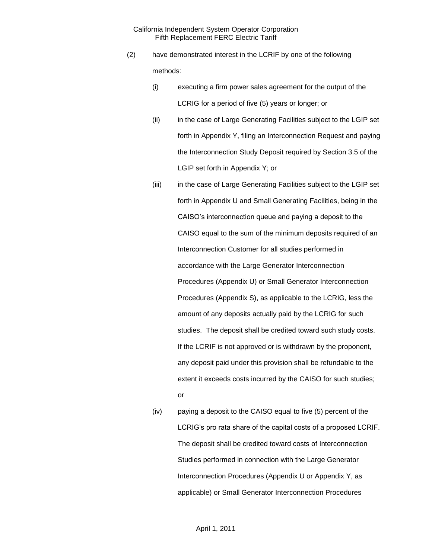- (2) have demonstrated interest in the LCRIF by one of the following methods:
	- (i) executing a firm power sales agreement for the output of the LCRIG for a period of five (5) years or longer; or
	- (ii) in the case of Large Generating Facilities subject to the LGIP set forth in Appendix Y, filing an Interconnection Request and paying the Interconnection Study Deposit required by Section 3.5 of the LGIP set forth in Appendix Y; or
	- (iii) in the case of Large Generating Facilities subject to the LGIP set forth in Appendix U and Small Generating Facilities, being in the CAISO's interconnection queue and paying a deposit to the CAISO equal to the sum of the minimum deposits required of an Interconnection Customer for all studies performed in accordance with the Large Generator Interconnection Procedures (Appendix U) or Small Generator Interconnection Procedures (Appendix S), as applicable to the LCRIG, less the amount of any deposits actually paid by the LCRIG for such studies. The deposit shall be credited toward such study costs. If the LCRIF is not approved or is withdrawn by the proponent, any deposit paid under this provision shall be refundable to the extent it exceeds costs incurred by the CAISO for such studies; or
	- (iv) paying a deposit to the CAISO equal to five (5) percent of the LCRIG's pro rata share of the capital costs of a proposed LCRIF. The deposit shall be credited toward costs of Interconnection Studies performed in connection with the Large Generator Interconnection Procedures (Appendix U or Appendix Y, as applicable) or Small Generator Interconnection Procedures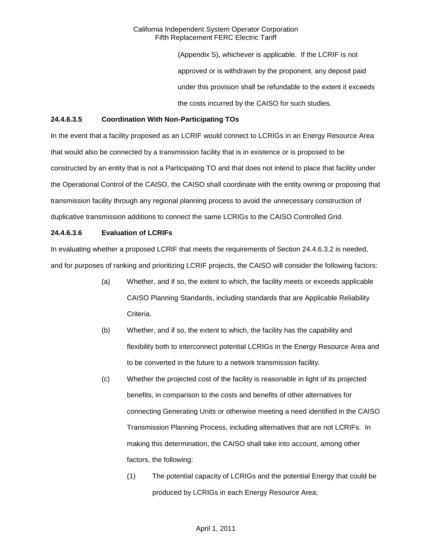> (Appendix S), whichever is applicable. If the LCRIF is not approved or is withdrawn by the proponent, any deposit paid under this provision shall be refundable to the extent it exceeds the costs incurred by the CAISO for such studies.

## **24.4.6.3.5 Coordination With Non-Participating TOs**

In the event that a facility proposed as an LCRIF would connect to LCRIGs in an Energy Resource Area that would also be connected by a transmission facility that is in existence or is proposed to be constructed by an entity that is not a Participating TO and that does not intend to place that facility under the Operational Control of the CAISO, the CAISO shall coordinate with the entity owning or proposing that transmission facility through any regional planning process to avoid the unnecessary construction of duplicative transmission additions to connect the same LCRIGs to the CAISO Controlled Grid.

## **24.4.6.3.6 Evaluation of LCRIFs**

In evaluating whether a proposed LCRIF that meets the requirements of Section 24.4.6.3.2 is needed, and for purposes of ranking and prioritizing LCRIF projects, the CAISO will consider the following factors:

- (a) Whether, and if so, the extent to which, the facility meets or exceeds applicable CAISO Planning Standards, including standards that are Applicable Reliability Criteria.
- (b) Whether, and if so, the extent to which, the facility has the capability and flexibility both to interconnect potential LCRIGs in the Energy Resource Area and to be converted in the future to a network transmission facility.
- (c) Whether the projected cost of the facility is reasonable in light of its projected benefits, in comparison to the costs and benefits of other alternatives for connecting Generating Units or otherwise meeting a need identified in the CAISO Transmission Planning Process, including alternatives that are not LCRIFs. In making this determination, the CAISO shall take into account, among other factors, the following:
	- (1) The potential capacity of LCRIGs and the potential Energy that could be produced by LCRIGs in each Energy Resource Area;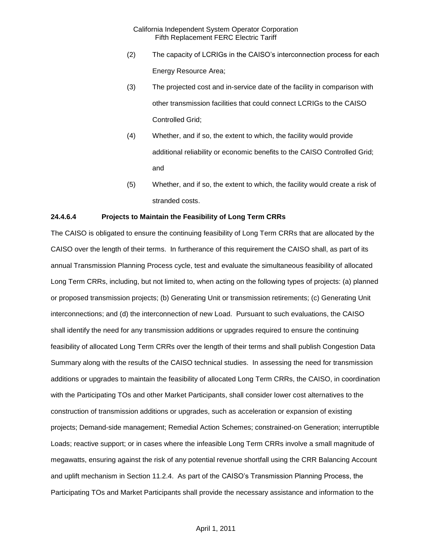- (2) The capacity of LCRIGs in the CAISO's interconnection process for each Energy Resource Area;
- (3) The projected cost and in-service date of the facility in comparison with other transmission facilities that could connect LCRIGs to the CAISO Controlled Grid;
- (4) Whether, and if so, the extent to which, the facility would provide additional reliability or economic benefits to the CAISO Controlled Grid; and
- (5) Whether, and if so, the extent to which, the facility would create a risk of stranded costs.

# **24.4.6.4 Projects to Maintain the Feasibility of Long Term CRRs**

The CAISO is obligated to ensure the continuing feasibility of Long Term CRRs that are allocated by the CAISO over the length of their terms. In furtherance of this requirement the CAISO shall, as part of its annual Transmission Planning Process cycle, test and evaluate the simultaneous feasibility of allocated Long Term CRRs, including, but not limited to, when acting on the following types of projects: (a) planned or proposed transmission projects; (b) Generating Unit or transmission retirements; (c) Generating Unit interconnections; and (d) the interconnection of new Load. Pursuant to such evaluations, the CAISO shall identify the need for any transmission additions or upgrades required to ensure the continuing feasibility of allocated Long Term CRRs over the length of their terms and shall publish Congestion Data Summary along with the results of the CAISO technical studies. In assessing the need for transmission additions or upgrades to maintain the feasibility of allocated Long Term CRRs, the CAISO, in coordination with the Participating TOs and other Market Participants, shall consider lower cost alternatives to the construction of transmission additions or upgrades, such as acceleration or expansion of existing projects; Demand-side management; Remedial Action Schemes; constrained-on Generation; interruptible Loads; reactive support; or in cases where the infeasible Long Term CRRs involve a small magnitude of megawatts, ensuring against the risk of any potential revenue shortfall using the CRR Balancing Account and uplift mechanism in Section 11.2.4. As part of the CAISO's Transmission Planning Process, the Participating TOs and Market Participants shall provide the necessary assistance and information to the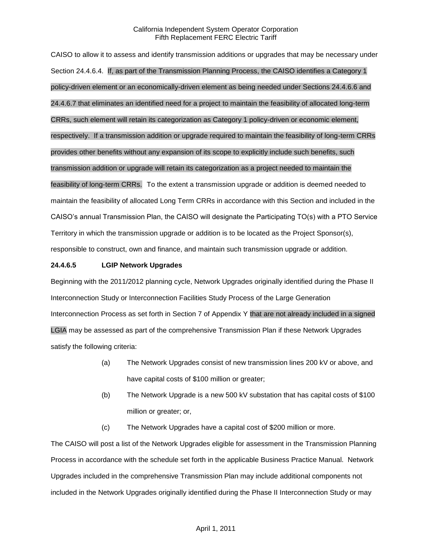CAISO to allow it to assess and identify transmission additions or upgrades that may be necessary under Section 24.4.6.4. If, as part of the Transmission Planning Process, the CAISO identifies a Category 1 policy-driven element or an economically-driven element as being needed under Sections 24.4.6.6 and 24.4.6.7 that eliminates an identified need for a project to maintain the feasibility of allocated long-term CRRs, such element will retain its categorization as Category 1 policy-driven or economic element, respectively. If a transmission addition or upgrade required to maintain the feasibility of long-term CRRs provides other benefits without any expansion of its scope to explicitly include such benefits, such transmission addition or upgrade will retain its categorization as a project needed to maintain the feasibility of long-term CRRs. To the extent a transmission upgrade or addition is deemed needed to maintain the feasibility of allocated Long Term CRRs in accordance with this Section and included in the CAISO's annual Transmission Plan, the CAISO will designate the Participating TO(s) with a PTO Service Territory in which the transmission upgrade or addition is to be located as the Project Sponsor(s), responsible to construct, own and finance, and maintain such transmission upgrade or addition.

## **24.4.6.5 LGIP Network Upgrades**

Beginning with the 2011/2012 planning cycle, Network Upgrades originally identified during the Phase II Interconnection Study or Interconnection Facilities Study Process of the Large Generation Interconnection Process as set forth in Section 7 of Appendix Y that are not already included in a signed LGIA may be assessed as part of the comprehensive Transmission Plan if these Network Upgrades satisfy the following criteria:

- (a) The Network Upgrades consist of new transmission lines 200 kV or above, and have capital costs of \$100 million or greater;
- (b) The Network Upgrade is a new 500 kV substation that has capital costs of \$100 million or greater; or,
- (c) The Network Upgrades have a capital cost of \$200 million or more.

The CAISO will post a list of the Network Upgrades eligible for assessment in the Transmission Planning Process in accordance with the schedule set forth in the applicable Business Practice Manual. Network Upgrades included in the comprehensive Transmission Plan may include additional components not included in the Network Upgrades originally identified during the Phase II Interconnection Study or may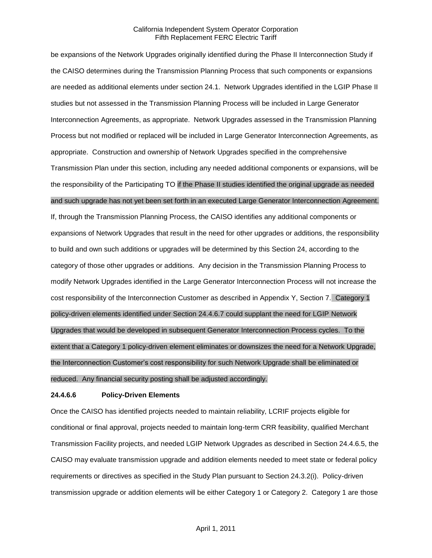be expansions of the Network Upgrades originally identified during the Phase II Interconnection Study if the CAISO determines during the Transmission Planning Process that such components or expansions are needed as additional elements under section 24.1. Network Upgrades identified in the LGIP Phase II studies but not assessed in the Transmission Planning Process will be included in Large Generator Interconnection Agreements, as appropriate. Network Upgrades assessed in the Transmission Planning Process but not modified or replaced will be included in Large Generator Interconnection Agreements, as appropriate. Construction and ownership of Network Upgrades specified in the comprehensive Transmission Plan under this section, including any needed additional components or expansions, will be the responsibility of the Participating TO if the Phase II studies identified the original upgrade as needed and such upgrade has not yet been set forth in an executed Large Generator Interconnection Agreement.

If, through the Transmission Planning Process, the CAISO identifies any additional components or expansions of Network Upgrades that result in the need for other upgrades or additions, the responsibility to build and own such additions or upgrades will be determined by this Section 24, according to the category of those other upgrades or additions. Any decision in the Transmission Planning Process to modify Network Upgrades identified in the Large Generator Interconnection Process will not increase the cost responsibility of the Interconnection Customer as described in Appendix Y, Section 7. Category 1 policy-driven elements identified under Section 24.4.6.7 could supplant the need for LGIP Network Upgrades that would be developed in subsequent Generator Interconnection Process cycles. To the extent that a Category 1 policy-driven element eliminates or downsizes the need for a Network Upgrade, the Interconnection Customer's cost responsibility for such Network Upgrade shall be eliminated or reduced. Any financial security posting shall be adjusted accordingly.

#### **24.4.6.6 Policy-Driven Elements**

Once the CAISO has identified projects needed to maintain reliability, LCRIF projects eligible for conditional or final approval, projects needed to maintain long-term CRR feasibility, qualified Merchant Transmission Facility projects, and needed LGIP Network Upgrades as described in Section 24.4.6.5, the CAISO may evaluate transmission upgrade and addition elements needed to meet state or federal policy requirements or directives as specified in the Study Plan pursuant to Section 24.3.2(i). Policy-driven transmission upgrade or addition elements will be either Category 1 or Category 2. Category 1 are those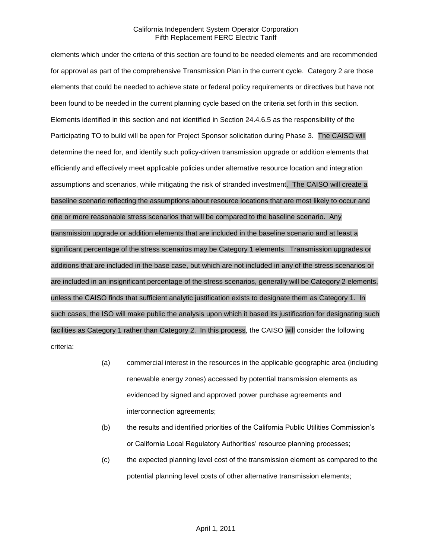elements which under the criteria of this section are found to be needed elements and are recommended for approval as part of the comprehensive Transmission Plan in the current cycle. Category 2 are those elements that could be needed to achieve state or federal policy requirements or directives but have not been found to be needed in the current planning cycle based on the criteria set forth in this section. Elements identified in this section and not identified in Section 24.4.6.5 as the responsibility of the Participating TO to build will be open for Project Sponsor solicitation during Phase 3. The CAISO will determine the need for, and identify such policy-driven transmission upgrade or addition elements that efficiently and effectively meet applicable policies under alternative resource location and integration assumptions and scenarios, while mitigating the risk of stranded investment. The CAISO will create a baseline scenario reflecting the assumptions about resource locations that are most likely to occur and one or more reasonable stress scenarios that will be compared to the baseline scenario. Any transmission upgrade or addition elements that are included in the baseline scenario and at least a significant percentage of the stress scenarios may be Category 1 elements. Transmission upgrades or additions that are included in the base case, but which are not included in any of the stress scenarios or are included in an insignificant percentage of the stress scenarios, generally will be Category 2 elements, unless the CAISO finds that sufficient analytic justification exists to designate them as Category 1. In such cases, the ISO will make public the analysis upon which it based its justification for designating such facilities as Category 1 rather than Category 2. In this process, the CAISO will consider the following criteria:

- (a) commercial interest in the resources in the applicable geographic area (including renewable energy zones) accessed by potential transmission elements as evidenced by signed and approved power purchase agreements and interconnection agreements;
- (b) the results and identified priorities of the California Public Utilities Commission's or California Local Regulatory Authorities' resource planning processes;
- (c) the expected planning level cost of the transmission element as compared to the potential planning level costs of other alternative transmission elements;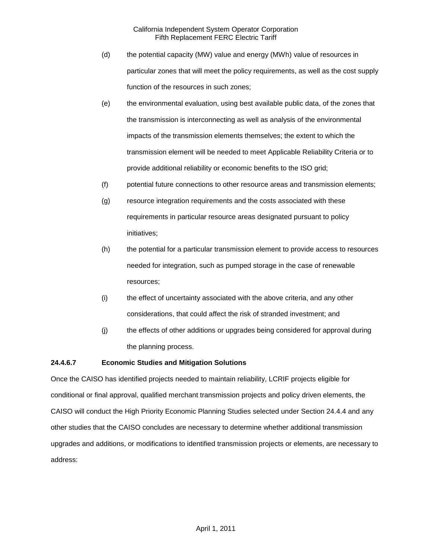- (d) the potential capacity (MW) value and energy (MWh) value of resources in particular zones that will meet the policy requirements, as well as the cost supply function of the resources in such zones;
- (e) the environmental evaluation, using best available public data, of the zones that the transmission is interconnecting as well as analysis of the environmental impacts of the transmission elements themselves; the extent to which the transmission element will be needed to meet Applicable Reliability Criteria or to provide additional reliability or economic benefits to the ISO grid;
- (f) potential future connections to other resource areas and transmission elements;
- (g) resource integration requirements and the costs associated with these requirements in particular resource areas designated pursuant to policy initiatives;
- (h) the potential for a particular transmission element to provide access to resources needed for integration, such as pumped storage in the case of renewable resources;
- (i) the effect of uncertainty associated with the above criteria, and any other considerations, that could affect the risk of stranded investment; and
- (j) the effects of other additions or upgrades being considered for approval during the planning process.

# **24.4.6.7 Economic Studies and Mitigation Solutions**

Once the CAISO has identified projects needed to maintain reliability, LCRIF projects eligible for conditional or final approval, qualified merchant transmission projects and policy driven elements, the CAISO will conduct the High Priority Economic Planning Studies selected under Section 24.4.4 and any other studies that the CAISO concludes are necessary to determine whether additional transmission upgrades and additions, or modifications to identified transmission projects or elements, are necessary to address: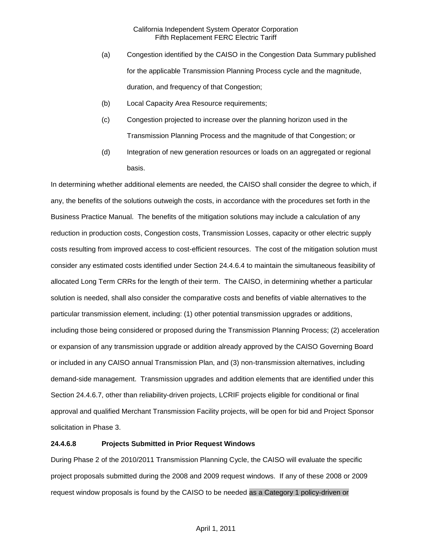- (a) Congestion identified by the CAISO in the Congestion Data Summary published for the applicable Transmission Planning Process cycle and the magnitude, duration, and frequency of that Congestion;
- (b) Local Capacity Area Resource requirements;
- (c) Congestion projected to increase over the planning horizon used in the Transmission Planning Process and the magnitude of that Congestion; or
- (d) Integration of new generation resources or loads on an aggregated or regional basis.

In determining whether additional elements are needed, the CAISO shall consider the degree to which, if any, the benefits of the solutions outweigh the costs, in accordance with the procedures set forth in the Business Practice Manual. The benefits of the mitigation solutions may include a calculation of any reduction in production costs, Congestion costs, Transmission Losses, capacity or other electric supply costs resulting from improved access to cost-efficient resources. The cost of the mitigation solution must consider any estimated costs identified under Section 24.4.6.4 to maintain the simultaneous feasibility of allocated Long Term CRRs for the length of their term. The CAISO, in determining whether a particular solution is needed, shall also consider the comparative costs and benefits of viable alternatives to the particular transmission element, including: (1) other potential transmission upgrades or additions, including those being considered or proposed during the Transmission Planning Process; (2) acceleration or expansion of any transmission upgrade or addition already approved by the CAISO Governing Board or included in any CAISO annual Transmission Plan, and (3) non-transmission alternatives, including demand-side management. Transmission upgrades and addition elements that are identified under this Section 24.4.6.7, other than reliability-driven projects, LCRIF projects eligible for conditional or final approval and qualified Merchant Transmission Facility projects, will be open for bid and Project Sponsor solicitation in Phase 3.

#### **24.4.6.8 Projects Submitted in Prior Request Windows**

During Phase 2 of the 2010/2011 Transmission Planning Cycle, the CAISO will evaluate the specific project proposals submitted during the 2008 and 2009 request windows. If any of these 2008 or 2009 request window proposals is found by the CAISO to be needed as a Category 1 policy-driven or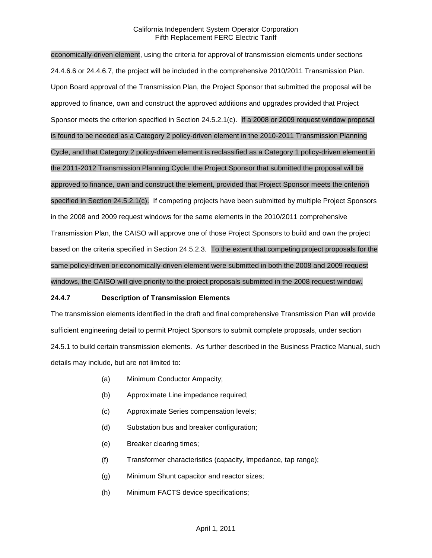economically-driven element, using the criteria for approval of transmission elements under sections 24.4.6.6 or 24.4.6.7, the project will be included in the comprehensive 2010/2011 Transmission Plan. Upon Board approval of the Transmission Plan, the Project Sponsor that submitted the proposal will be approved to finance, own and construct the approved additions and upgrades provided that Project Sponsor meets the criterion specified in Section 24.5.2.1(c). If a 2008 or 2009 request window proposal is found to be needed as a Category 2 policy-driven element in the 2010-2011 Transmission Planning Cycle, and that Category 2 policy-driven element is reclassified as a Category 1 policy-driven element in the 2011-2012 Transmission Planning Cycle, the Project Sponsor that submitted the proposal will be approved to finance, own and construct the element, provided that Project Sponsor meets the criterion specified in Section 24.5.2.1(c). If competing projects have been submitted by multiple Project Sponsors in the 2008 and 2009 request windows for the same elements in the 2010/2011 comprehensive Transmission Plan, the CAISO will approve one of those Project Sponsors to build and own the project based on the criteria specified in Section 24.5.2.3. To the extent that competing project proposals for the same policy-driven or economically-driven element were submitted in both the 2008 and 2009 request windows, the CAISO will give priority to the proiect proposals submitted in the 2008 request window.

#### **24.4.7 Description of Transmission Elements**

The transmission elements identified in the draft and final comprehensive Transmission Plan will provide sufficient engineering detail to permit Project Sponsors to submit complete proposals, under section 24.5.1 to build certain transmission elements. As further described in the Business Practice Manual, such details may include, but are not limited to:

- (a) Minimum Conductor Ampacity;
- (b) Approximate Line impedance required;
- (c) Approximate Series compensation levels;
- (d) Substation bus and breaker configuration;
- (e) Breaker clearing times;
- (f) Transformer characteristics (capacity, impedance, tap range);
- (g) Minimum Shunt capacitor and reactor sizes;
- (h) Minimum FACTS device specifications;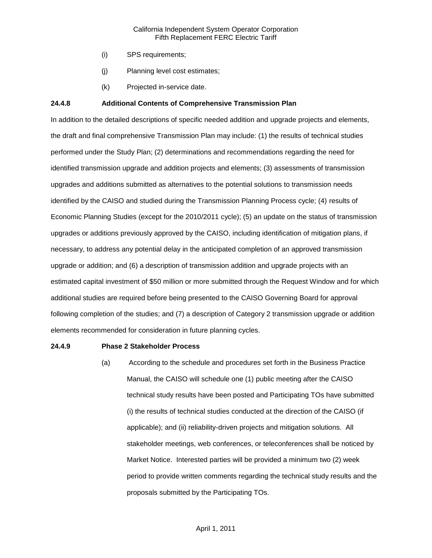- (i) SPS requirements;
- (j) Planning level cost estimates;
- (k) Projected in-service date.

### **24.4.8 Additional Contents of Comprehensive Transmission Plan**

In addition to the detailed descriptions of specific needed addition and upgrade projects and elements, the draft and final comprehensive Transmission Plan may include: (1) the results of technical studies performed under the Study Plan; (2) determinations and recommendations regarding the need for identified transmission upgrade and addition projects and elements; (3) assessments of transmission upgrades and additions submitted as alternatives to the potential solutions to transmission needs identified by the CAISO and studied during the Transmission Planning Process cycle; (4) results of Economic Planning Studies (except for the 2010/2011 cycle); (5) an update on the status of transmission upgrades or additions previously approved by the CAISO, including identification of mitigation plans, if necessary, to address any potential delay in the anticipated completion of an approved transmission upgrade or addition; and (6) a description of transmission addition and upgrade projects with an estimated capital investment of \$50 million or more submitted through the Request Window and for which additional studies are required before being presented to the CAISO Governing Board for approval following completion of the studies; and (7) a description of Category 2 transmission upgrade or addition elements recommended for consideration in future planning cycles.

#### **24.4.9 Phase 2 Stakeholder Process**

(a) According to the schedule and procedures set forth in the Business Practice Manual, the CAISO will schedule one (1) public meeting after the CAISO technical study results have been posted and Participating TOs have submitted (i) the results of technical studies conducted at the direction of the CAISO (if applicable); and (ii) reliability-driven projects and mitigation solutions. All stakeholder meetings, web conferences, or teleconferences shall be noticed by Market Notice. Interested parties will be provided a minimum two (2) week period to provide written comments regarding the technical study results and the proposals submitted by the Participating TOs.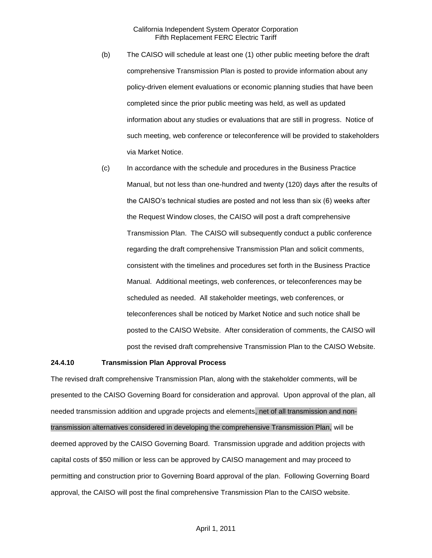- (b) The CAISO will schedule at least one (1) other public meeting before the draft comprehensive Transmission Plan is posted to provide information about any policy-driven element evaluations or economic planning studies that have been completed since the prior public meeting was held, as well as updated information about any studies or evaluations that are still in progress. Notice of such meeting, web conference or teleconference will be provided to stakeholders via Market Notice.
- (c) In accordance with the schedule and procedures in the Business Practice Manual, but not less than one-hundred and twenty (120) days after the results of the CAISO's technical studies are posted and not less than six (6) weeks after the Request Window closes, the CAISO will post a draft comprehensive Transmission Plan. The CAISO will subsequently conduct a public conference regarding the draft comprehensive Transmission Plan and solicit comments, consistent with the timelines and procedures set forth in the Business Practice Manual. Additional meetings, web conferences, or teleconferences may be scheduled as needed. All stakeholder meetings, web conferences, or teleconferences shall be noticed by Market Notice and such notice shall be posted to the CAISO Website. After consideration of comments, the CAISO will post the revised draft comprehensive Transmission Plan to the CAISO Website.

#### **24.4.10 Transmission Plan Approval Process**

The revised draft comprehensive Transmission Plan, along with the stakeholder comments, will be presented to the CAISO Governing Board for consideration and approval. Upon approval of the plan, all needed transmission addition and upgrade projects and elements, net of all transmission and nontransmission alternatives considered in developing the comprehensive Transmission Plan, will be deemed approved by the CAISO Governing Board. Transmission upgrade and addition projects with capital costs of \$50 million or less can be approved by CAISO management and may proceed to permitting and construction prior to Governing Board approval of the plan. Following Governing Board approval, the CAISO will post the final comprehensive Transmission Plan to the CAISO website.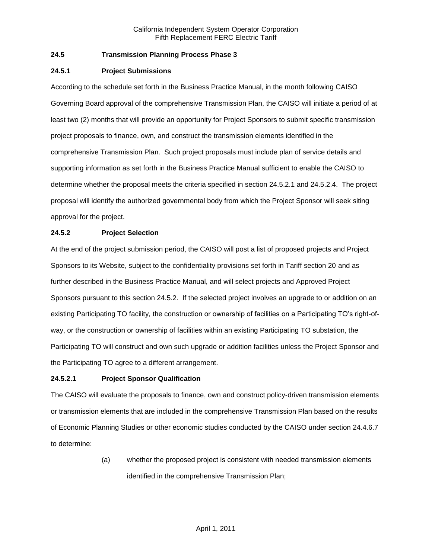# **24.5 Transmission Planning Process Phase 3**

### **24.5.1 Project Submissions**

According to the schedule set forth in the Business Practice Manual, in the month following CAISO Governing Board approval of the comprehensive Transmission Plan, the CAISO will initiate a period of at least two (2) months that will provide an opportunity for Project Sponsors to submit specific transmission project proposals to finance, own, and construct the transmission elements identified in the comprehensive Transmission Plan. Such project proposals must include plan of service details and supporting information as set forth in the Business Practice Manual sufficient to enable the CAISO to determine whether the proposal meets the criteria specified in section 24.5.2.1 and 24.5.2.4. The project proposal will identify the authorized governmental body from which the Project Sponsor will seek siting approval for the project.

## **24.5.2 Project Selection**

At the end of the project submission period, the CAISO will post a list of proposed projects and Project Sponsors to its Website, subject to the confidentiality provisions set forth in Tariff section 20 and as further described in the Business Practice Manual, and will select projects and Approved Project Sponsors pursuant to this section 24.5.2. If the selected project involves an upgrade to or addition on an existing Participating TO facility, the construction or ownership of facilities on a Participating TO's right-ofway, or the construction or ownership of facilities within an existing Participating TO substation, the Participating TO will construct and own such upgrade or addition facilities unless the Project Sponsor and the Participating TO agree to a different arrangement.

# **24.5.2.1 Project Sponsor Qualification**

The CAISO will evaluate the proposals to finance, own and construct policy-driven transmission elements or transmission elements that are included in the comprehensive Transmission Plan based on the results of Economic Planning Studies or other economic studies conducted by the CAISO under section 24.4.6.7 to determine:

> (a) whether the proposed project is consistent with needed transmission elements identified in the comprehensive Transmission Plan;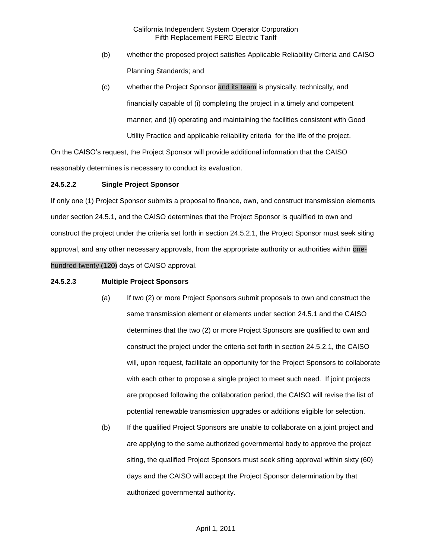- (b) whether the proposed project satisfies Applicable Reliability Criteria and CAISO Planning Standards; and
- (c) whether the Project Sponsor and its team is physically, technically, and financially capable of (i) completing the project in a timely and competent manner; and (ii) operating and maintaining the facilities consistent with Good Utility Practice and applicable reliability criteria for the life of the project.

On the CAISO's request, the Project Sponsor will provide additional information that the CAISO reasonably determines is necessary to conduct its evaluation.

## **24.5.2.2 Single Project Sponsor**

If only one (1) Project Sponsor submits a proposal to finance, own, and construct transmission elements under section 24.5.1, and the CAISO determines that the Project Sponsor is qualified to own and construct the project under the criteria set forth in section 24.5.2.1, the Project Sponsor must seek siting approval, and any other necessary approvals, from the appropriate authority or authorities within onehundred twenty (120) days of CAISO approval.

## **24.5.2.3 Multiple Project Sponsors**

- (a) If two (2) or more Project Sponsors submit proposals to own and construct the same transmission element or elements under section 24.5.1 and the CAISO determines that the two (2) or more Project Sponsors are qualified to own and construct the project under the criteria set forth in section 24.5.2.1, the CAISO will, upon request, facilitate an opportunity for the Project Sponsors to collaborate with each other to propose a single project to meet such need. If joint projects are proposed following the collaboration period, the CAISO will revise the list of potential renewable transmission upgrades or additions eligible for selection.
- (b) If the qualified Project Sponsors are unable to collaborate on a joint project and are applying to the same authorized governmental body to approve the project siting, the qualified Project Sponsors must seek siting approval within sixty (60) days and the CAISO will accept the Project Sponsor determination by that authorized governmental authority.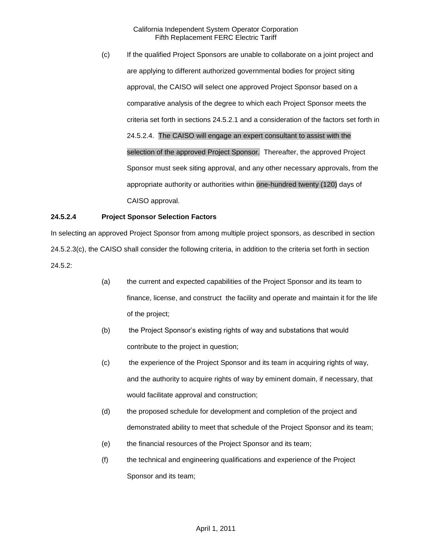(c) If the qualified Project Sponsors are unable to collaborate on a joint project and are applying to different authorized governmental bodies for project siting approval, the CAISO will select one approved Project Sponsor based on a comparative analysis of the degree to which each Project Sponsor meets the criteria set forth in sections 24.5.2.1 and a consideration of the factors set forth in 24.5.2.4. The CAISO will engage an expert consultant to assist with the selection of the approved Project Sponsor. Thereafter, the approved Project Sponsor must seek siting approval, and any other necessary approvals, from the appropriate authority or authorities within one-hundred twenty (120) days of CAISO approval.

## **24.5.2.4 Project Sponsor Selection Factors**

In selecting an approved Project Sponsor from among multiple project sponsors, as described in section 24.5.2.3(c), the CAISO shall consider the following criteria, in addition to the criteria set forth in section 24.5.2:

- (a) the current and expected capabilities of the Project Sponsor and its team to finance, license, and construct the facility and operate and maintain it for the life of the project;
- (b) the Project Sponsor's existing rights of way and substations that would contribute to the project in question;
- (c) the experience of the Project Sponsor and its team in acquiring rights of way, and the authority to acquire rights of way by eminent domain, if necessary, that would facilitate approval and construction;
- (d) the proposed schedule for development and completion of the project and demonstrated ability to meet that schedule of the Project Sponsor and its team;
- (e) the financial resources of the Project Sponsor and its team;
- (f) the technical and engineering qualifications and experience of the Project Sponsor and its team;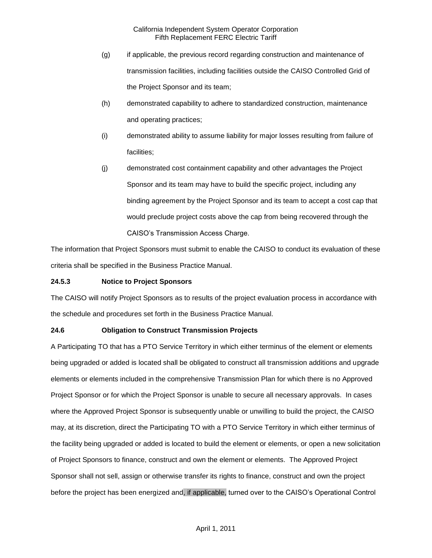- (g) if applicable, the previous record regarding construction and maintenance of transmission facilities, including facilities outside the CAISO Controlled Grid of the Project Sponsor and its team;
- (h) demonstrated capability to adhere to standardized construction, maintenance and operating practices;
- (i) demonstrated ability to assume liability for major losses resulting from failure of facilities;
- (j) demonstrated cost containment capability and other advantages the Project Sponsor and its team may have to build the specific project, including any binding agreement by the Project Sponsor and its team to accept a cost cap that would preclude project costs above the cap from being recovered through the CAISO's Transmission Access Charge.

The information that Project Sponsors must submit to enable the CAISO to conduct its evaluation of these criteria shall be specified in the Business Practice Manual.

# **24.5.3 Notice to Project Sponsors**

The CAISO will notify Project Sponsors as to results of the project evaluation process in accordance with the schedule and procedures set forth in the Business Practice Manual.

# **24.6 Obligation to Construct Transmission Projects**

A Participating TO that has a PTO Service Territory in which either terminus of the element or elements being upgraded or added is located shall be obligated to construct all transmission additions and upgrade elements or elements included in the comprehensive Transmission Plan for which there is no Approved Project Sponsor or for which the Project Sponsor is unable to secure all necessary approvals. In cases where the Approved Project Sponsor is subsequently unable or unwilling to build the project, the CAISO may, at its discretion, direct the Participating TO with a PTO Service Territory in which either terminus of the facility being upgraded or added is located to build the element or elements, or open a new solicitation of Project Sponsors to finance, construct and own the element or elements. The Approved Project Sponsor shall not sell, assign or otherwise transfer its rights to finance, construct and own the project before the project has been energized and, if applicable, turned over to the CAISO's Operational Control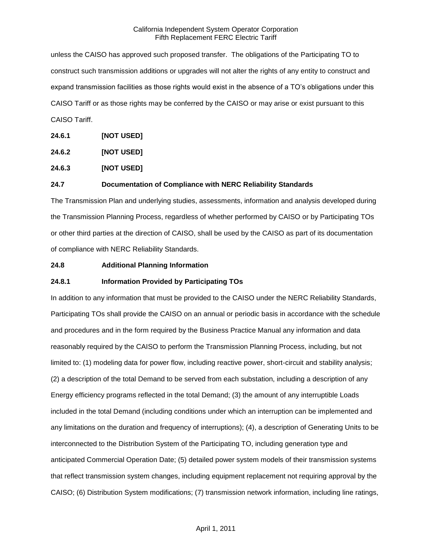unless the CAISO has approved such proposed transfer. The obligations of the Participating TO to construct such transmission additions or upgrades will not alter the rights of any entity to construct and expand transmission facilities as those rights would exist in the absence of a TO's obligations under this CAISO Tariff or as those rights may be conferred by the CAISO or may arise or exist pursuant to this CAISO Tariff.

**24.6.1 [NOT USED]**

**24.6.2 [NOT USED]**

**24.6.3 [NOT USED]**

## **24.7 Documentation of Compliance with NERC Reliability Standards**

The Transmission Plan and underlying studies, assessments, information and analysis developed during the Transmission Planning Process, regardless of whether performed by CAISO or by Participating TOs or other third parties at the direction of CAISO, shall be used by the CAISO as part of its documentation of compliance with NERC Reliability Standards.

#### **24.8 Additional Planning Information**

# **24.8.1 Information Provided by Participating TOs**

In addition to any information that must be provided to the CAISO under the NERC Reliability Standards, Participating TOs shall provide the CAISO on an annual or periodic basis in accordance with the schedule and procedures and in the form required by the Business Practice Manual any information and data reasonably required by the CAISO to perform the Transmission Planning Process, including, but not limited to: (1) modeling data for power flow, including reactive power, short-circuit and stability analysis; (2) a description of the total Demand to be served from each substation, including a description of any Energy efficiency programs reflected in the total Demand; (3) the amount of any interruptible Loads included in the total Demand (including conditions under which an interruption can be implemented and any limitations on the duration and frequency of interruptions); (4), a description of Generating Units to be interconnected to the Distribution System of the Participating TO, including generation type and anticipated Commercial Operation Date; (5) detailed power system models of their transmission systems that reflect transmission system changes, including equipment replacement not requiring approval by the CAISO; (6) Distribution System modifications; (7) transmission network information, including line ratings,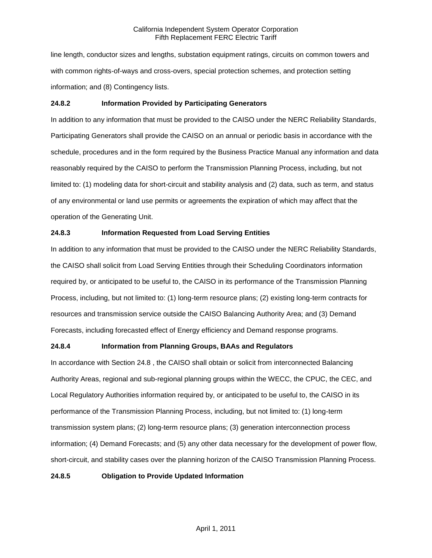line length, conductor sizes and lengths, substation equipment ratings, circuits on common towers and with common rights-of-ways and cross-overs, special protection schemes, and protection setting information; and (8) Contingency lists.

# **24.8.2 Information Provided by Participating Generators**

In addition to any information that must be provided to the CAISO under the NERC Reliability Standards, Participating Generators shall provide the CAISO on an annual or periodic basis in accordance with the schedule, procedures and in the form required by the Business Practice Manual any information and data reasonably required by the CAISO to perform the Transmission Planning Process, including, but not limited to: (1) modeling data for short-circuit and stability analysis and (2) data, such as term, and status of any environmental or land use permits or agreements the expiration of which may affect that the operation of the Generating Unit.

# **24.8.3 Information Requested from Load Serving Entities**

In addition to any information that must be provided to the CAISO under the NERC Reliability Standards, the CAISO shall solicit from Load Serving Entities through their Scheduling Coordinators information required by, or anticipated to be useful to, the CAISO in its performance of the Transmission Planning Process, including, but not limited to: (1) long-term resource plans; (2) existing long-term contracts for resources and transmission service outside the CAISO Balancing Authority Area; and (3) Demand Forecasts, including forecasted effect of Energy efficiency and Demand response programs.

# **24.8.4 Information from Planning Groups, BAAs and Regulators**

In accordance with Section 24.8 , the CAISO shall obtain or solicit from interconnected Balancing Authority Areas, regional and sub-regional planning groups within the WECC, the CPUC, the CEC, and Local Regulatory Authorities information required by, or anticipated to be useful to, the CAISO in its performance of the Transmission Planning Process, including, but not limited to: (1) long-term transmission system plans; (2) long-term resource plans; (3) generation interconnection process information; (4) Demand Forecasts; and (5) any other data necessary for the development of power flow, short-circuit, and stability cases over the planning horizon of the CAISO Transmission Planning Process.

#### **24.8.5 Obligation to Provide Updated Information**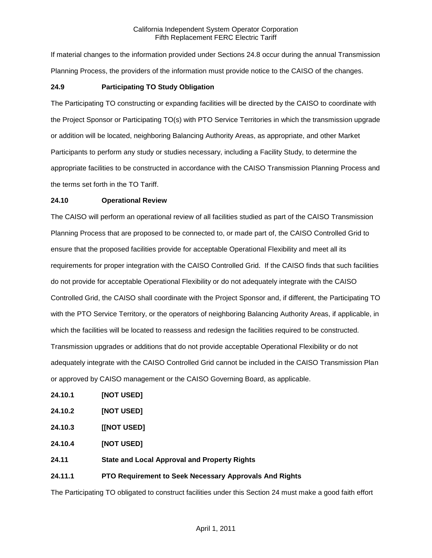If material changes to the information provided under Sections 24.8 occur during the annual Transmission Planning Process, the providers of the information must provide notice to the CAISO of the changes.

## **24.9 Participating TO Study Obligation**

The Participating TO constructing or expanding facilities will be directed by the CAISO to coordinate with the Project Sponsor or Participating TO(s) with PTO Service Territories in which the transmission upgrade or addition will be located, neighboring Balancing Authority Areas, as appropriate, and other Market Participants to perform any study or studies necessary, including a Facility Study, to determine the appropriate facilities to be constructed in accordance with the CAISO Transmission Planning Process and the terms set forth in the TO Tariff.

#### **24.10 Operational Review**

The CAISO will perform an operational review of all facilities studied as part of the CAISO Transmission Planning Process that are proposed to be connected to, or made part of, the CAISO Controlled Grid to ensure that the proposed facilities provide for acceptable Operational Flexibility and meet all its requirements for proper integration with the CAISO Controlled Grid. If the CAISO finds that such facilities do not provide for acceptable Operational Flexibility or do not adequately integrate with the CAISO Controlled Grid, the CAISO shall coordinate with the Project Sponsor and, if different, the Participating TO with the PTO Service Territory, or the operators of neighboring Balancing Authority Areas, if applicable, in which the facilities will be located to reassess and redesign the facilities required to be constructed. Transmission upgrades or additions that do not provide acceptable Operational Flexibility or do not adequately integrate with the CAISO Controlled Grid cannot be included in the CAISO Transmission Plan or approved by CAISO management or the CAISO Governing Board, as applicable.

- **24.10.1 [NOT USED]**
- **24.10.2 [NOT USED]**
- **24.10.3 [[NOT USED]**
- **24.10.4 [NOT USED]**
- **24.11 State and Local Approval and Property Rights**

# **24.11.1 PTO Requirement to Seek Necessary Approvals And Rights**

The Participating TO obligated to construct facilities under this Section 24 must make a good faith effort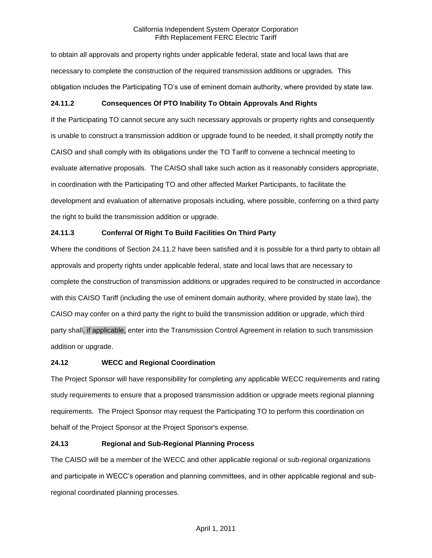to obtain all approvals and property rights under applicable federal, state and local laws that are necessary to complete the construction of the required transmission additions or upgrades. This obligation includes the Participating TO's use of eminent domain authority, where provided by state law.

# **24.11.2 Consequences Of PTO Inability To Obtain Approvals And Rights**

If the Participating TO cannot secure any such necessary approvals or property rights and consequently is unable to construct a transmission addition or upgrade found to be needed, it shall promptly notify the CAISO and shall comply with its obligations under the TO Tariff to convene a technical meeting to evaluate alternative proposals. The CAISO shall take such action as it reasonably considers appropriate, in coordination with the Participating TO and other affected Market Participants, to facilitate the development and evaluation of alternative proposals including, where possible, conferring on a third party the right to build the transmission addition or upgrade.

# **24.11.3 Conferral Of Right To Build Facilities On Third Party**

Where the conditions of Section 24.11.2 have been satisfied and it is possible for a third party to obtain all approvals and property rights under applicable federal, state and local laws that are necessary to complete the construction of transmission additions or upgrades required to be constructed in accordance with this CAISO Tariff (including the use of eminent domain authority, where provided by state law), the CAISO may confer on a third party the right to build the transmission addition or upgrade, which third party shall, if applicable, enter into the Transmission Control Agreement in relation to such transmission addition or upgrade.

# **24.12 WECC and Regional Coordination**

The Project Sponsor will have responsibility for completing any applicable WECC requirements and rating study requirements to ensure that a proposed transmission addition or upgrade meets regional planning requirements. The Project Sponsor may request the Participating TO to perform this coordination on behalf of the Project Sponsor at the Project Sponsor's expense.

# **24.13 Regional and Sub-Regional Planning Process**

The CAISO will be a member of the WECC and other applicable regional or sub-regional organizations and participate in WECC's operation and planning committees, and in other applicable regional and subregional coordinated planning processes.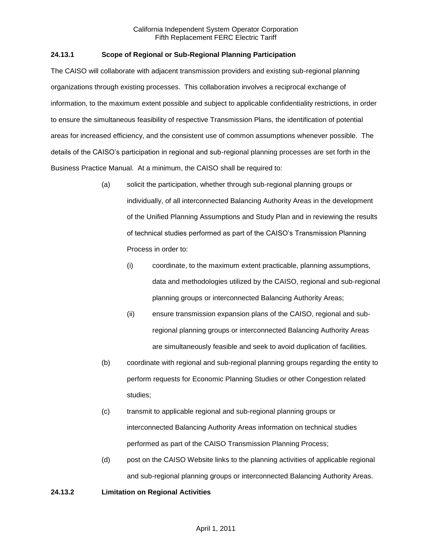# **24.13.1 Scope of Regional or Sub-Regional Planning Participation**

The CAISO will collaborate with adjacent transmission providers and existing sub-regional planning organizations through existing processes. This collaboration involves a reciprocal exchange of information, to the maximum extent possible and subject to applicable confidentiality restrictions, in order to ensure the simultaneous feasibility of respective Transmission Plans, the identification of potential areas for increased efficiency, and the consistent use of common assumptions whenever possible. The details of the CAISO's participation in regional and sub-regional planning processes are set forth in the Business Practice Manual. At a minimum, the CAISO shall be required to:

- (a) solicit the participation, whether through sub-regional planning groups or individually, of all interconnected Balancing Authority Areas in the development of the Unified Planning Assumptions and Study Plan and in reviewing the results of technical studies performed as part of the CAISO's Transmission Planning Process in order to:
	- (i) coordinate, to the maximum extent practicable, planning assumptions, data and methodologies utilized by the CAISO, regional and sub-regional planning groups or interconnected Balancing Authority Areas;
	- (ii) ensure transmission expansion plans of the CAISO, regional and subregional planning groups or interconnected Balancing Authority Areas are simultaneously feasible and seek to avoid duplication of facilities.
- (b) coordinate with regional and sub-regional planning groups regarding the entity to perform requests for Economic Planning Studies or other Congestion related studies;
- (c) transmit to applicable regional and sub-regional planning groups or interconnected Balancing Authority Areas information on technical studies performed as part of the CAISO Transmission Planning Process;
- (d) post on the CAISO Website links to the planning activities of applicable regional and sub-regional planning groups or interconnected Balancing Authority Areas.

## **24.13.2 Limitation on Regional Activities**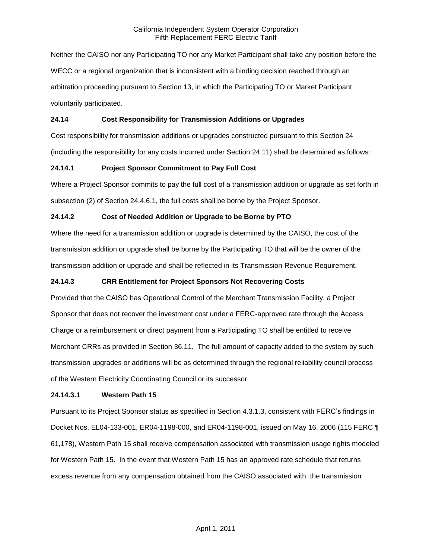Neither the CAISO nor any Participating TO nor any Market Participant shall take any position before the WECC or a regional organization that is inconsistent with a binding decision reached through an arbitration proceeding pursuant to Section 13, in which the Participating TO or Market Participant voluntarily participated.

## **24.14 Cost Responsibility for Transmission Additions or Upgrades**

Cost responsibility for transmission additions or upgrades constructed pursuant to this Section 24 (including the responsibility for any costs incurred under Section 24.11) shall be determined as follows:

## **24.14.1 Project Sponsor Commitment to Pay Full Cost**

Where a Project Sponsor commits to pay the full cost of a transmission addition or upgrade as set forth in subsection (2) of Section 24.4.6.1, the full costs shall be borne by the Project Sponsor.

# **24.14.2 Cost of Needed Addition or Upgrade to be Borne by PTO**

Where the need for a transmission addition or upgrade is determined by the CAISO, the cost of the transmission addition or upgrade shall be borne by the Participating TO that will be the owner of the transmission addition or upgrade and shall be reflected in its Transmission Revenue Requirement.

# **24.14.3 CRR Entitlement for Project Sponsors Not Recovering Costs**

Provided that the CAISO has Operational Control of the Merchant Transmission Facility, a Project Sponsor that does not recover the investment cost under a FERC-approved rate through the Access Charge or a reimbursement or direct payment from a Participating TO shall be entitled to receive Merchant CRRs as provided in Section 36.11. The full amount of capacity added to the system by such transmission upgrades or additions will be as determined through the regional reliability council process of the Western Electricity Coordinating Council or its successor.

#### **24.14.3.1 Western Path 15**

Pursuant to its Project Sponsor status as specified in Section 4.3.1.3, consistent with FERC's findings in Docket Nos. EL04-133-001, ER04-1198-000, and ER04-1198-001, issued on May 16, 2006 (115 FERC ¶ 61,178), Western Path 15 shall receive compensation associated with transmission usage rights modeled for Western Path 15. In the event that Western Path 15 has an approved rate schedule that returns excess revenue from any compensation obtained from the CAISO associated with the transmission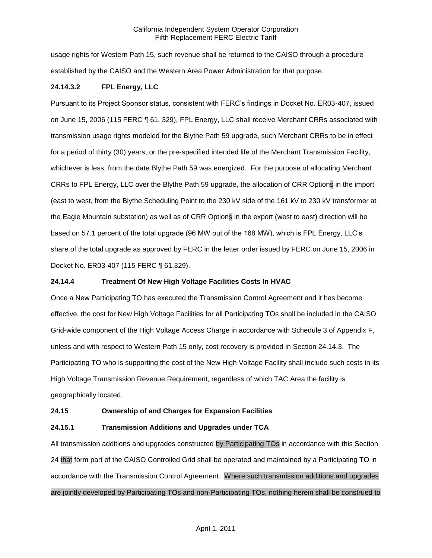usage rights for Western Path 15, such revenue shall be returned to the CAISO through a procedure established by the CAISO and the Western Area Power Administration for that purpose.

# **24.14.3.2 FPL Energy, LLC**

Pursuant to its Project Sponsor status, consistent with FERC's findings in Docket No. ER03-407, issued on June 15, 2006 (115 FERC ¶ 61, 329), FPL Energy, LLC shall receive Merchant CRRs associated with transmission usage rights modeled for the Blythe Path 59 upgrade, such Merchant CRRs to be in effect for a period of thirty (30) years, or the pre-specified intended life of the Merchant Transmission Facility, whichever is less, from the date Blythe Path 59 was energized. For the purpose of allocating Merchant CRRs to FPL Energy, LLC over the Blythe Path 59 upgrade, the allocation of CRR Options in the import (east to west, from the Blythe Scheduling Point to the 230 kV side of the 161 kV to 230 kV transformer at the Eagle Mountain substation) as well as of CRR Options in the export (west to east) direction will be based on 57.1 percent of the total upgrade (96 MW out of the 168 MW), which is FPL Energy, LLC's share of the total upgrade as approved by FERC in the letter order issued by FERC on June 15, 2006 in Docket No. ER03-407 (115 FERC ¶ 61,329).

#### **24.14.4 Treatment Of New High Voltage Facilities Costs In HVAC**

Once a New Participating TO has executed the Transmission Control Agreement and it has become effective, the cost for New High Voltage Facilities for all Participating TOs shall be included in the CAISO Grid-wide component of the High Voltage Access Charge in accordance with Schedule 3 of Appendix F, unless and with respect to Western Path 15 only, cost recovery is provided in Section 24.14.3. The Participating TO who is supporting the cost of the New High Voltage Facility shall include such costs in its High Voltage Transmission Revenue Requirement, regardless of which TAC Area the facility is geographically located.

#### **24.15 Ownership of and Charges for Expansion Facilities**

#### **24.15.1 Transmission Additions and Upgrades under TCA**

All transmission additions and upgrades constructed by Participating TOs in accordance with this Section 24 that form part of the CAISO Controlled Grid shall be operated and maintained by a Participating TO in accordance with the Transmission Control Agreement. Where such transmission additions and upgrades are jointly developed by Participating TOs and non-Participating TOs, nothing herein shall be construed to